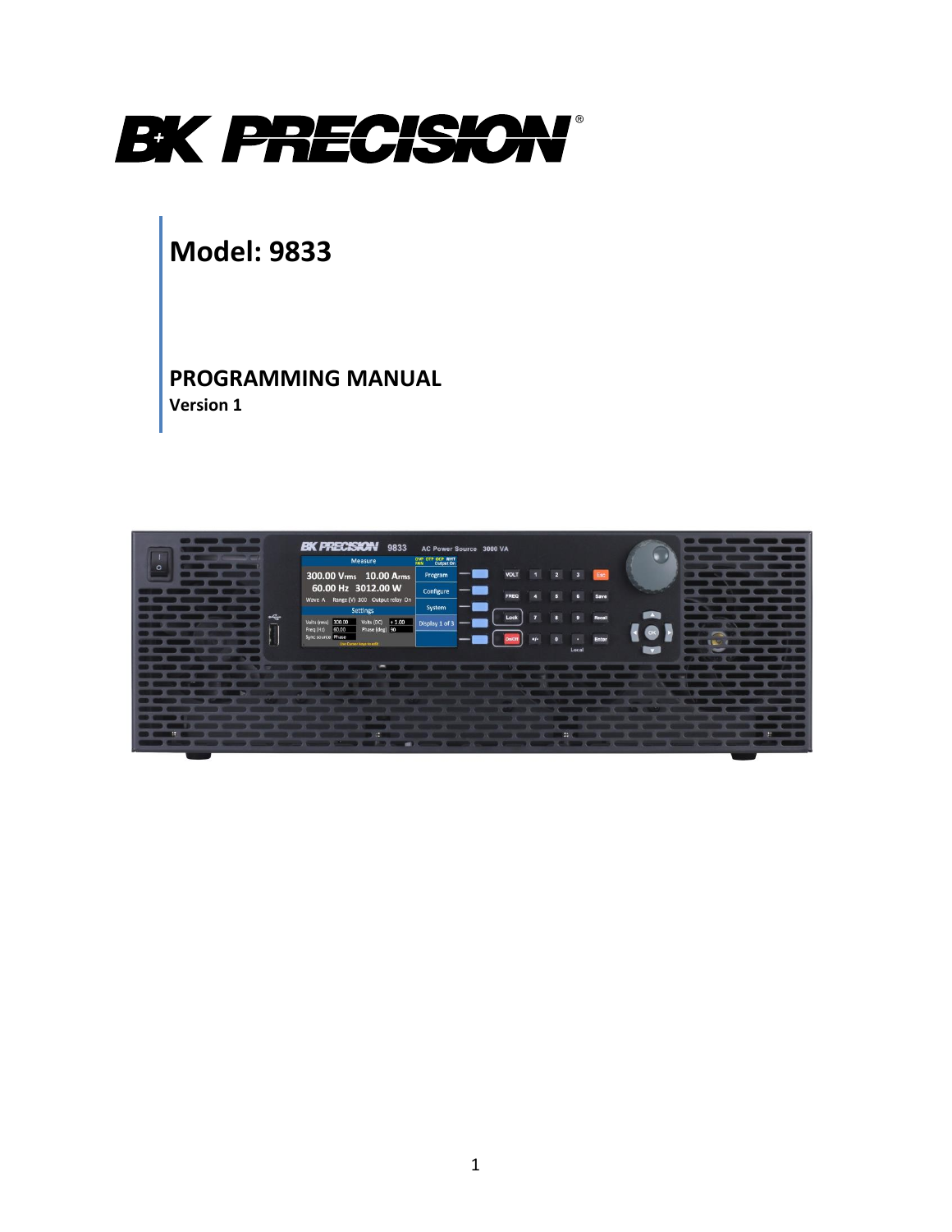

# **Model: 9833**

**PROGRAMMING MANUAL Version 1**

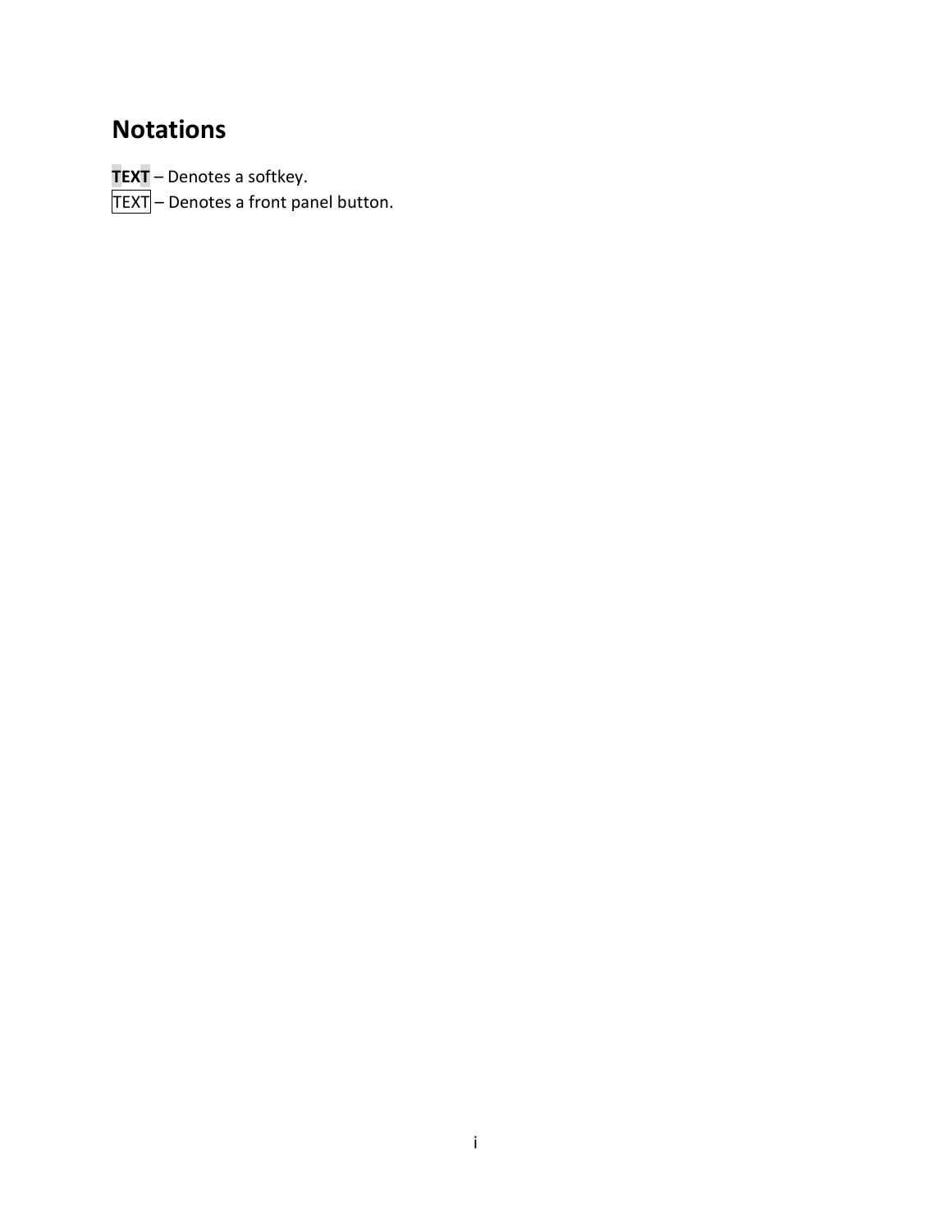# <span id="page-1-0"></span>**Notations**

**TEXT** – Denotes a softkey.

 $\textsf{TEXT}\rbrack$  – Denotes a front panel button.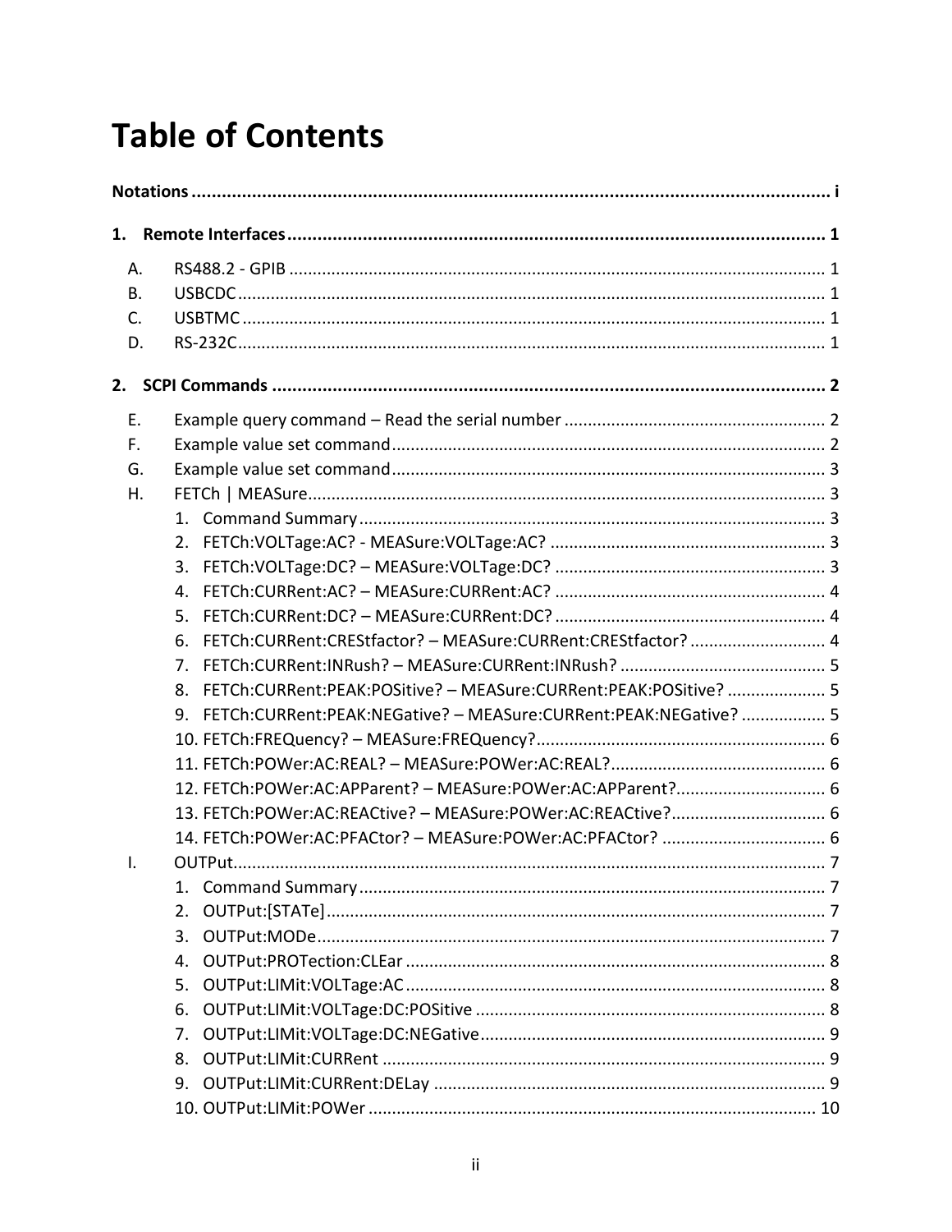# **Table of Contents**

| 1.        |  |                                                                        |
|-----------|--|------------------------------------------------------------------------|
| Α.        |  |                                                                        |
| <b>B.</b> |  |                                                                        |
| C.        |  |                                                                        |
| D.        |  |                                                                        |
| 2.        |  |                                                                        |
| Ε.        |  |                                                                        |
| F.        |  |                                                                        |
| G.        |  |                                                                        |
| Η.        |  |                                                                        |
|           |  |                                                                        |
|           |  |                                                                        |
|           |  | 3.                                                                     |
|           |  | $4_{-}$                                                                |
|           |  | 5.                                                                     |
|           |  | FETCh:CURRent:CREStfactor? - MEASure:CURRent:CREStfactor?  4<br>6.     |
|           |  | 7 <sup>1</sup>                                                         |
|           |  | FETCh:CURRent:PEAK:POSitive? - MEASure:CURRent:PEAK:POSitive?  5<br>8. |
|           |  | 9. FETCh:CURRent:PEAK:NEGative? - MEASure:CURRent:PEAK:NEGative? 5     |
|           |  |                                                                        |
|           |  |                                                                        |
|           |  | 12. FETCh:POWer:AC:APParent? - MEASure:POWer:AC:APParent? 6            |
|           |  | 13. FETCh:POWer:AC:REACtive? - MEASure:POWer:AC:REACtive? 6            |
|           |  | 14. FETCh:POWer:AC:PFACtor? - MEASure:POWer:AC:PFACtor?  6             |
| Τ.        |  |                                                                        |
|           |  | 1.                                                                     |
|           |  | 2.                                                                     |
|           |  | 3.                                                                     |
|           |  | 4.                                                                     |
|           |  | 5.                                                                     |
|           |  | 6.                                                                     |
|           |  | 7.                                                                     |
|           |  | 8.                                                                     |
|           |  | 9.                                                                     |
|           |  |                                                                        |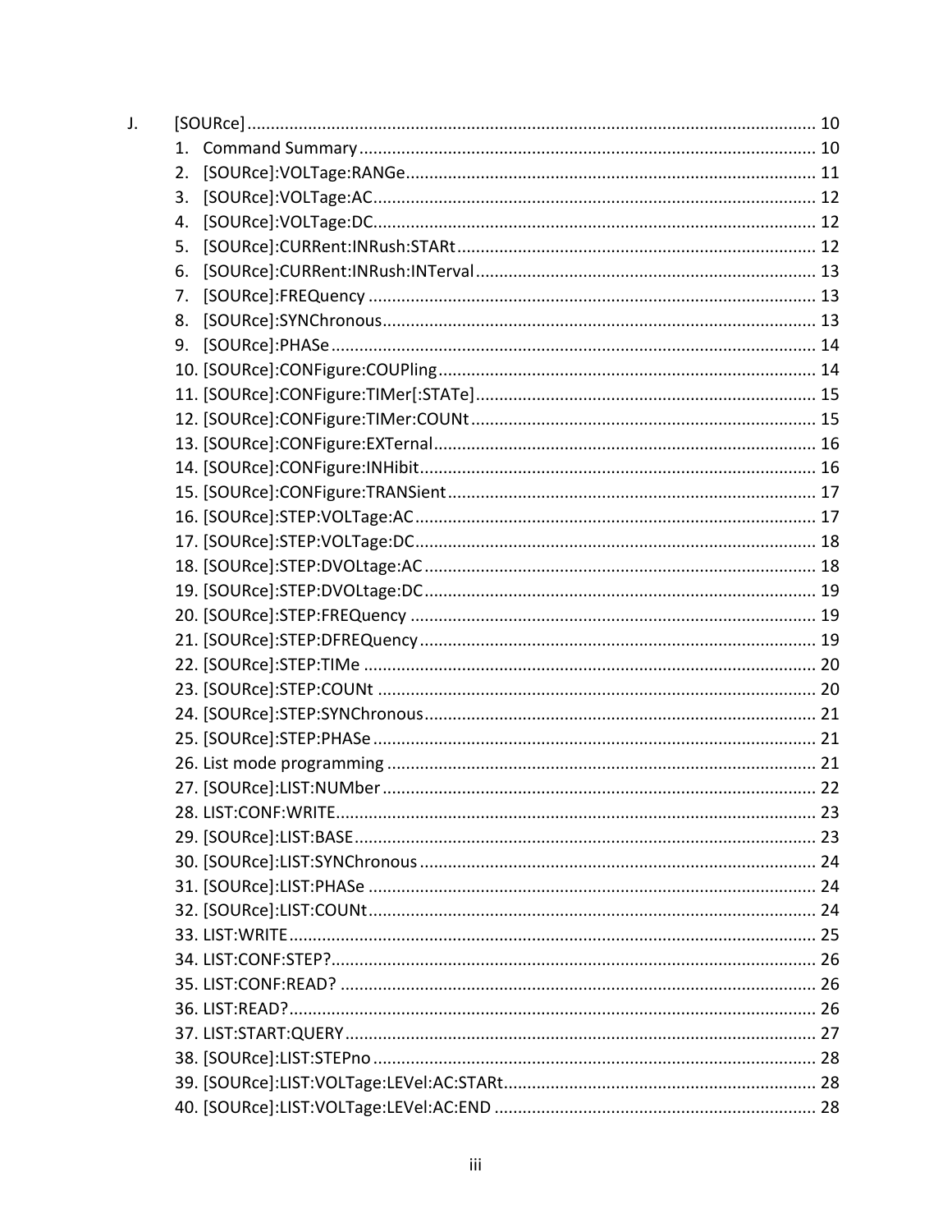| J. |    |     |
|----|----|-----|
|    | 1. |     |
|    | 2. |     |
|    | 3. |     |
|    | 4. |     |
|    | 5. |     |
|    | 6. |     |
|    | 7. |     |
|    | 8. |     |
|    | 9. |     |
|    |    |     |
|    |    |     |
|    |    |     |
|    |    |     |
|    |    |     |
|    |    |     |
|    |    |     |
|    |    |     |
|    |    |     |
|    |    |     |
|    |    |     |
|    |    |     |
|    |    |     |
|    |    |     |
|    |    |     |
|    |    |     |
|    |    |     |
|    |    |     |
|    |    | .23 |
|    |    |     |
|    |    |     |
|    |    |     |
|    |    |     |
|    |    |     |
|    |    |     |
|    |    |     |
|    |    |     |
|    |    |     |
|    |    |     |
|    |    |     |
|    |    |     |
|    |    |     |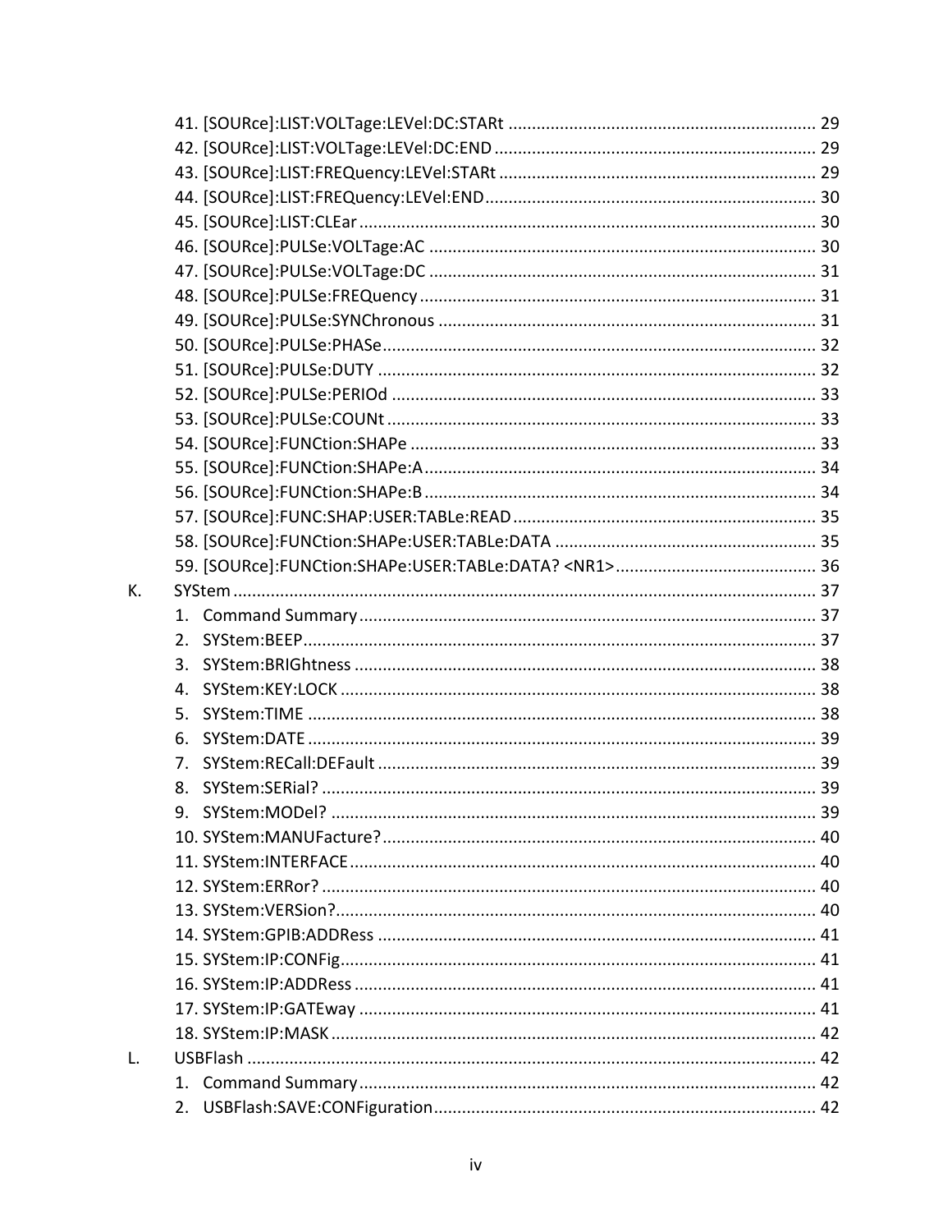| К. |    |  |
|----|----|--|
|    |    |  |
|    |    |  |
|    | 3. |  |
|    | 4. |  |
|    | 5. |  |
|    | 6. |  |
|    |    |  |
|    | 8. |  |
|    | 9. |  |
|    |    |  |
|    |    |  |
|    |    |  |
|    |    |  |
|    |    |  |
|    |    |  |
|    |    |  |
|    |    |  |
|    |    |  |
| L. |    |  |
|    |    |  |
|    |    |  |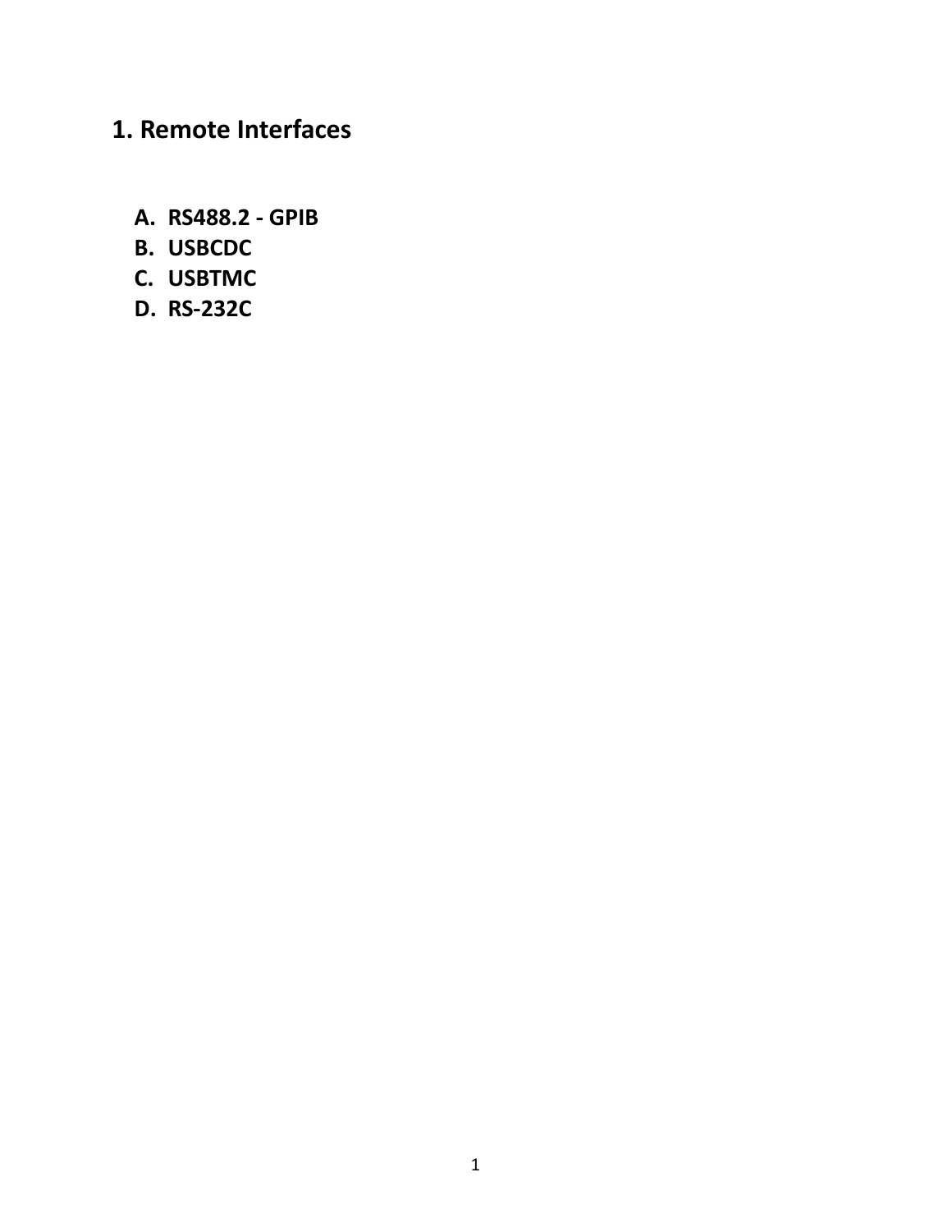# <span id="page-6-0"></span>**1. Remote Interfaces**

- <span id="page-6-1"></span>**A. RS488.2 - GPIB**
- <span id="page-6-2"></span>**B. USBCDC**
- <span id="page-6-3"></span>**C. USBTMC**
- <span id="page-6-4"></span>**D. RS-232C**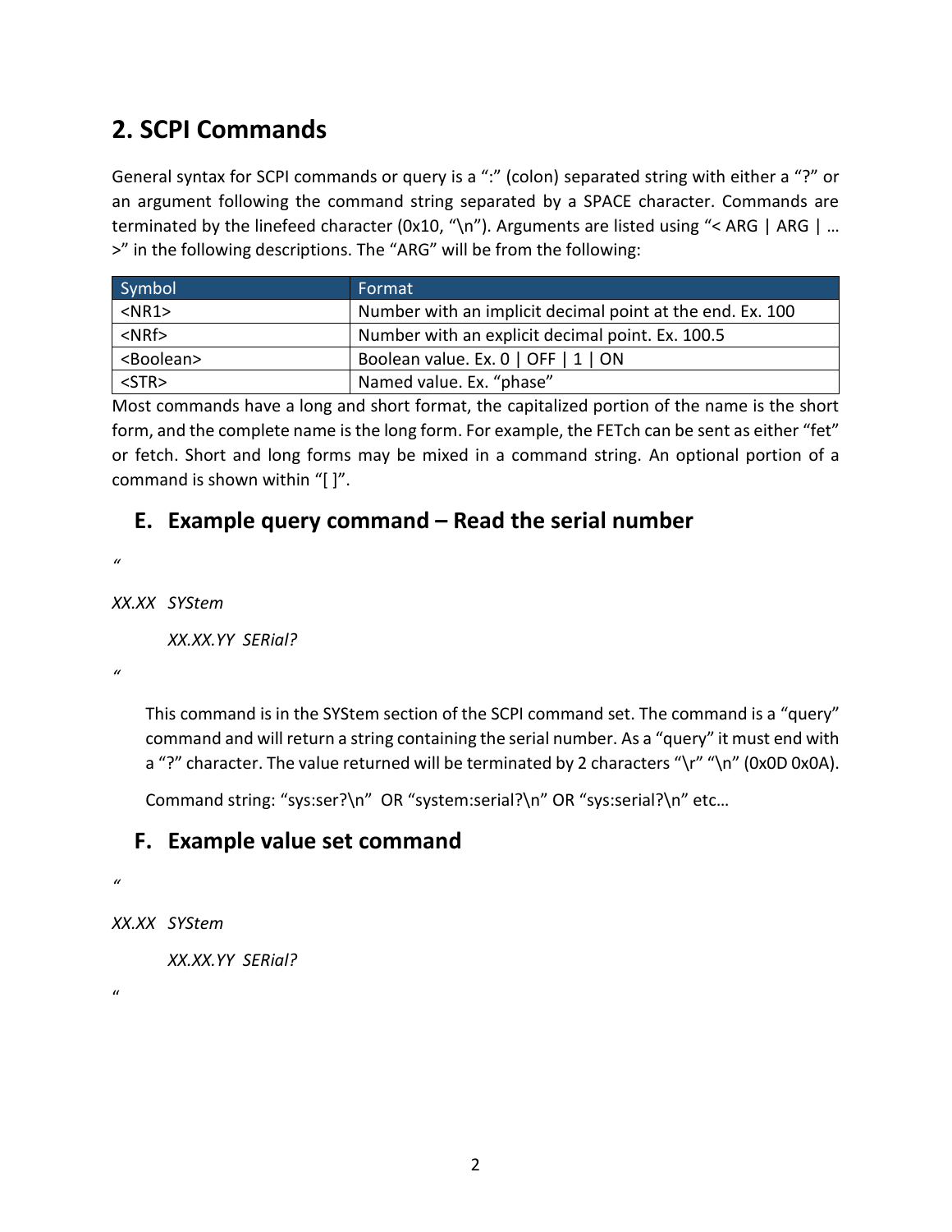# <span id="page-7-0"></span>**2. SCPI Commands**

General syntax for SCPI commands or query is a ":" (colon) separated string with either a "?" or an argument following the command string separated by a SPACE character. Commands are terminated by the linefeed character (0x10, "\n"). Arguments are listed using "< ARG | ARG | ... >" in the following descriptions. The "ARG" will be from the following:

| Symbol              | Format                                                    |
|---------------------|-----------------------------------------------------------|
| $<$ NR1 $>$         | Number with an implicit decimal point at the end. Ex. 100 |
| $<$ NRf $>$         | Number with an explicit decimal point. Ex. 100.5          |
| <boolean></boolean> | Boolean value. Ex. 0   OFF   1   ON                       |
| $<$ STR $>$         | Named value. Ex. "phase"                                  |

Most commands have a long and short format, the capitalized portion of the name is the short form, and the complete name is the long form. For example, the FETch can be sent as either "fet" or fetch. Short and long forms may be mixed in a command string. An optional portion of a command is shown within "[ ]".

# <span id="page-7-1"></span>**E. Example query command – Read the serial number**

*"*

*XX.XX SYStem*

*XX.XX.YY SERial?*

*"*

This command is in the SYStem section of the SCPI command set. The command is a "query" command and will return a string containing the serial number. As a "query" it must end with a "?" character. The value returned will be terminated by 2 characters "\r" "\n" (0x0D 0x0A).

Command string: "sys:ser?\n" OR "system:serial?\n" OR "sys:serial?\n" etc…

# <span id="page-7-2"></span>**F. Example value set command**

```
"
```
*XX.XX SYStem*

*XX.XX.YY SERial?*

 $\mathbf{u}$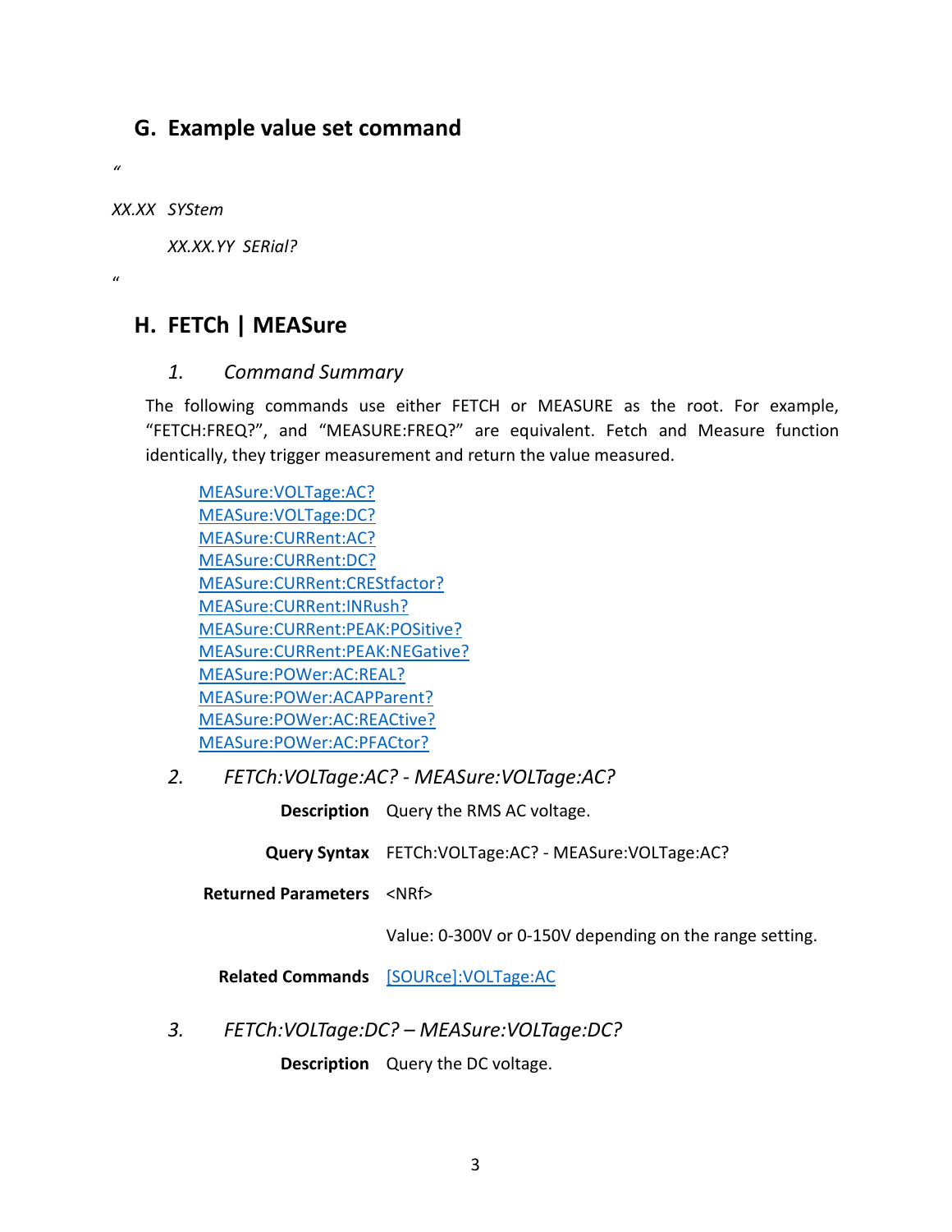# <span id="page-8-0"></span>**G. Example value set command**

*XX.XX SYStem*

*"*

"

*XX.XX.YY SERial?*

# <span id="page-8-1"></span>**H. FETCh | MEASure**

# *1. Command Summary*

<span id="page-8-2"></span>The following commands use either FETCH or MEASURE as the root. For example, "FETCH:FREQ?", and "MEASURE:FREQ?" are equivalent. Fetch and Measure function identically, they trigger measurement and return the value measured.

[MEASure:VOLTage:AC?](#page-8-3) [MEASure:VOLTage:DC?](#page-8-4) [MEASure:CURRent:AC?](#page-9-0) [MEASure:CURRent:DC?](#page-9-1) [MEASure:CURRent:CREStfactor?](#page-9-2) [MEASure:CURRent:INRush?](#page-10-0) [MEASure:CURRent:PEAK:POSitive?](#page-10-1) [MEASure:CURRent:PEAK:NEGative?](#page-10-2) [MEASure:POWer:AC:REAL?](#page-11-1) [MEASure:POWer:ACAPParent?](#page-11-2) [MEASure:POWer:AC:REACtive?](#page-11-3) [MEASure:POWer:AC:PFACtor?](#page-11-4)

<span id="page-8-3"></span>*2. FETCh:VOLTage:AC? - MEASure:VOLTage:AC?*

**Description** Query the RMS AC voltage.

**Query Syntax** FETCh:VOLTage:AC? - MEASure:VOLTage:AC?

**Returned Parameters** <NRf>

Value: 0-300V or 0-150V depending on the range setting.

**Related Commands** [\[SOURce\]:VOLTage:AC](#page-17-0)

<span id="page-8-4"></span>*3. FETCh:VOLTage:DC? – MEASure:VOLTage:DC?*

**Description** Query the DC voltage.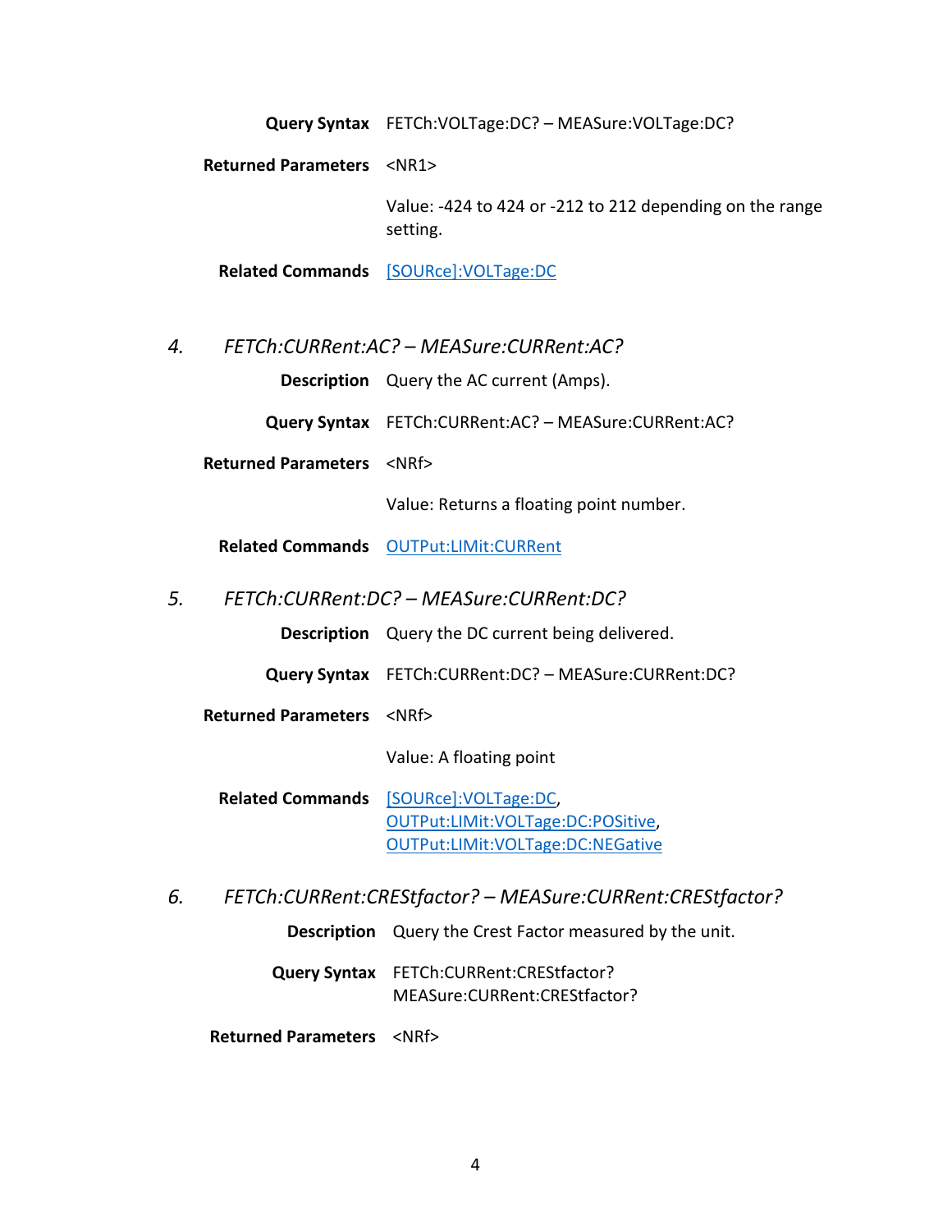**Query Syntax** FETCh:VOLTage:DC? – MEASure:VOLTage:DC?

**Returned Parameters** <NR1>

Value: -424 to 424 or -212 to 212 depending on the range setting.

**Related Commands** [\[SOURce\]:VOLTage:DC](#page-17-1)

<span id="page-9-0"></span>*4. FETCh:CURRent:AC? – MEASure:CURRent:AC?*

**Description** Query the AC current (Amps).

**Query Syntax** FETCh:CURRent:AC? – MEASure:CURRent:AC?

**Returned Parameters** <NRf>

Value: Returns a floating point number.

**Related Commands** [OUTPut:LIMit:CURRent](#page-14-1)

<span id="page-9-1"></span>*5. FETCh:CURRent:DC? – MEASure:CURRent:DC?*

**Description** Query the DC current being delivered.

- **Query Syntax** FETCh:CURRent:DC? MEASure:CURRent:DC?
- **Returned Parameters** <NRf>

Value: A floating point

- **Related Commands** [\[SOURce\]:VOLTage:DC,](#page-17-1) [OUTPut:LIMit:VOLTage:DC:POSitive,](#page-13-2) [OUTPut:LIMit:VOLTage:DC:NEGative](#page-14-0)
- <span id="page-9-2"></span>*6. FETCh:CURRent:CREStfactor? – MEASure:CURRent:CREStfactor?*
	- **Description** Query the Crest Factor measured by the unit.
	- **Query Syntax** FETCh:CURRent:CREStfactor? MEASure:CURRent:CREStfactor?

**Returned Parameters** <NRf>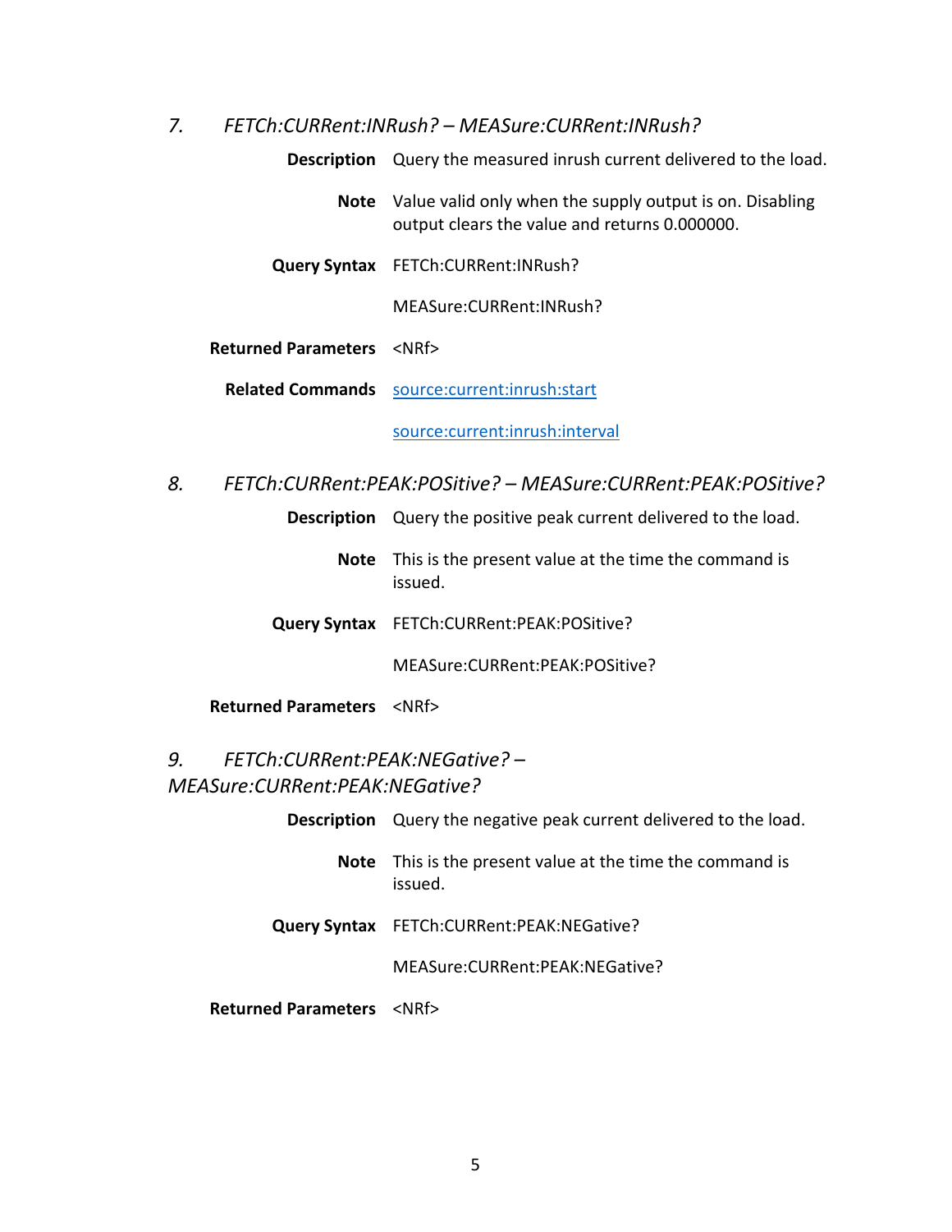<span id="page-10-0"></span>*7. FETCh:CURRent:INRush? – MEASure:CURRent:INRush?*

**Description** Query the measured inrush current delivered to the load. **Note** Value valid only when the supply output is on. Disabling output clears the value and returns 0.000000. **Query Syntax** FETCh:CURRent:INRush? MEASure:CURRent:INRush? **Returned Parameters** <NRf> **Related Commands** [source:current:inrush:start](#page-17-2) [source:current:inrush:interval](#page-18-0)

<span id="page-10-1"></span>*8. FETCh:CURRent:PEAK:POSitive? – MEASure:CURRent:PEAK:POSitive?*

**Description** Query the positive peak current delivered to the load.

- **Note** This is the present value at the time the command is issued.
- **Query Syntax** FETCh:CURRent:PEAK:POSitive?

MEASure:CURRent:PEAK:POSitive?

**Returned Parameters** <NRf>

# <span id="page-10-2"></span>*9. FETCh:CURRent:PEAK:NEGative? – MEASure:CURRent:PEAK:NEGative?*

|                                        | <b>Description</b> Query the negative peak current delivered to the load. |
|----------------------------------------|---------------------------------------------------------------------------|
| Note                                   | This is the present value at the time the command is<br>issued.           |
|                                        | Query Syntax FETCh:CURRent:PEAK:NEGative?                                 |
|                                        | MEASure: CURRent: PEAK: NEGative?                                         |
| <b>Returned Parameters <nrf></nrf></b> |                                                                           |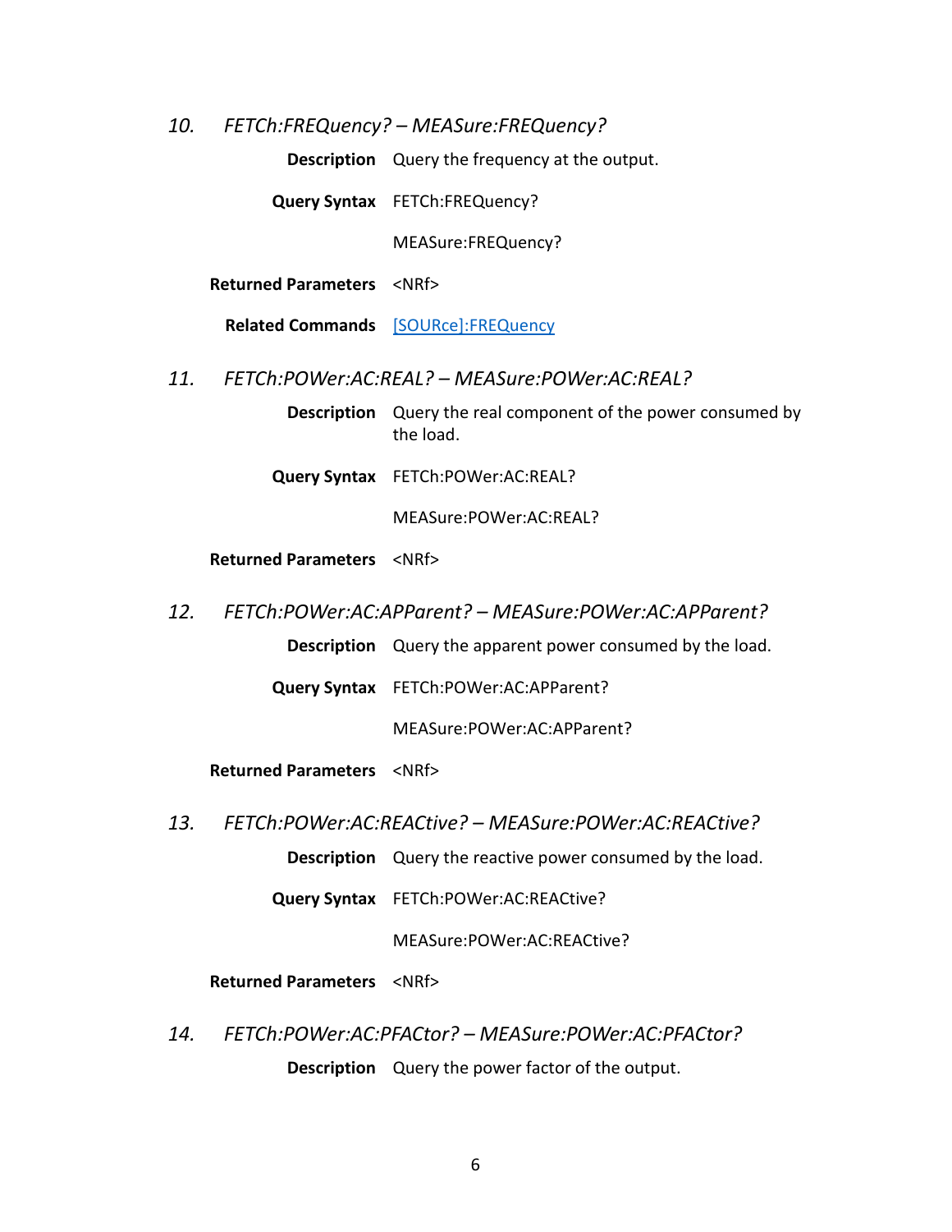<span id="page-11-0"></span>*10. FETCh:FREQuency? – MEASure:FREQuency?*

**Description** Query the frequency at the output.

**Query Syntax** FETCh:FREQuency?

MEASure:FREQuency?

**Returned Parameters** <NRf>

**Related Commands** [\[SOURce\]:FREQuency](#page-18-1)

- <span id="page-11-1"></span>*11. FETCh:POWer:AC:REAL? – MEASure:POWer:AC:REAL?*
	- **Description** Query the real component of the power consumed by the load.
	- **Query Syntax** FETCh:POWer:AC:REAL?

MEASure:POWer:AC:REAL?

#### **Returned Parameters** <NRf>

- <span id="page-11-2"></span>*12. FETCh:POWer:AC:APParent? – MEASure:POWer:AC:APParent?*
	- **Description** Query the apparent power consumed by the load.

**Query Syntax** FETCh:POWer:AC:APParent?

MEASure:POWer:AC:APParent?

**Returned Parameters** <NRf>

<span id="page-11-3"></span>*13. FETCh:POWer:AC:REACtive? – MEASure:POWer:AC:REACtive?*

**Description** Query the reactive power consumed by the load.

**Query Syntax** FETCh:POWer:AC:REACtive?

MEASure:POWer:AC:REACtive?

**Returned Parameters** <NRf>

<span id="page-11-4"></span>*14. FETCh:POWer:AC:PFACtor? – MEASure:POWer:AC:PFACtor?* **Description** Query the power factor of the output.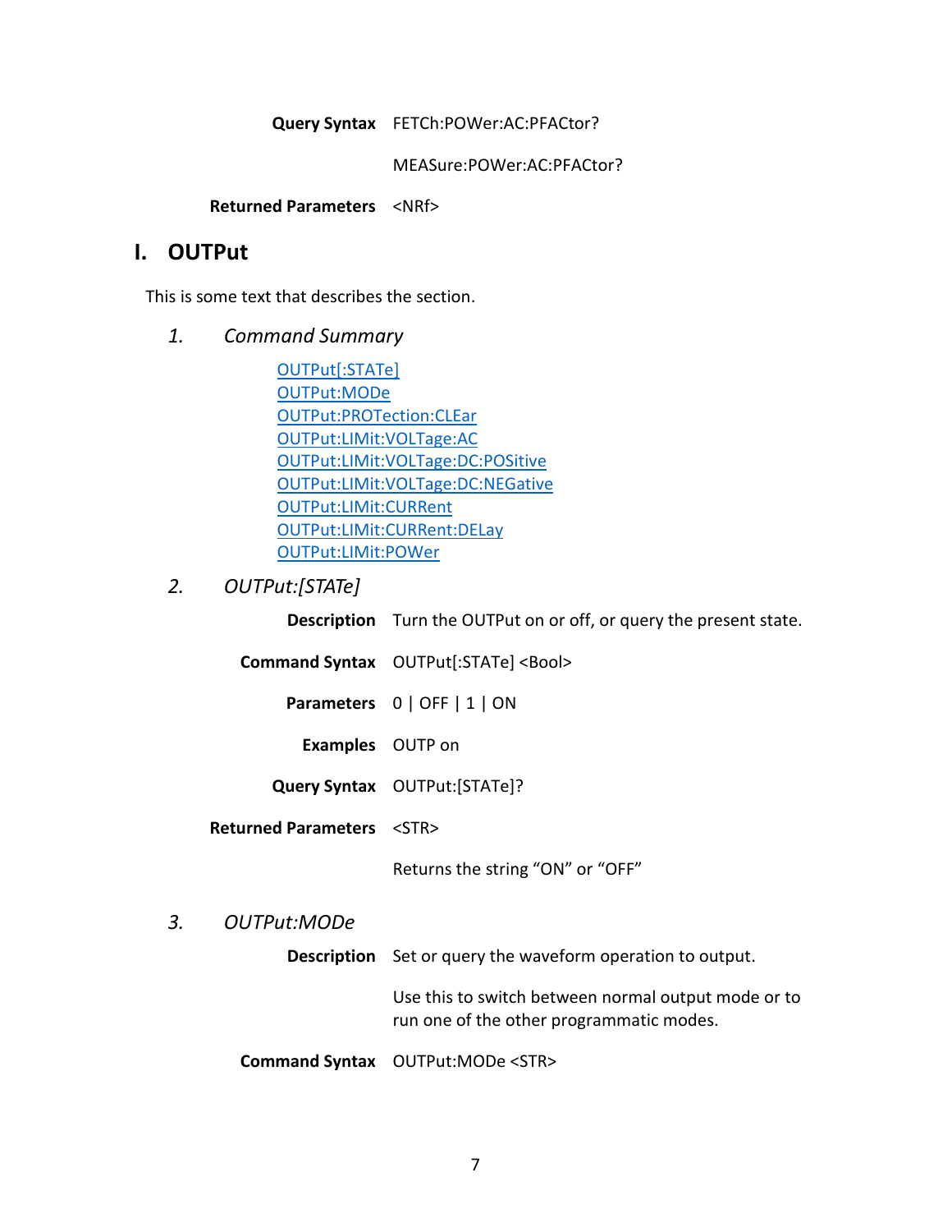#### **Query Syntax** FETCh:POWer:AC:PFACtor?

MEASure:POWer:AC:PFACtor?

**Returned Parameters** <NRf>

# <span id="page-12-0"></span>**I. OUTPut**

<span id="page-12-1"></span>This is some text that describes the section.

*1. Command Summary*

[OUTPut\[:STATe\]](#page-12-2) [OUTPut:MODe](#page-12-3) [OUTPut:PROTection:CLEar](#page-13-0) [OUTPut:LIMit:VOLTage:AC](#page-13-1) [OUTPut:LIMit:VOLTage:DC:POSitive](#page-13-2) OUTPut:LIMit:VOLTage:DC:NEGative [OUTPut:LIMit:CURRent](#page-14-1) [OUTPut:LIMit:CURRent:DELay](#page-14-2) [OUTPut:LIMit:POWer](#page-15-0)

# <span id="page-12-2"></span>*2. OUTPut:[STATe]*

**Description** Turn the OUTPut on or off, or query the present state.

- **Command Syntax** OUTPut[:STATe] <Bool>
	- **Parameters** 0 | OFF | 1 | ON
		- **Examples** OUTP on
	- **Query Syntax** OUTPut:[STATe]?

**Returned Parameters** <STR>

Returns the string "ON" or "OFF"

#### <span id="page-12-3"></span>*3. OUTPut:MODe*

**Description** Set or query the waveform operation to output.

Use this to switch between normal output mode or to run one of the other programmatic modes.

**Command Syntax** OUTPut:MODe <STR>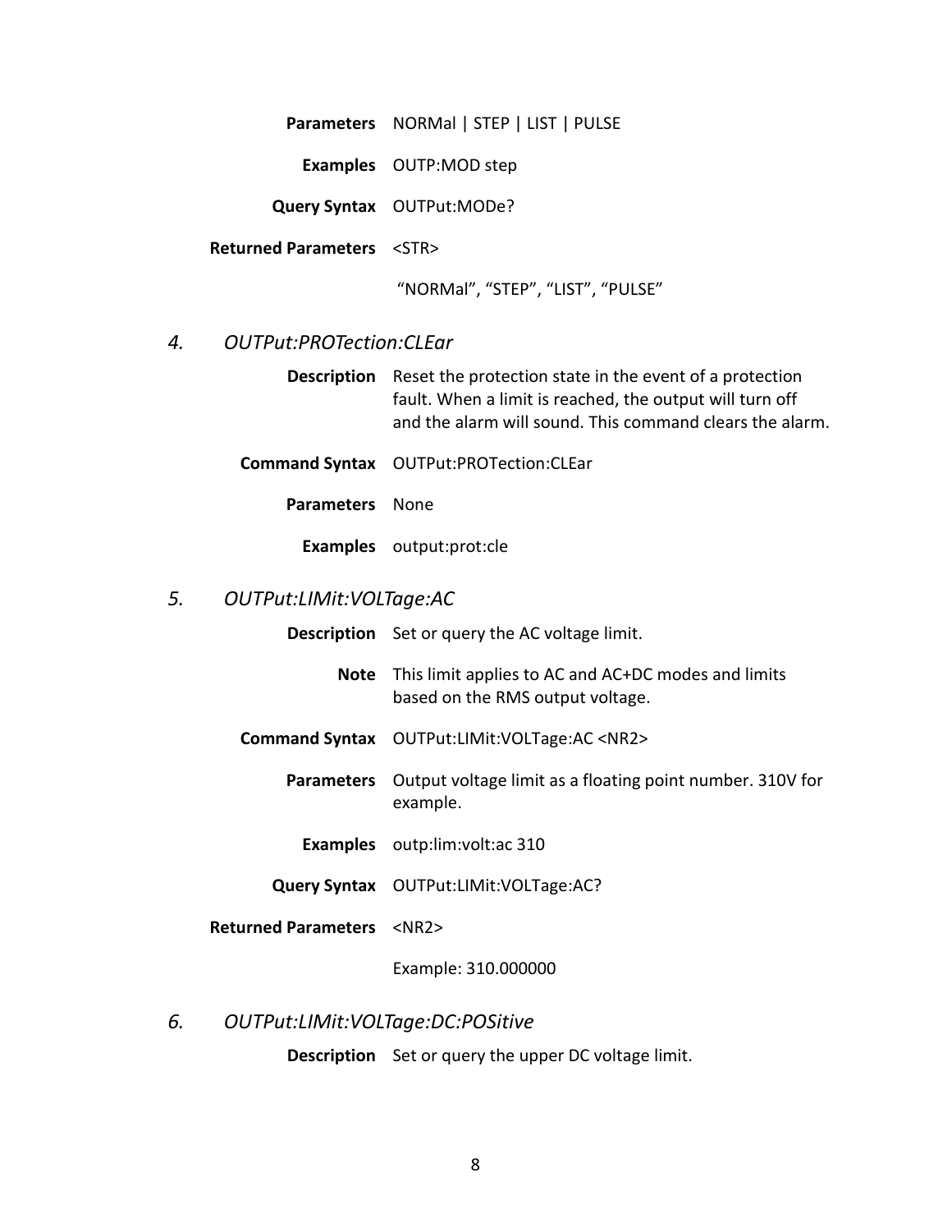**Parameters** NORMal | STEP | LIST | PULSE

**Examples** OUTP:MOD step

**Query Syntax** OUTPut:MODe?

**Returned Parameters** <STR>

"NORMal", "STEP", "LIST", "PULSE"

## <span id="page-13-0"></span>*4. OUTPut:PROTection:CLEar*

- **Description** Reset the protection state in the event of a protection fault. When a limit is reached, the output will turn off and the alarm will sound. This command clears the alarm.
- **Command Syntax** OUTPut:PROTection:CLEar
	- **Parameters** None

**Examples** output:prot:cle

#### <span id="page-13-1"></span>*5. OUTPut:LIMit:VOLTage:AC*

|  | <b>Description</b> Set or query the AC voltage limit. |
|--|-------------------------------------------------------|
|--|-------------------------------------------------------|

- **Note** This limit applies to AC and AC+DC modes and limits based on the RMS output voltage.
- **Command Syntax** OUTPut:LIMit:VOLTage:AC <NR2>
	- **Parameters** Output voltage limit as a floating point number. 310V for example.
		- **Examples** outp:lim:volt:ac 310
	- **Query Syntax** OUTPut:LIMit:VOLTage:AC?
- **Returned Parameters** <NR2>

Example: 310.000000

# <span id="page-13-2"></span>*6. OUTPut:LIMit:VOLTage:DC:POSitive*

**Description** Set or query the upper DC voltage limit.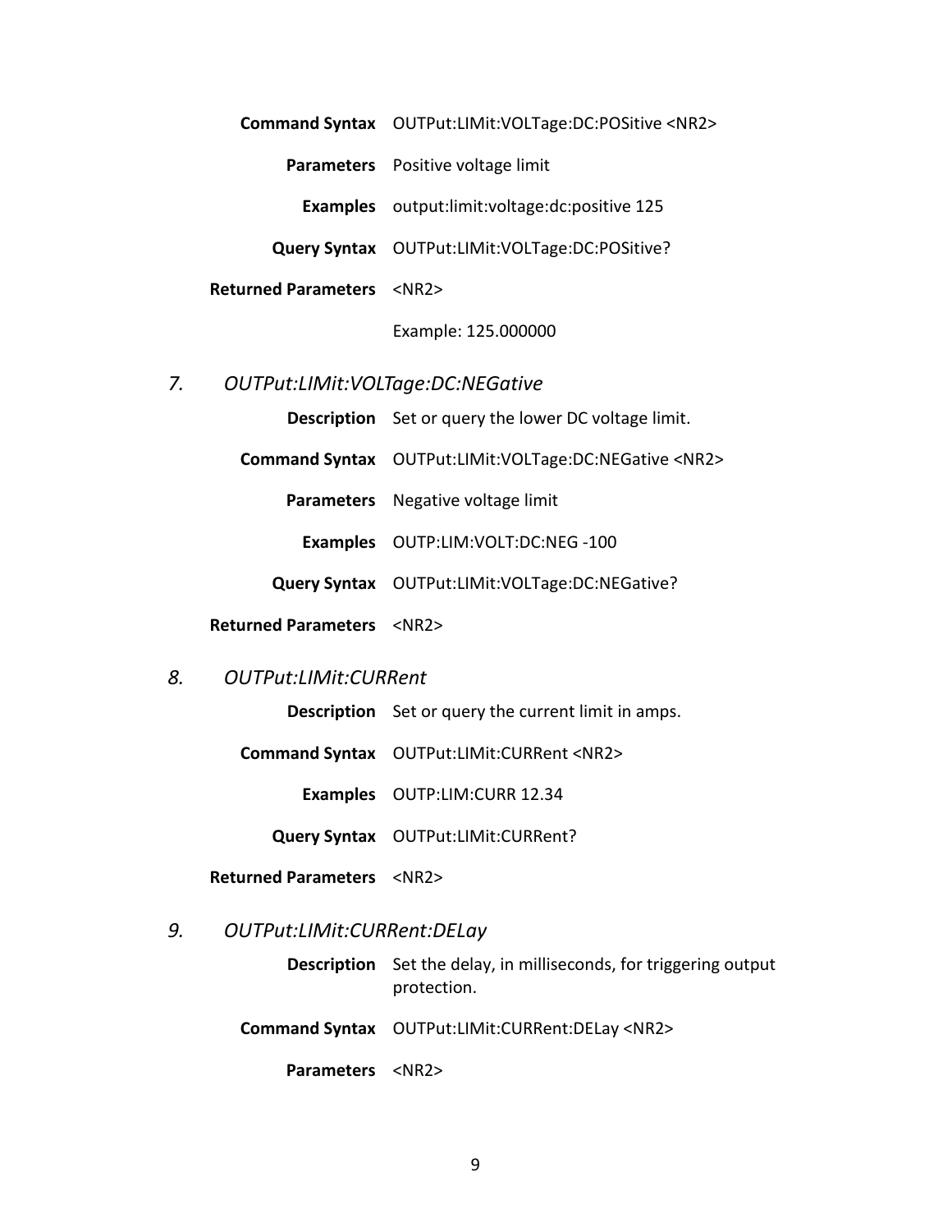**Command Syntax** OUTPut:LIMit:VOLTage:DC:POSitive <NR2>

**Parameters** Positive voltage limit

**Examples** output:limit:voltage:dc:positive 125

**Query Syntax** OUTPut:LIMit:VOLTage:DC:POSitive?

**Returned Parameters** <NR2>

Example: 125.000000

#### <span id="page-14-0"></span>*7. OUTPut:LIMit:VOLTage:DC:NEGative*

**Description** Set or query the lower DC voltage limit.

**Command Syntax** OUTPut:LIMit:VOLTage:DC:NEGative <NR2>

**Parameters** Negative voltage limit

**Examples** OUTP:LIM:VOLT:DC:NEG -100

**Query Syntax** OUTPut:LIMit:VOLTage:DC:NEGative?

**Returned Parameters** <NR2>

#### <span id="page-14-1"></span>*8. OUTPut:LIMit:CURRent*

**Description** Set or query the current limit in amps.

**Command Syntax** OUTPut:LIMit:CURRent <NR2>

**Examples** OUTP:LIM:CURR 12.34

**Query Syntax** OUTPut:LIMit:CURRent?

**Returned Parameters** <NR2>

#### <span id="page-14-2"></span>*9. OUTPut:LIMit:CURRent:DELay*

**Description** Set the delay, in milliseconds, for triggering output protection.

**Command Syntax** OUTPut:LIMit:CURRent:DELay <NR2>

**Parameters** <NR2>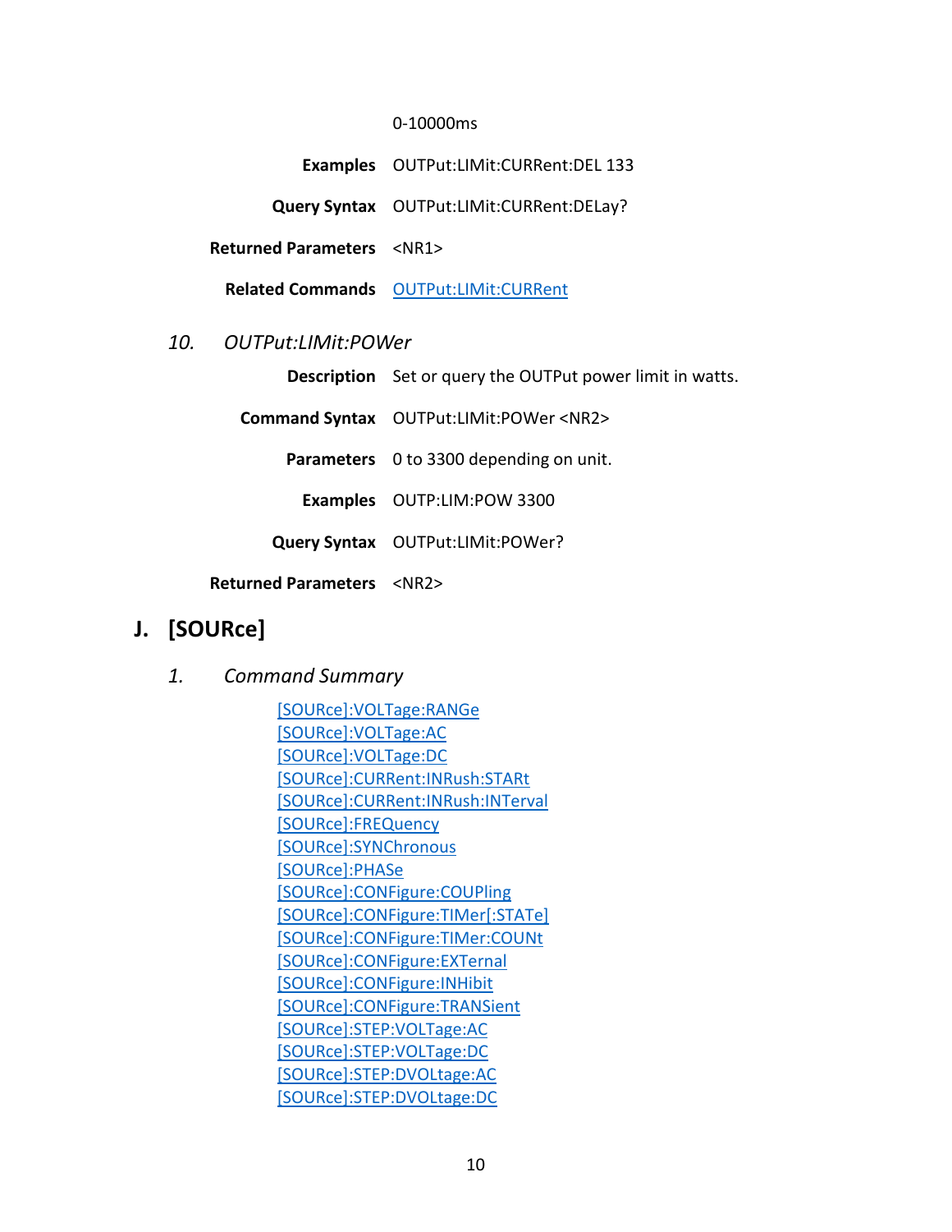#### 0-10000ms

**Examples** OUTPut:LIMit:CURRent:DEL 133

**Query Syntax** OUTPut:LIMit:CURRent:DELay?

**Returned Parameters** <NR1>

**Related Commands** [OUTPut:LIMit:CURRent](#page-14-1)

## <span id="page-15-0"></span>*10. OUTPut:LIMit:POWer*

**Description** Set or query the OUTPut power limit in watts.

**Command Syntax** OUTPut:LIMit:POWer <NR2>

**Parameters** 0 to 3300 depending on unit.

**Examples** OUTP:LIM:POW 3300

**Query Syntax** OUTPut:LIMit:POWer?

**Returned Parameters** <NR2>

# <span id="page-15-2"></span><span id="page-15-1"></span>**J. [SOURce]**

*1. Command Summary*

[\[SOURce\]:VOLTage:RANGe](#page-16-0) [\[SOURce\]:VOLTage:AC](#page-17-0) [\[SOURce\]:VOLTage:DC](#page-17-1) [\[SOURce\]:CURRent:INRush:STARt](#page-17-2) [\[SOURce\]:CURRent:INRush:INTerval](#page-18-0) [\[SOURce\]:FREQuency](#page-18-1) [\[SOURce\]:SYNChronous](#page-18-2) [\[SOURce\]:PHASe](#page-19-0) [\[SOURce\]:CONFigure:COUPling](#page-19-1) [\[SOURce\]:CONFigure:TIMer\[:STATe\]](#page-20-0) [\[SOURce\]:CONFigure:TIMer:COUNt](#page-20-1) [\[SOURce\]:CONFigure:EXTernal](#page-21-0) [\[SOURce\]:CONFigure:INHibit](#page-21-1) [\[SOURce\]:CONFigure:TRANSient](#page-22-0) [\[SOURce\]:STEP:VOLTage:AC](#page-22-1) [\[SOURce\]:STEP:VOLTage:DC](#page-23-0) [\[SOURce\]:STEP:DVOLtage:AC](#page-23-1) [\[SOURce\]:STEP:DVOLtage:DC](#page-23-1)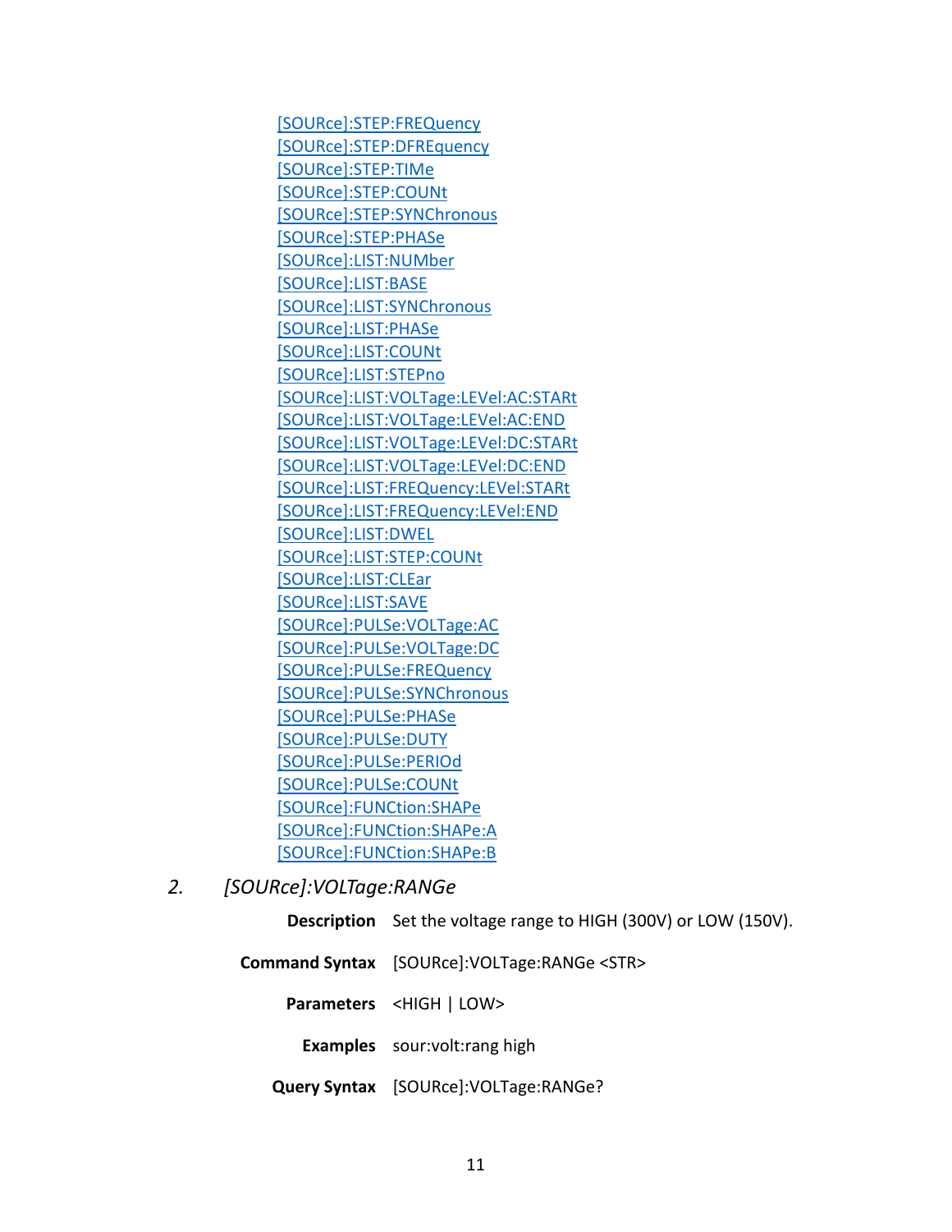[\[SOURce\]:STEP:FREQuency](#page-24-1) [\[SOURce\]:STEP:DFREquency](#page-24-3) [\[SOURce\]:STEP:TIMe](#page-25-0) [\[SOURce\]:STEP:COUNt](#page-25-1) [\[SOURce\]:STEP:SYNChronous](#page-26-0) [\[SOURce\]:STEP:PHASe](#page-26-1) [\[SOURce\]:LIST:NUMber](#page-26-2) [\[SOURce\]:LIST:BASE](#page-28-0) [\[SOURce\]:LIST:SYNChronous](#page-29-0) [\[SOURce\]:LIST:PHASe](#page-29-1) [\[SOURce\]:LIST:COUNt](#page-29-2) [\[SOURce\]:LIST:STEPno](#page-30-0) [\[SOURce\]:LIST:VOLTage:LEVel:AC:STARt](#page-33-3) [\[SOURce\]:LIST:VOLTage:LEVel:AC:END](#page-33-2) [\[SOURce\]:LIST:VOLTage:LEVel:DC:STARt](#page-34-0) [\[SOURce\]:LIST:VOLTage:LEVel:DC:END](#page-34-1) [\[SOURce\]:LIST:FREQuency:LEVel:STARt](#page-34-2) [\[SOURce\]:LIST:FREQuency:LEVel:END](#page-35-0) [\[SOURce\]:LIST:DWEL](#page-35-1) [\[SOURce\]:LIST:STEP:COUNt](#page-35-1) [\[SOURce\]:LIST:CLEar](#page-35-1) [\[SOURce\]:LIST:SAVE](#page-35-2) [SOURce]:PULSe:VOLTage:AC [\[SOURce\]:PULSe:VOLTage:DC](#page-36-0) [\[SOURce\]:PULSe:FREQuency](#page-36-1) [\[SOURce\]:PULSe:SYNChronous](#page-36-2) [\[SOURce\]:PULSe:PHASe](#page-37-0) [\[SOURce\]:PULSe:DUTY](#page-37-1) [\[SOURce\]:PULSe:PERIOd](#page-38-0) [\[SOURce\]:PULSe:COUNt](#page-38-1) [\[SOURce\]:FUNCtion:SHAPe](#page-38-2) [\[SOURce\]:FUNCtion:SHAPe:A](#page-39-0) [\[SOURce\]:FUNCtion:SHAPe:B](#page-39-1)

<span id="page-16-0"></span>*2. [SOURce]:VOLTage:RANGe*

**Description** Set the voltage range to HIGH (300V) or LOW (150V).

**Command Syntax** [SOURce]:VOLTage:RANGe <STR>

**Parameters** <HIGH | LOW>

**Examples** sour:volt:rang high

**Query Syntax** [SOURce]:VOLTage:RANGe?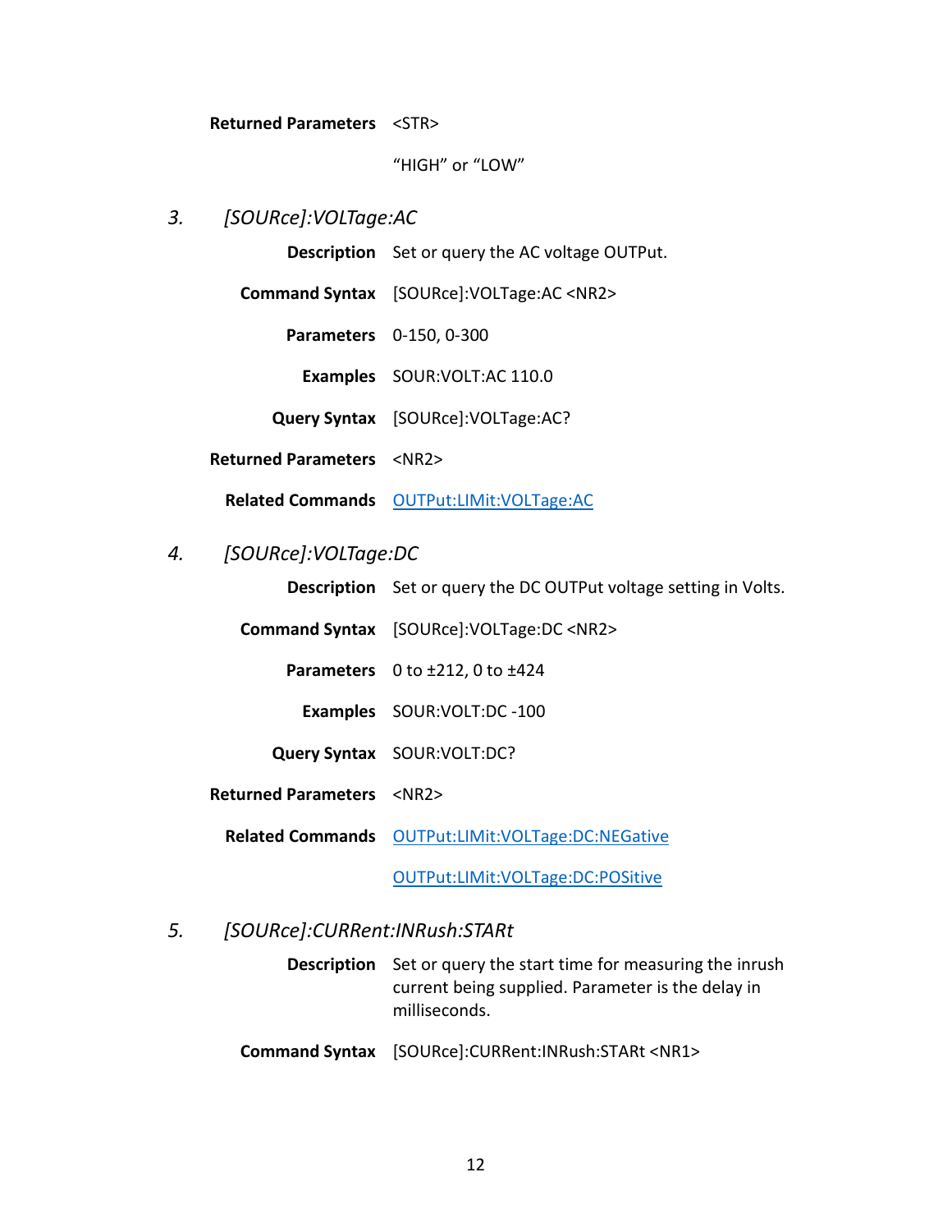#### **Returned Parameters** <STR>

"HIGH" or "LOW"

# <span id="page-17-0"></span>*3. [SOURce]:VOLTage:AC*

**Description** Set or query the AC voltage OUTPut.

**Command Syntax** [SOURce]:VOLTage:AC <NR2>

**Parameters** 0-150, 0-300

**Examples** SOUR:VOLT:AC 110.0

**Query Syntax** [SOURce]:VOLTage:AC?

**Returned Parameters** <NR2>

**Related Commands** [OUTPut:LIMit:VOLTage:AC](#page-13-1)

# <span id="page-17-1"></span>*4. [SOURce]:VOLTage:DC*

**Description** Set or query the DC OUTPut voltage setting in Volts.

**Command Syntax** [SOURce]:VOLTage:DC <NR2>

**Parameters** 0 to ±212, 0 to ±424

**Examples** SOUR:VOLT:DC -100

**Query Syntax** SOUR:VOLT:DC?

**Returned Parameters** <NR2>

**Related Commands** [OUTPut:LIMit:VOLTage:DC:NEGative](#page-14-0)

[OUTPut:LIMit:VOLTage:DC:POSitive](#page-13-2)

#### <span id="page-17-2"></span>*5. [SOURce]:CURRent:INRush:STARt*

**Description** Set or query the start time for measuring the inrush current being supplied. Parameter is the delay in milliseconds.

**Command Syntax** [SOURce]:CURRent:INRush:STARt <NR1>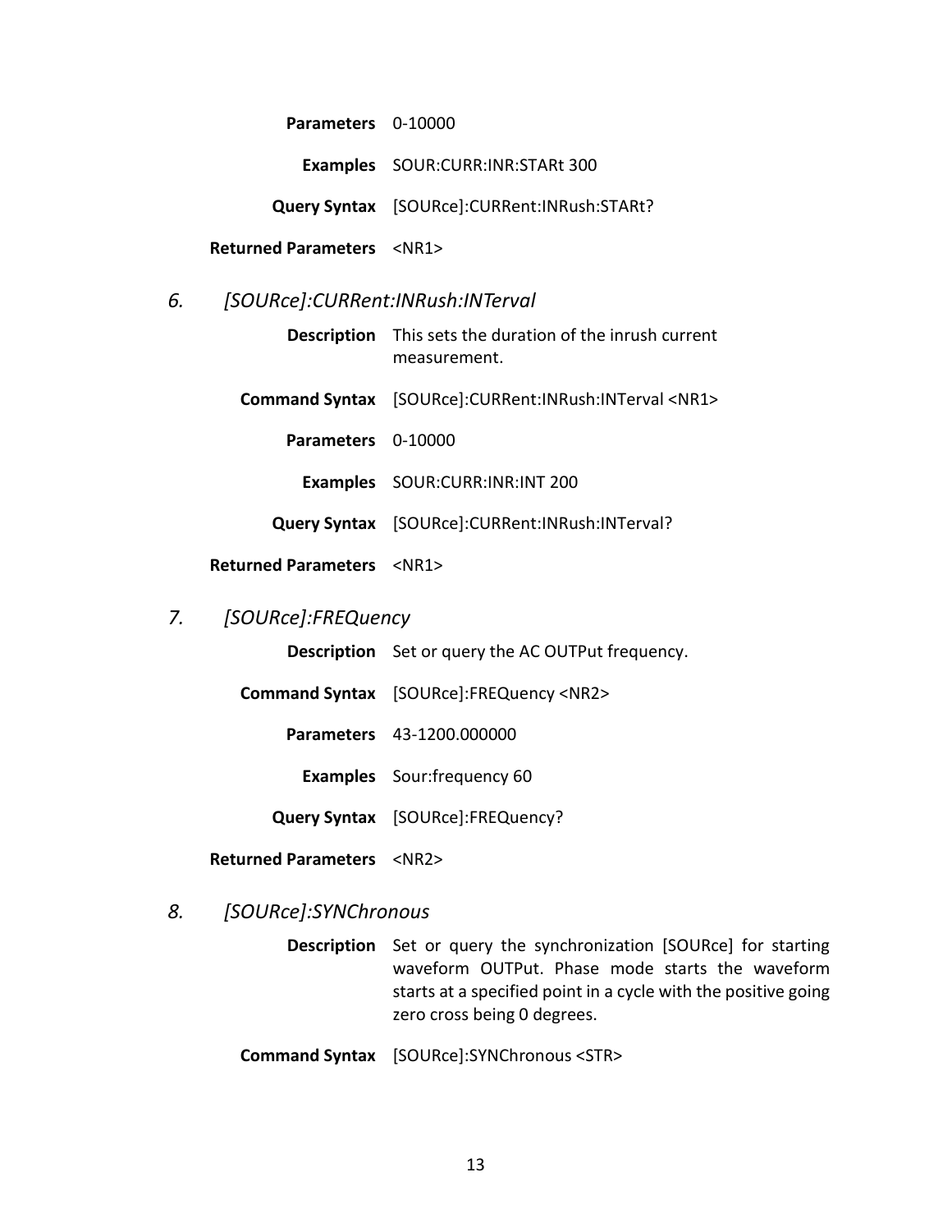**Parameters** 0-10000

**Examples** SOUR:CURR:INR:STARt 300

**Query Syntax** [SOURce]:CURRent:INRush:STARt?

**Returned Parameters** <NR1>

<span id="page-18-0"></span>*6. [SOURce]:CURRent:INRush:INTerval*

**Description** This sets the duration of the inrush current measurement.

**Command Syntax** [SOURce]:CURRent:INRush:INTerval <NR1>

**Parameters** 0-10000

**Examples** SOUR:CURR:INR:INT 200

**Query Syntax** [SOURce]:CURRent:INRush:INTerval?

**Returned Parameters** <NR1>

# <span id="page-18-1"></span>*7. [SOURce]:FREQuency*

**Description** Set or query the AC OUTPut frequency.

**Command Syntax** [SOURce]:FREQuency <NR2>

**Parameters** 43-1200.000000

**Examples** Sour:frequency 60

**Query Syntax** [SOURce]:FREQuency?

**Returned Parameters** <NR2>

# <span id="page-18-2"></span>*8. [SOURce]:SYNChronous*

**Description** Set or query the synchronization [SOURce] for starting waveform OUTPut. Phase mode starts the waveform starts at a specified point in a cycle with the positive going zero cross being 0 degrees.

**Command Syntax** [SOURce]:SYNChronous <STR>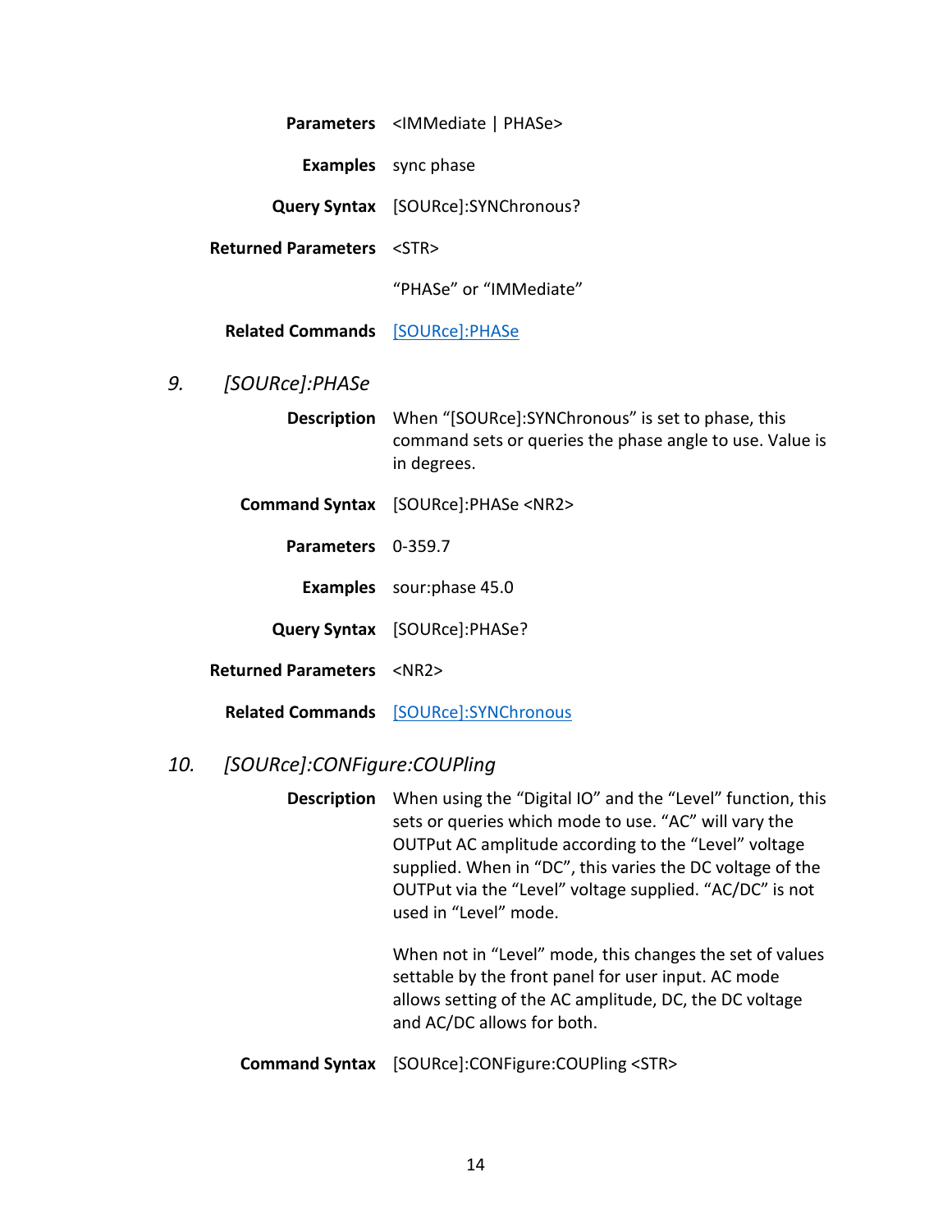| <b>Parameters</b> | <immediate phase=""  =""></immediate> |  |
|-------------------|---------------------------------------|--|
|-------------------|---------------------------------------|--|

**Examples** sync phase

**Query Syntax** [SOURce]:SYNChronous?

**Returned Parameters** <STR>

"PHASe" or "IMMediate"

**Related Commands** [\[SOURce\]:PHASe](#page-19-0)

<span id="page-19-0"></span>*9. [SOURce]:PHASe*

**Description** When "[SOURce]:SYNChronous" is set to phase, this command sets or queries the phase angle to use. Value is in degrees.

- **Command Syntax** [SOURce]:PHASe <NR2>
	- **Parameters** 0-359.7

**Examples** sour:phase 45.0

**Query Syntax** [SOURce]:PHASe?

**Returned Parameters** <NR2>

**Related Commands** [\[SOURce\]:SYNChronous](#page-18-2)

#### <span id="page-19-1"></span>*10. [SOURce]:CONFigure:COUPling*

**Description** When using the "Digital IO" and the "Level" function, this sets or queries which mode to use. "AC" will vary the OUTPut AC amplitude according to the "Level" voltage supplied. When in "DC", this varies the DC voltage of the OUTPut via the "Level" voltage supplied. "AC/DC" is not used in "Level" mode.

> When not in "Level" mode, this changes the set of values settable by the front panel for user input. AC mode allows setting of the AC amplitude, DC, the DC voltage and AC/DC allows for both.

**Command Syntax** [SOURce]:CONFigure:COUPling <STR>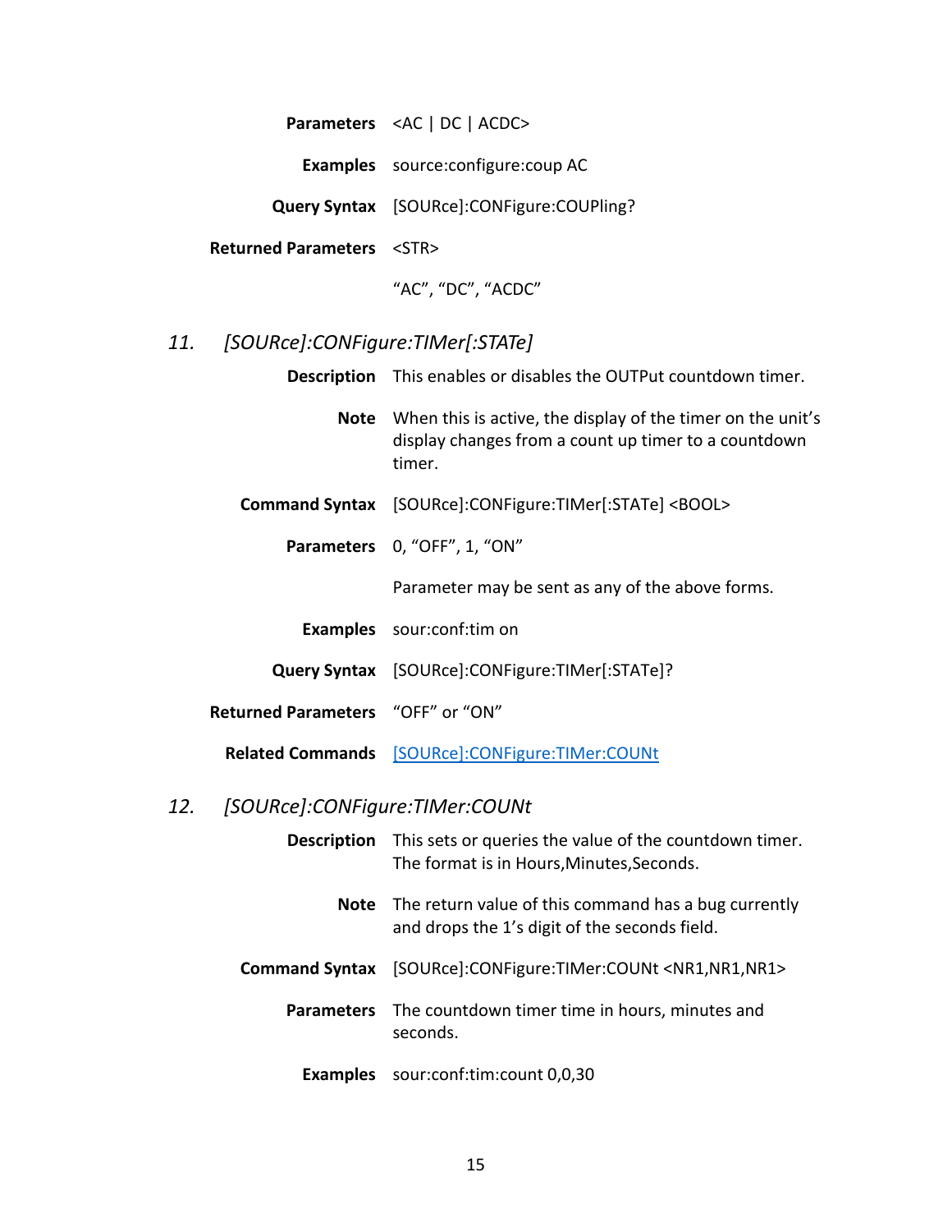**Parameters** <AC | DC | ACDC>

**Examples** source:configure:coup AC

**Query Syntax** [SOURce]:CONFigure:COUPling?

**Returned Parameters** <STR>

"AC", "DC", "ACDC"

# <span id="page-20-0"></span>*11. [SOURce]:CONFigure:TIMer[:STATe]*

**Description** This enables or disables the OUTPut countdown timer.

**Note** When this is active, the display of the timer on the unit's display changes from a count up timer to a countdown timer.

- **Command Syntax** [SOURce]:CONFigure:TIMer[:STATe] <BOOL>
	- **Parameters** 0, "OFF", 1, "ON"

Parameter may be sent as any of the above forms.

- **Examples** sour:conf:tim on
- **Query Syntax** [SOURce]:CONFigure:TIMer[:STATe]?
- **Returned Parameters** "OFF" or "ON"

**Related Commands** [\[SOURce\]:CONFigure:TIMer:COUNt](#page-20-1)

# <span id="page-20-1"></span>*12. [SOURce]:CONFigure:TIMer:COUNt*

|             | <b>Description</b> This sets or queries the value of the countdown timer.<br>The format is in Hours, Minutes, Seconds. |
|-------------|------------------------------------------------------------------------------------------------------------------------|
| <b>Note</b> | The return value of this command has a bug currently<br>and drops the 1's digit of the seconds field.                  |
|             | Command Syntax [SOURce]:CONFigure:TIMer:COUNt <nr1,nr1,nr1></nr1,nr1,nr1>                                              |
|             | <b>Parameters</b> The countdown timer time in hours, minutes and<br>seconds.                                           |
|             | <b>Examples</b> sour:conf:tim:count 0,0,30                                                                             |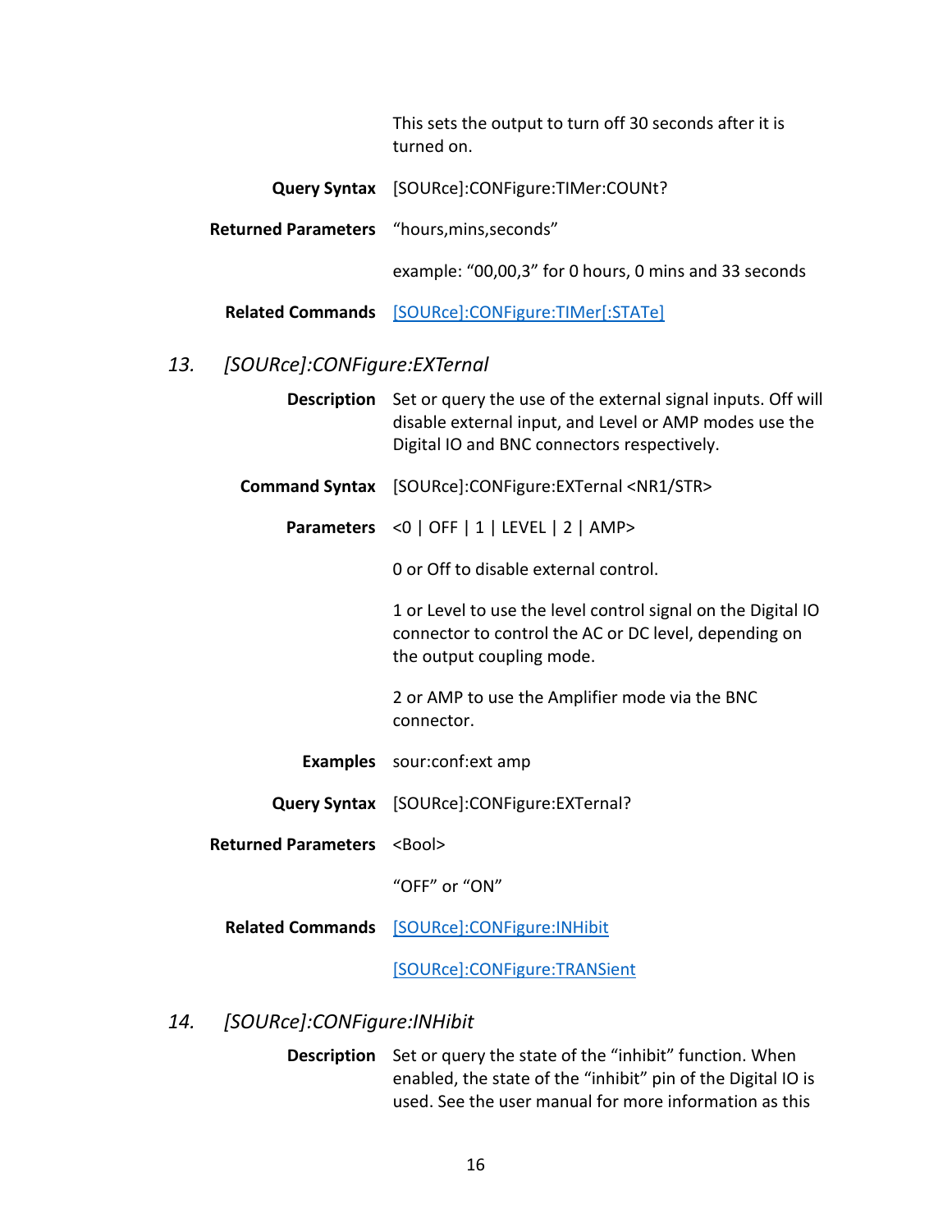This sets the output to turn off 30 seconds after it is turned on.

**Query Syntax** [SOURce]:CONFigure:TIMer:COUNt?

**Returned Parameters** "hours,mins,seconds"

example: "00,00,3" for 0 hours, 0 mins and 33 seconds

**Related Commands** [\[SOURce\]:CONFigure:TIMer\[:STATe\]](#page-20-0)

## <span id="page-21-0"></span>*13. [SOURce]:CONFigure:EXTernal*

| <b>Description</b> Set or query the use of the external signal inputs. Off will |
|---------------------------------------------------------------------------------|
| disable external input, and Level or AMP modes use the                          |
| Digital IO and BNC connectors respectively.                                     |

**Command Syntax** [SOURce]:CONFigure:EXTernal <NR1/STR>

**Parameters** <0 | OFF | 1 | LEVEL | 2 | AMP>

0 or Off to disable external control.

1 or Level to use the level control signal on the Digital IO connector to control the AC or DC level, depending on the output coupling mode.

2 or AMP to use the Amplifier mode via the BNC connector.

- **Examples** sour:conf:ext amp
- **Query Syntax** [SOURce]:CONFigure:EXTernal?
- **Returned Parameters <Bool>**

"OFF" or "ON"

**Related Commands** [\[SOURce\]:CONFigure:INHibit](#page-21-1)

[\[SOURce\]:CONFigure:TRANSient](#page-22-0)

#### <span id="page-21-1"></span>*14. [SOURce]:CONFigure:INHibit*

**Description** Set or query the state of the "inhibit" function. When enabled, the state of the "inhibit" pin of the Digital IO is used. See the user manual for more information as this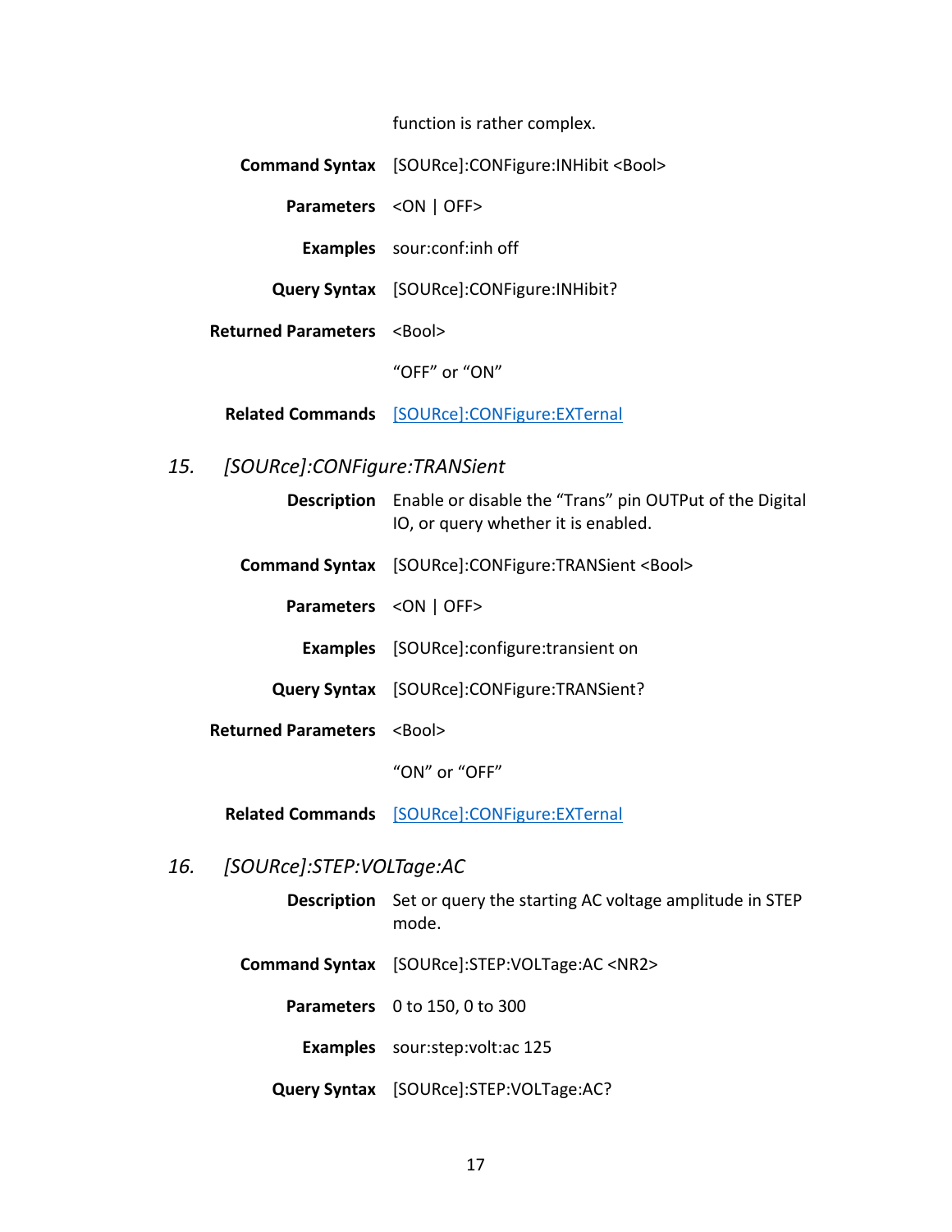function is rather complex.

**Command Syntax** [SOURce]:CONFigure:INHibit <Bool>

**Parameters** <ON | OFF>

**Examples** sour:conf:inh off

**Query Syntax** [SOURce]:CONFigure:INHibit?

**Returned Parameters <Bool>** 

"OFF" or "ON"

**Related Commands** [\[SOURce\]:CONFigure:EXTernal](#page-21-0)

# <span id="page-22-0"></span>*15. [SOURce]:CONFigure:TRANSient*

|                                          | <b>Description</b> Enable or disable the "Trans" pin OUTPut of the Digital<br>IO, or query whether it is enabled. |
|------------------------------------------|-------------------------------------------------------------------------------------------------------------------|
|                                          | Command Syntax [SOURce]:CONFigure:TRANSient <bool></bool>                                                         |
|                                          | Parameters < ON   OFF>                                                                                            |
|                                          | <b>Examples</b> [SOURce]:configure:transient on                                                                   |
|                                          | <b>Query Syntax</b> [SOURce]: CONFigure: TRANSient?                                                               |
| <b>Returned Parameters <bool></bool></b> |                                                                                                                   |
|                                          | "ON" or "OFF"                                                                                                     |
|                                          |                                                                                                                   |

**Related Commands** [\[SOURce\]:CONFigure:EXTernal](#page-21-0)

<span id="page-22-1"></span>*16. [SOURce]:STEP:VOLTage:AC*

- **Description** Set or query the starting AC voltage amplitude in STEP mode.
- **Command Syntax** [SOURce]:STEP:VOLTage:AC <NR2>

**Parameters** 0 to 150, 0 to 300

**Examples** sour:step:volt:ac 125

**Query Syntax** [SOURce]:STEP:VOLTage:AC?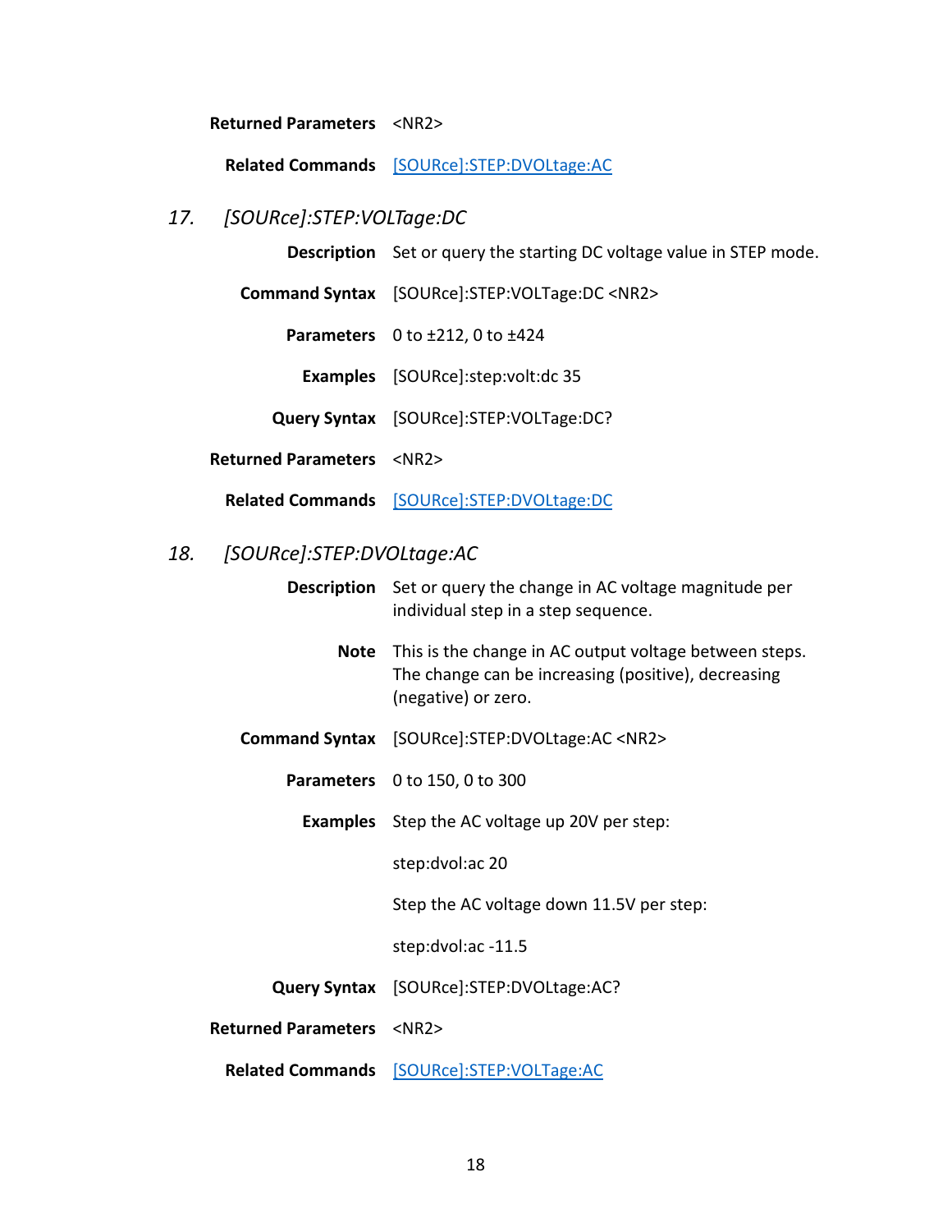#### **Returned Parameters** <NR2>

**Related Commands** [\[SOURce\]:STEP:DVOLtage:AC](#page-23-1)

# <span id="page-23-0"></span>*17. [SOURce]:STEP:VOLTage:DC*

**Description** Set or query the starting DC voltage value in STEP mode.

**Command Syntax** [SOURce]:STEP:VOLTage:DC <NR2>

**Parameters** 0 to ±212, 0 to ±424

**Examples** [SOURce]:step:volt:dc 35

**Query Syntax** [SOURce]:STEP:VOLTage:DC?

**Returned Parameters** <NR2>

**Related Commands** [\[SOURce\]:STEP:DVOLtage:DC](#page-24-0)

# <span id="page-23-1"></span>*18. [SOURce]:STEP:DVOLtage:AC*

|                                        | <b>Description</b> Set or query the change in AC voltage magnitude per<br>individual step in a step sequence.                        |
|----------------------------------------|--------------------------------------------------------------------------------------------------------------------------------------|
| Note                                   | This is the change in AC output voltage between steps.<br>The change can be increasing (positive), decreasing<br>(negative) or zero. |
|                                        | Command Syntax [SOURce]:STEP:DVOLtage:AC <nr2></nr2>                                                                                 |
|                                        | Parameters 0 to 150, 0 to 300                                                                                                        |
|                                        | <b>Examples</b> Step the AC voltage up 20V per step:                                                                                 |
|                                        | step:dvol:ac 20                                                                                                                      |
|                                        | Step the AC voltage down 11.5V per step:                                                                                             |
|                                        | step:dvol:ac -11.5                                                                                                                   |
|                                        | Query Syntax [SOURce]:STEP:DVOLtage:AC?                                                                                              |
| <b>Returned Parameters <nr2></nr2></b> |                                                                                                                                      |
|                                        | Related Commands [SOURce]:STEP:VOLTage:AC                                                                                            |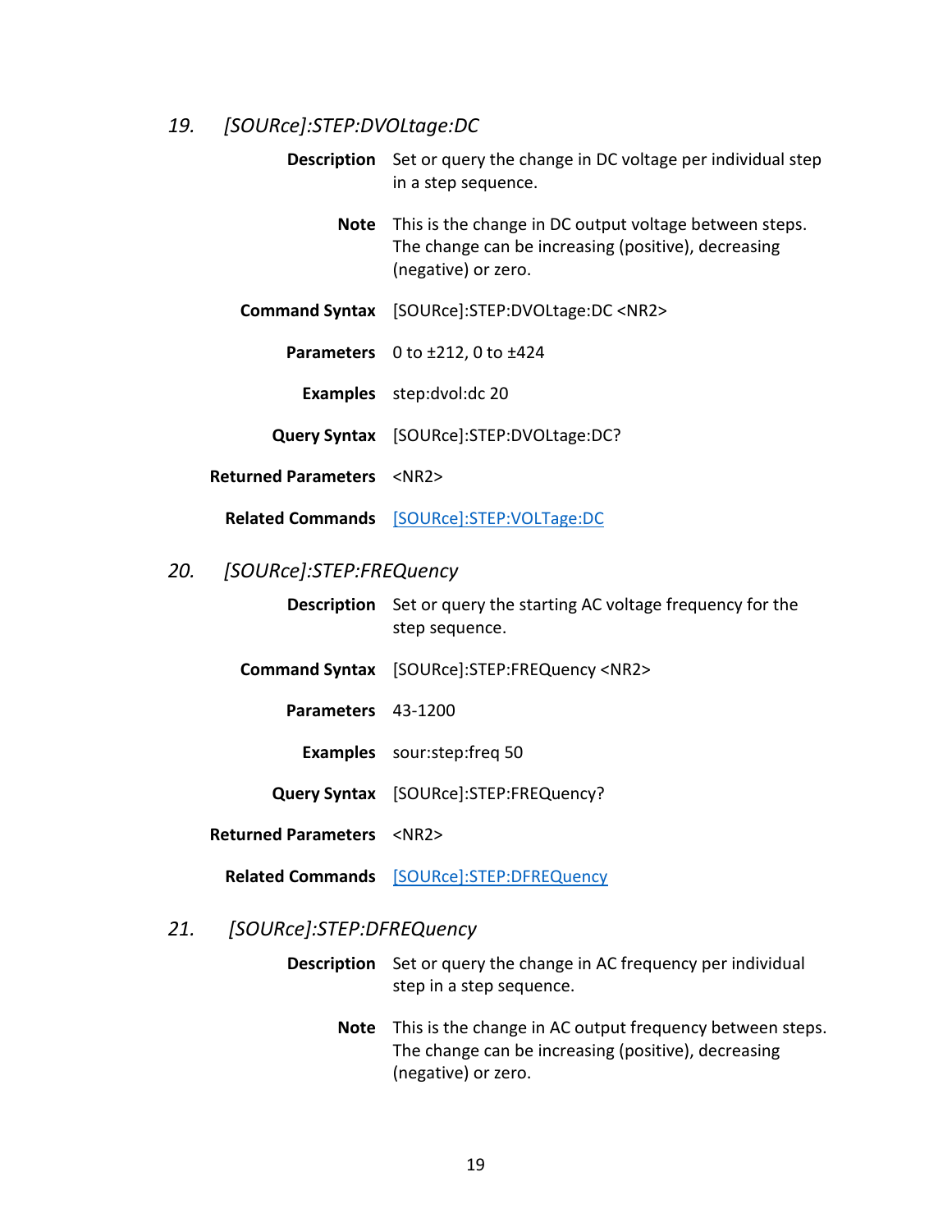# <span id="page-24-0"></span>*19. [SOURce]:STEP:DVOLtage:DC*

**Description** Set or query the change in DC voltage per individual step in a step sequence.

**Note** This is the change in DC output voltage between steps. The change can be increasing (positive), decreasing (negative) or zero.

**Command Syntax** [SOURce]:STEP:DVOLtage:DC <NR2>

**Parameters** 0 to ±212, 0 to ±424

**Examples** step:dvol:dc 20

**Query Syntax** [SOURce]:STEP:DVOLtage:DC?

**Returned Parameters** <NR2>

**Related Commands** [\[SOURce\]:STEP:VOLTage:DC](#page-23-0)

## <span id="page-24-1"></span>*20. [SOURce]:STEP:FREQuency*

**Description** Set or query the starting AC voltage frequency for the step sequence.

- **Command Syntax** [SOURce]:STEP:FREQuency <NR2>
	- **Parameters** 43-1200
		- **Examples** sour:step:freq 50

**Query Syntax** [SOURce]:STEP:FREQuency?

- **Returned Parameters** <NR2>
	- **Related Commands** [\[SOURce\]:STEP:DFREQuency](#page-24-3)

#### <span id="page-24-3"></span><span id="page-24-2"></span>*21. [SOURce]:STEP:DFREQuency*

- **Description** Set or query the change in AC frequency per individual step in a step sequence.
	- **Note** This is the change in AC output frequency between steps. The change can be increasing (positive), decreasing (negative) or zero.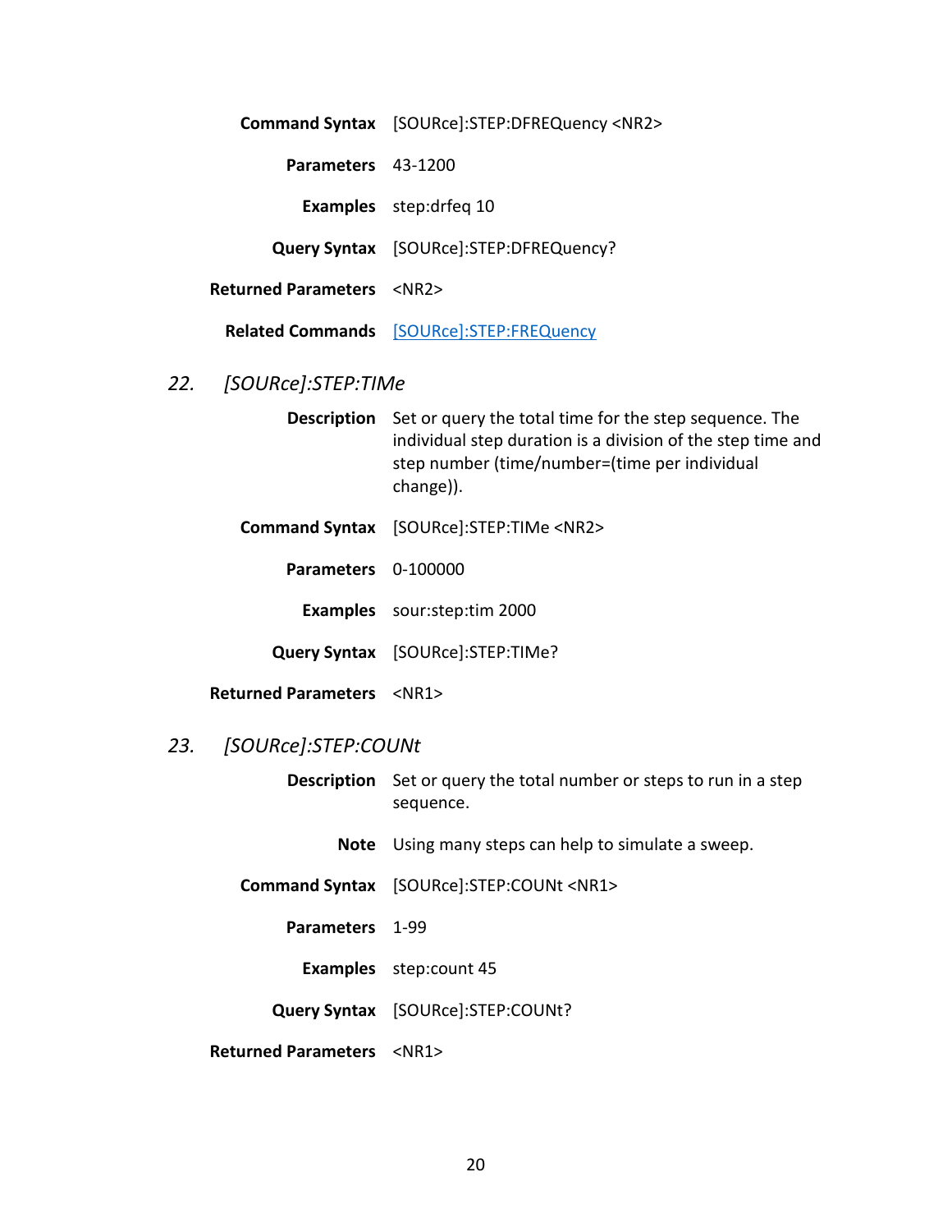**Command Syntax** [SOURce]:STEP:DFREQuency <NR2> **Parameters** 43-1200 **Examples** step:drfeq 10 **Query Syntax** [SOURce]:STEP:DFREQuency? **Returned Parameters** <NR2> **Related Commands** [\[SOURce\]:STEP:FREQuency](#page-24-1)

# <span id="page-25-0"></span>*22. [SOURce]:STEP:TIMe*

**Description** Set or query the total time for the step sequence. The individual step duration is a division of the step time and step number (time/number=(time per individual change)).

**Command Syntax** [SOURce]:STEP:TIMe <NR2>

**Parameters** 0-100000

**Examples** sour:step:tim 2000

**Query Syntax** [SOURce]:STEP:TIMe?

**Returned Parameters** <NR1>

# <span id="page-25-1"></span>*23. [SOURce]:STEP:COUNt*

**Description** Set or query the total number or steps to run in a step sequence.

**Note** Using many steps can help to simulate a sweep.

**Command Syntax** [SOURce]:STEP:COUNt <NR1>

**Parameters** 1-99

**Examples** step:count 45

**Query Syntax** [SOURce]:STEP:COUNt?

**Returned Parameters** <NR1>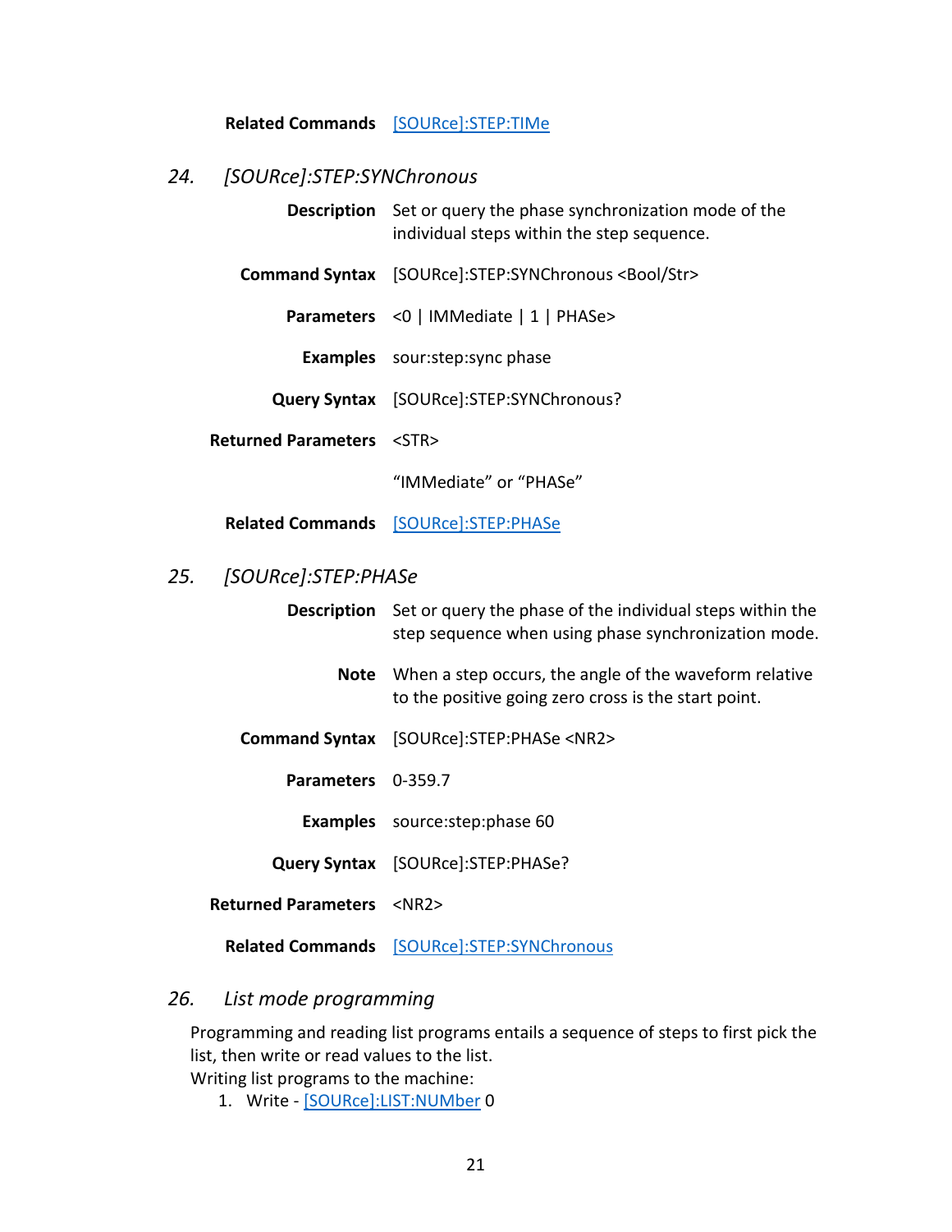# **Related Commands** [\[SOURce\]:STEP:TIMe](#page-25-0)

# <span id="page-26-0"></span>*24. [SOURce]:STEP:SYNChronous*

<span id="page-26-1"></span>

| <b>Description</b>         | Set or query the phase synchronization mode of the<br>individual steps within the step sequence.                                     |
|----------------------------|--------------------------------------------------------------------------------------------------------------------------------------|
| <b>Command Syntax</b>      | [SOURce]:STEP:SYNChronous <bool str=""></bool>                                                                                       |
| <b>Parameters</b>          | <0   IMMediate   1   PHASe>                                                                                                          |
| <b>Examples</b>            | sour:step:sync phase                                                                                                                 |
| <b>Query Syntax</b>        | [SOURce]:STEP:SYNChronous?                                                                                                           |
| <b>Returned Parameters</b> | $<$ STR $>$                                                                                                                          |
|                            | "IMMediate" or "PHASe"                                                                                                               |
|                            | Related Commands [SOURce]:STEP:PHASe                                                                                                 |
| [SOURce]:STEP:PHASe<br>25. |                                                                                                                                      |
|                            | <b>Description</b> Set or query the phase of the individual steps within the<br>step sequence when using phase synchronization mode. |
| <b>Note</b>                | When a step occurs, the angle of the waveform relative<br>to the positive going zero cross is the start point.                       |
| <b>Command Syntax</b>      | [SOURce]:STEP:PHASe <nr2></nr2>                                                                                                      |
| Parameters                 | $0 - 359.7$                                                                                                                          |
|                            | <b>Examples</b> source: step: phase 60                                                                                               |
| <b>Query Syntax</b>        | [SOURce]:STEP:PHASe?                                                                                                                 |
| <b>Returned Parameters</b> | $<$ NR2 $>$                                                                                                                          |
|                            | Related Commands [SOURce]:STEP:SYNChronous                                                                                           |

# <span id="page-26-2"></span>*26. List mode programming*

Programming and reading list programs entails a sequence of steps to first pick the list, then write or read values to the list.

Writing list programs to the machine:

1. Write - [\[SOURce\]:LIST:NUMber](#page-27-0) 0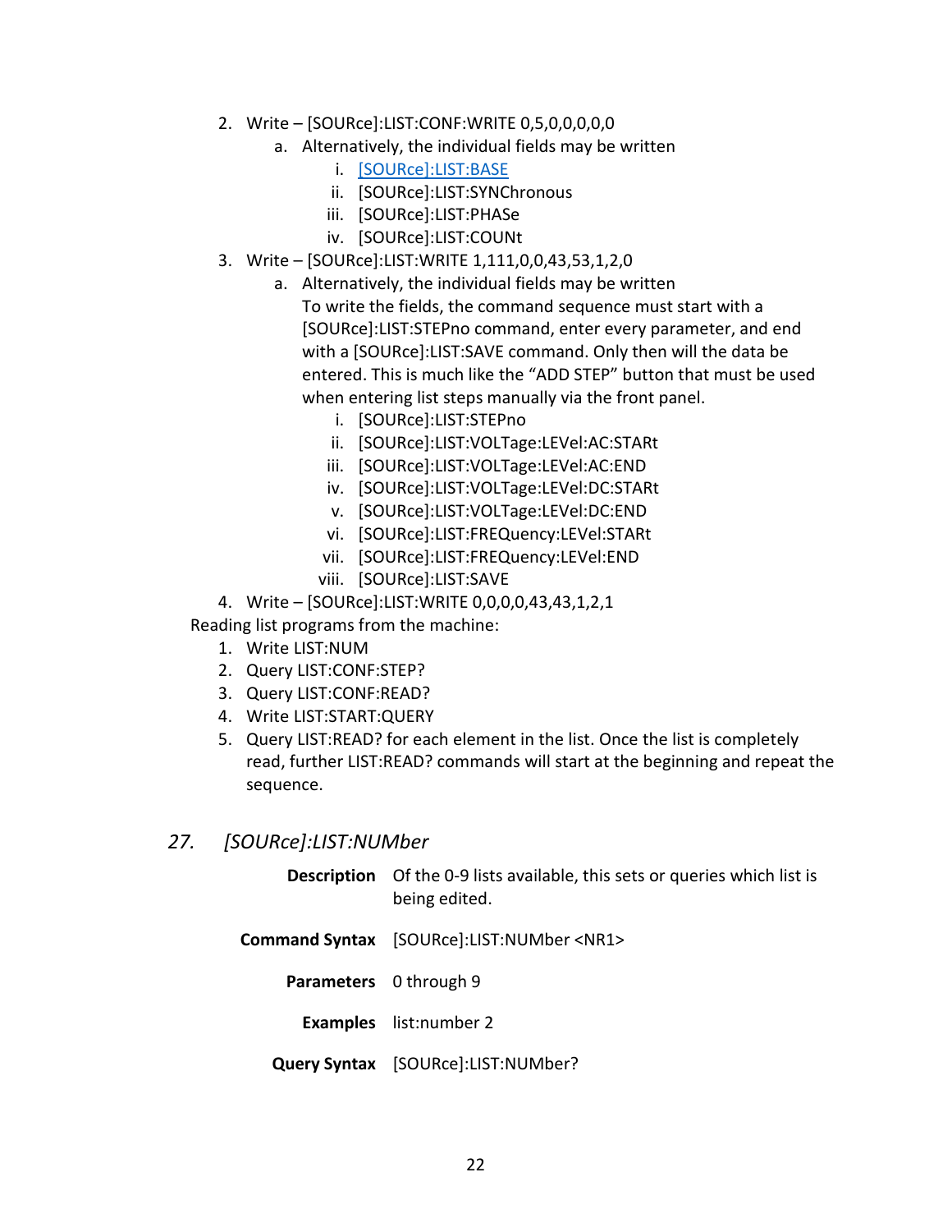- 2. Write [SOURce]:LIST:CONF:WRITE 0,5,0,0,0,0,0
	- a. Alternatively, the individual fields may be written
		- i. [\[SOURce\]:LIST:BASE](#page-28-1)
		- ii. [SOURce]:LIST:SYNChronous
		- iii. [SOURce]:LIST:PHASe
		- iv. [SOURce]:LIST:COUNt
- 3. Write [SOURce]:LIST:WRITE 1,111,0,0,43,53,1,2,0
	- a. Alternatively, the individual fields may be written To write the fields, the command sequence must start with a [SOURce]:LIST:STEPno command, enter every parameter, and end with a [SOURce]:LIST:SAVE command. Only then will the data be entered. This is much like the "ADD STEP" button that must be used when entering list steps manually via the front panel.
		- i. [SOURce]:LIST:STEPno
		- ii. [SOURce]:LIST:VOLTage:LEVel:AC:STARt
		- iii. [SOURce]:LIST:VOLTage:LEVel:AC:END
		- iv. [SOURce]:LIST:VOLTage:LEVel:DC:STARt
		- v. [SOURce]:LIST:VOLTage:LEVel:DC:END
		- vi. [SOURce]:LIST:FREQuency:LEVel:STARt
		- vii. [SOURce]:LIST:FREQuency:LEVel:END
		- viii. [SOURce]:LIST:SAVE
- 4. Write [SOURce]:LIST:WRITE 0,0,0,0,43,43,1,2,1

Reading list programs from the machine:

- 1. Write LIST:NUM
- 2. Query LIST:CONF:STEP?
- 3. Query LIST:CONF:READ?
- 4. Write LIST:START:QUERY
- 5. Query LIST:READ? for each element in the list. Once the list is completely read, further LIST:READ? commands will start at the beginning and repeat the sequence.
- <span id="page-27-0"></span>*27. [SOURce]:LIST:NUMber*

|                        | <b>Description</b> Of the 0-9 lists available, this sets or queries which list is<br>being edited. |
|------------------------|----------------------------------------------------------------------------------------------------|
|                        | Command Syntax [SOURce]:LIST:NUMber <nr1></nr1>                                                    |
| Parameters 0 through 9 |                                                                                                    |
|                        | <b>Examples</b> list:number 2                                                                      |
|                        | <b>Query Syntax</b> [SOURce]:LIST:NUMber?                                                          |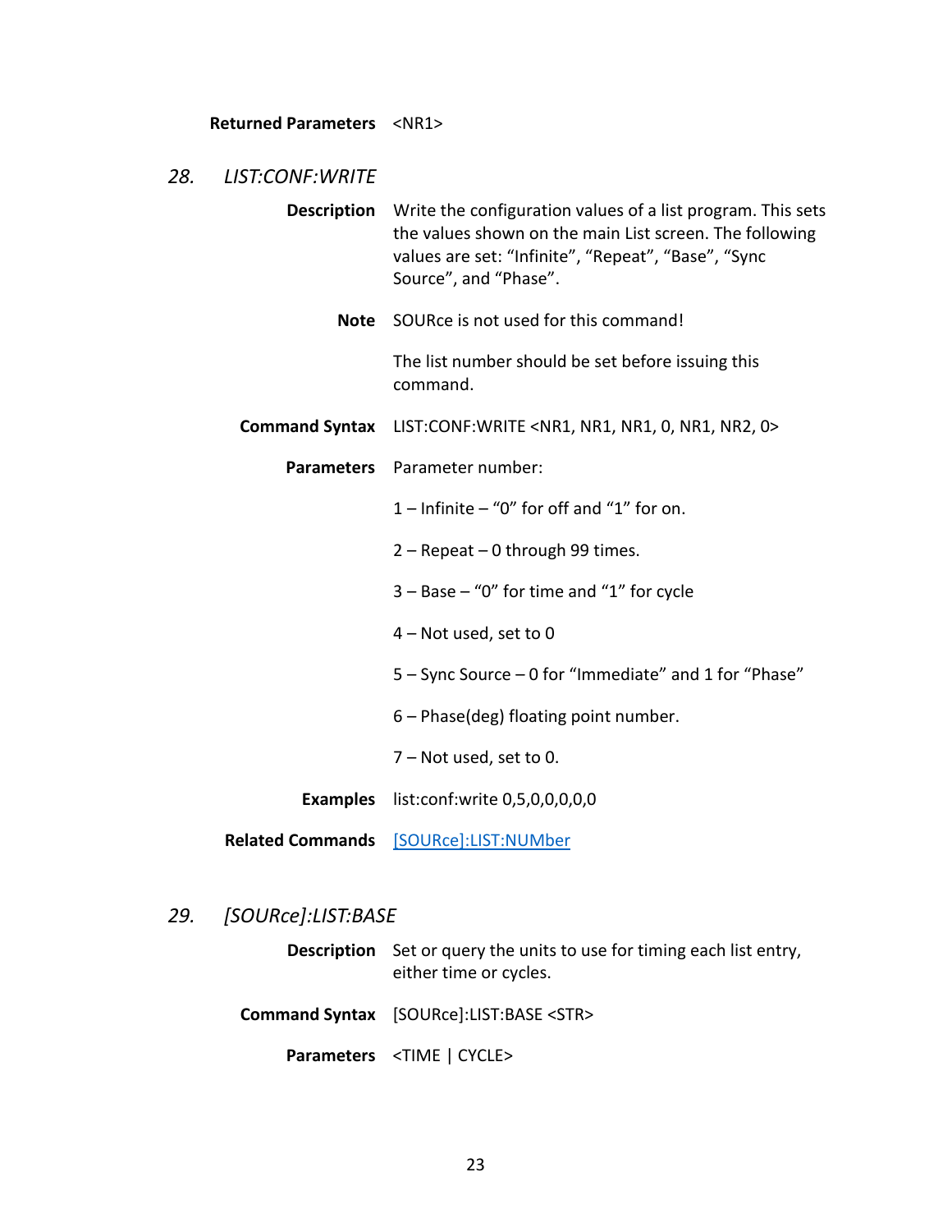#### **Returned Parameters** <NR1>

#### <span id="page-28-0"></span>*28. LIST:CONF:WRITE*

- **Description** Write the configuration values of a list program. This sets the values shown on the main List screen. The following values are set: "Infinite", "Repeat", "Base", "Sync Source", and "Phase".
	- **Note** SOURce is not used for this command!

The list number should be set before issuing this command.

- **Command Syntax** LIST:CONF:WRITE <NR1, NR1, NR1, 0, NR1, NR2, 0>
	- **Parameters** Parameter number:
		- $1$  Infinite "0" for off and "1" for on.
		- 2 Repeat 0 through 99 times.
		- 3 Base "0" for time and "1" for cycle
		- 4 Not used, set to 0
		- 5 Sync Source 0 for "Immediate" and 1 for "Phase"
		- 6 Phase(deg) floating point number.
		- 7 Not used, set to 0.
		- **Examples** list:conf:write 0,5,0,0,0,0,0
- **Related Commands** [\[SOURce\]:LIST:NUMber](#page-27-0)

#### <span id="page-28-1"></span>*29. [SOURce]:LIST:BASE*

- **Description** Set or query the units to use for timing each list entry, either time or cycles.
- **Command Syntax** [SOURce]:LIST:BASE <STR>
	- **Parameters** <TIME | CYCLE>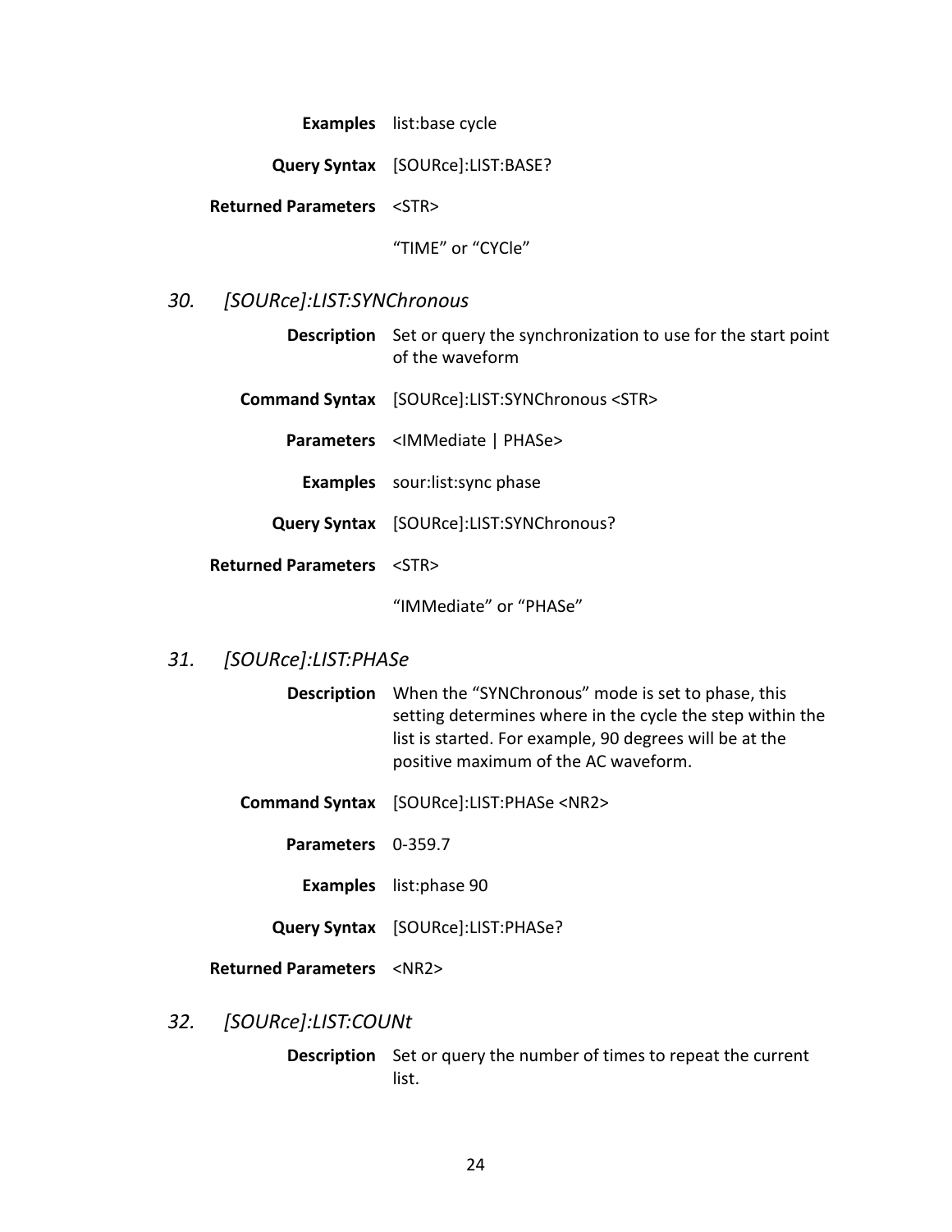**Examples** list:base cycle

**Query Syntax** [SOURce]:LIST:BASE?

**Returned Parameters** <STR>

"TIME" or "CYCle"

#### <span id="page-29-0"></span>*30. [SOURce]:LIST:SYNChronous*

**Description** Set or query the synchronization to use for the start point of the waveform

**Command Syntax** [SOURce]:LIST:SYNChronous <STR>

**Parameters** <IMMediate | PHASe>

- **Examples** sour:list:sync phase
- **Query Syntax** [SOURce]:LIST:SYNChronous?

**Returned Parameters** <STR>

"IMMediate" or "PHASe"

# <span id="page-29-1"></span>*31. [SOURce]:LIST:PHASe*

- **Description** When the "SYNChronous" mode is set to phase, this setting determines where in the cycle the step within the list is started. For example, 90 degrees will be at the positive maximum of the AC waveform.
- **Command Syntax** [SOURce]:LIST:PHASe <NR2>
	- **Parameters** 0-359.7
		- **Examples** list:phase 90
	- **Query Syntax** [SOURce]:LIST:PHASe?

#### **Returned Parameters** <NR2>

<span id="page-29-2"></span>*32. [SOURce]:LIST:COUNt*

**Description** Set or query the number of times to repeat the current list.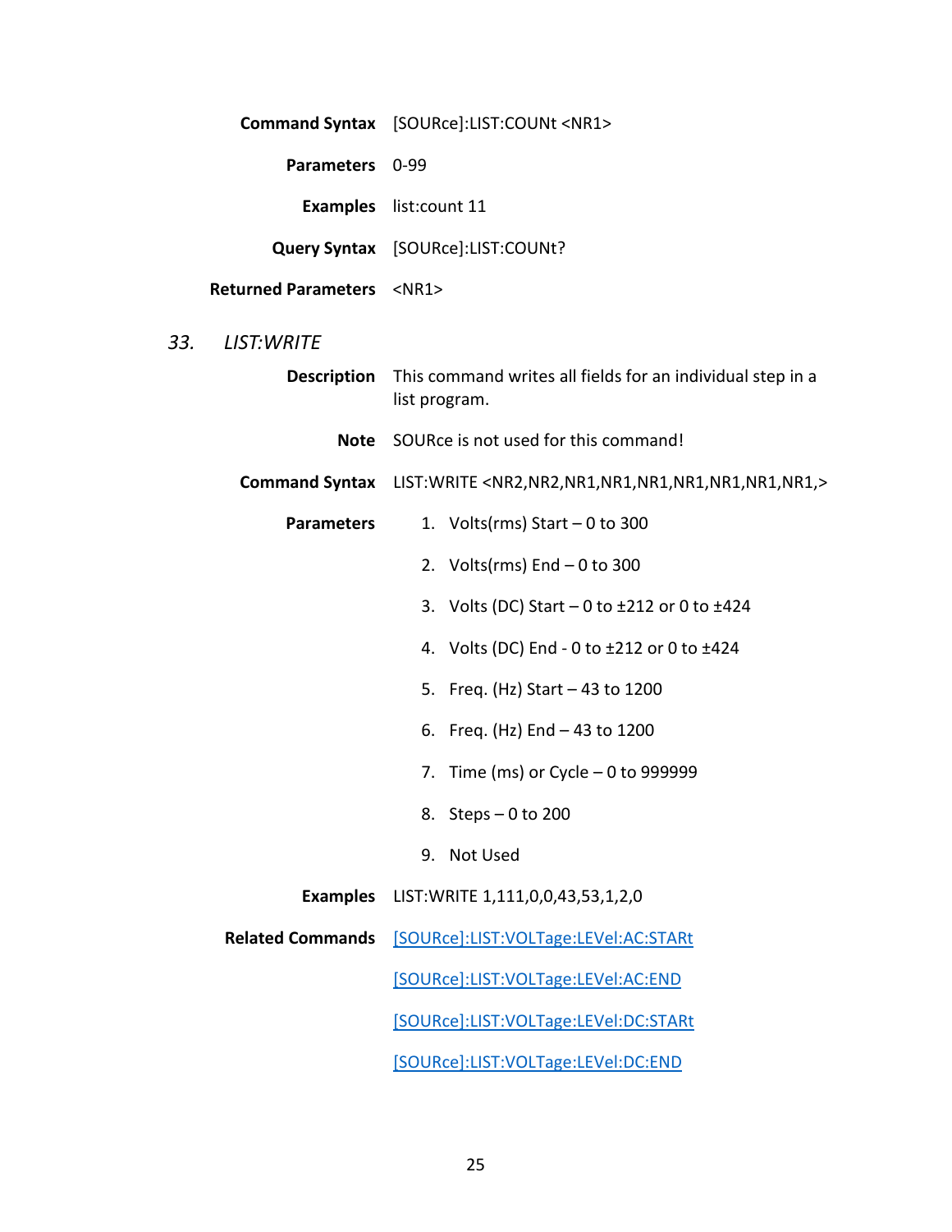**Command Syntax** [SOURce]:LIST:COUNt <NR1>

**Parameters** 0-99

**Examples** list:count 11

**Query Syntax** [SOURce]:LIST:COUNt?

**Returned Parameters** <NR1>

# <span id="page-30-0"></span>*33. LIST:WRITE*

| <b>Description</b>      | This command writes all fields for an individual step in a<br>list program. |
|-------------------------|-----------------------------------------------------------------------------|
| <b>Note</b>             | SOURce is not used for this command!                                        |
|                         | Command Syntax LIST: WRITE <nr2, nr1,="" nr2,=""></nr2,>                    |
| <b>Parameters</b>       | 1. Volts(rms) Start $-0$ to 300                                             |
|                         | 2. Volts(rms) End $-0$ to 300                                               |
|                         | 3. Volts (DC) Start $-0$ to $\pm 212$ or 0 to $\pm 424$                     |
|                         | 4. Volts (DC) End - 0 to ±212 or 0 to ±424                                  |
|                         | 5. Freq. (Hz) Start - 43 to 1200                                            |
|                         | 6. Freq. (Hz) End - 43 to 1200                                              |
|                         | 7. Time (ms) or Cycle $-0$ to 999999                                        |
|                         | 8. Steps $-0$ to 200                                                        |
|                         | 9. Not Used                                                                 |
|                         | <b>Examples</b> LIST: WRITE 1,111,0,0,43,53,1,2,0                           |
| <b>Related Commands</b> | [SOURce]:LIST:VOLTage:LEVel:AC:STARt                                        |
|                         | [SOURce]:LIST:VOLTage:LEVel:AC:END                                          |
|                         | [SOURce]:LIST:VOLTage:LEVel:DC:STARt                                        |
|                         | [SOURce]:LIST:VOLTage:LEVel:DC:END                                          |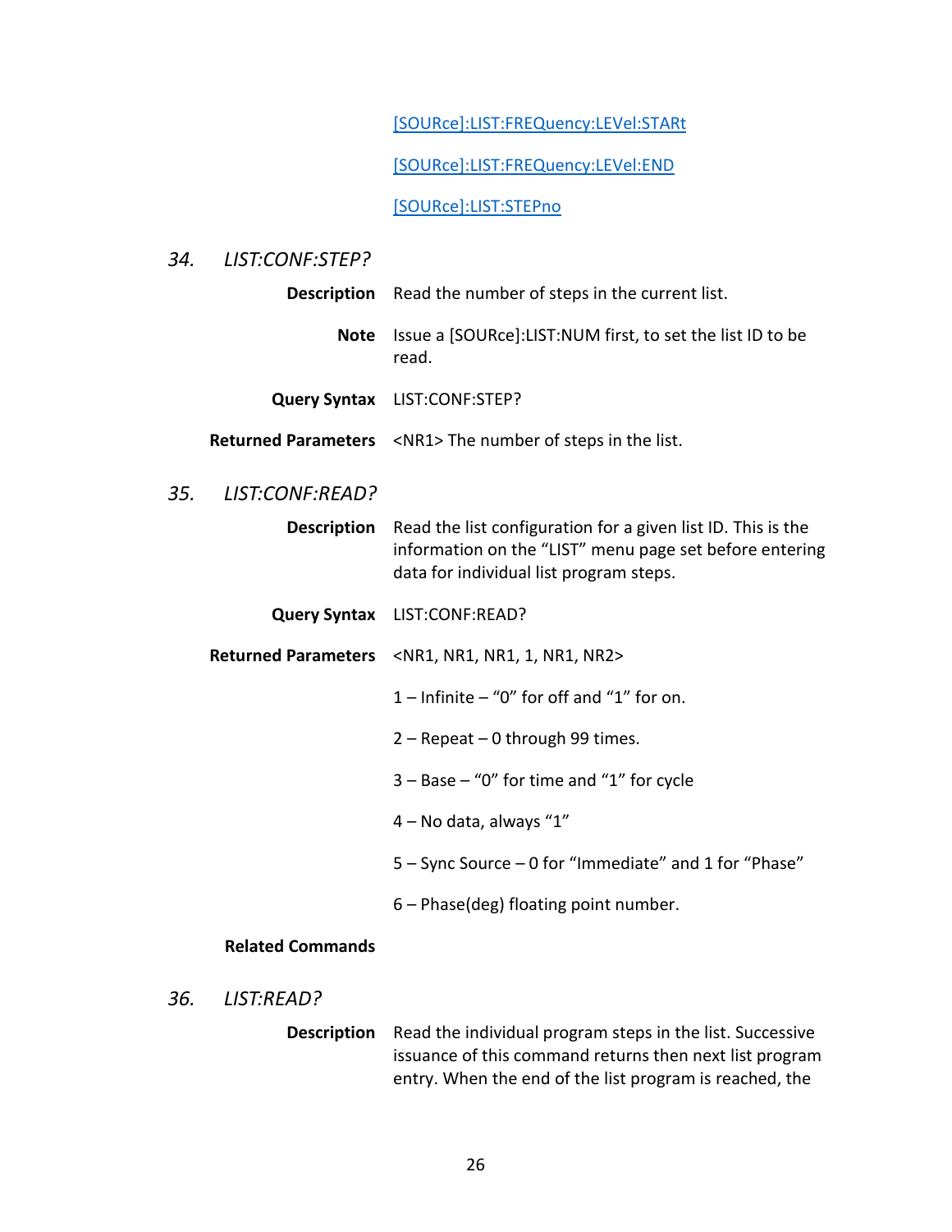[\[SOURce\]:LIST:FREQuency:LEVel:STARt](#page-34-2)

[\[SOURce\]:LIST:FREQuency:LEVel:END](#page-35-0)

[\[SOURce\]:LIST:STEPno](#page-31-0)

# <span id="page-31-0"></span>*34. LIST:CONF:STEP?*

**Description** Read the number of steps in the current list.

**Note** Issue a [SOURce]:LIST:NUM first, to set the list ID to be read.

- **Query Syntax** LIST:CONF:STEP?
- **Returned Parameters** <NR1> The number of steps in the list.

# <span id="page-31-1"></span>*35. LIST:CONF:READ?*

**Description** Read the list configuration for a given list ID. This is the information on the "LIST" menu page set before entering data for individual list program steps.

**Query Syntax** LIST:CONF:READ?

**Returned Parameters** <NR1, NR1, NR1, 1, NR1, NR2>

- $1$  Infinite "0" for off and "1" for on.
- 2 Repeat 0 through 99 times.
- $3 -$  Base  $-$  "0" for time and "1" for cycle
- 4 No data, always "1"
- 5 Sync Source 0 for "Immediate" and 1 for "Phase"
- 6 Phase(deg) floating point number.

#### **Related Commands**

<span id="page-31-2"></span>*36. LIST:READ?*

**Description** Read the individual program steps in the list. Successive issuance of this command returns then next list program entry. When the end of the list program is reached, the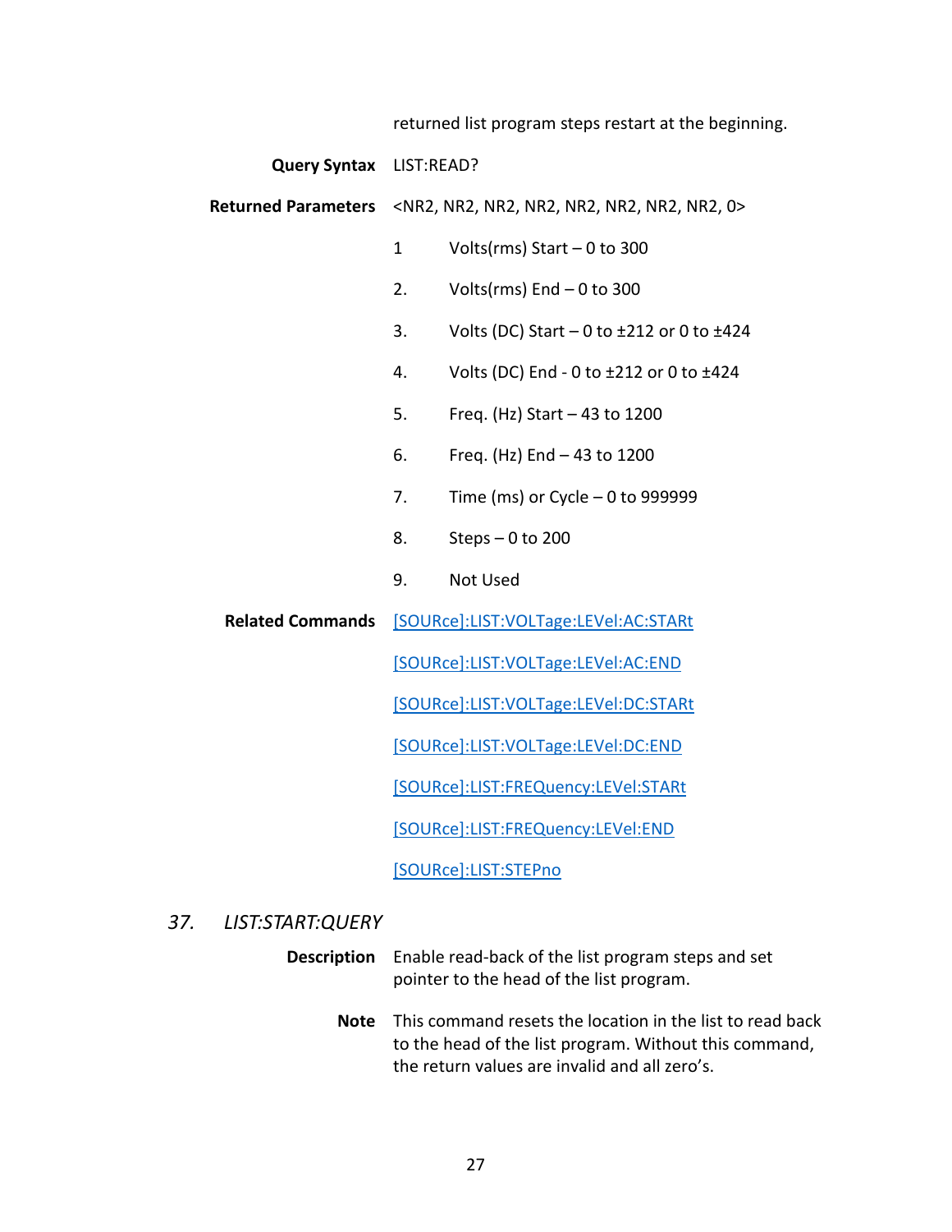returned list program steps restart at the beginning.

**Query Syntax** LIST:READ?

**Returned Parameters** <NR2, NR2, NR2, NR2, NR2, NR2, NR2, 0>

- 1 Volts(rms) Start 0 to 300
- 2. Volts( $rms$ ) End  $-0$  to 300
- 3. Volts (DC) Start  $-0$  to  $\pm 212$  or 0 to  $\pm 424$
- 4. Volts (DC) End 0 to ±212 or 0 to ±424
- 5. Freq. (Hz) Start 43 to 1200
- 6. Freq. (Hz) End 43 to 1200
- 7. Time (ms) or Cycle 0 to 999999
- 8. Steps 0 to 200
- 9. Not Used

**Related Commands** [\[SOURce\]:LIST:VOLTage:LEVel:AC:STARt](#page-33-3)

[\[SOURce\]:LIST:VOLTage:LEVel:AC:END](#page-33-2)

[\[SOURce\]:LIST:VOLTage:LEVel:DC:STARt](#page-34-0)

[\[SOURce\]:LIST:VOLTage:LEVel:DC:END](#page-34-1)

[\[SOURce\]:LIST:FREQuency:LEVel:STARt](#page-34-2)

[\[SOURce\]:LIST:FREQuency:LEVel:END](#page-35-0)

[\[SOURce\]:LIST:STEPno](#page-33-0)

#### <span id="page-32-0"></span>*37. LIST:START:QUERY*

**Description** Enable read-back of the list program steps and set pointer to the head of the list program.

> **Note** This command resets the location in the list to read back to the head of the list program. Without this command, the return values are invalid and all zero's.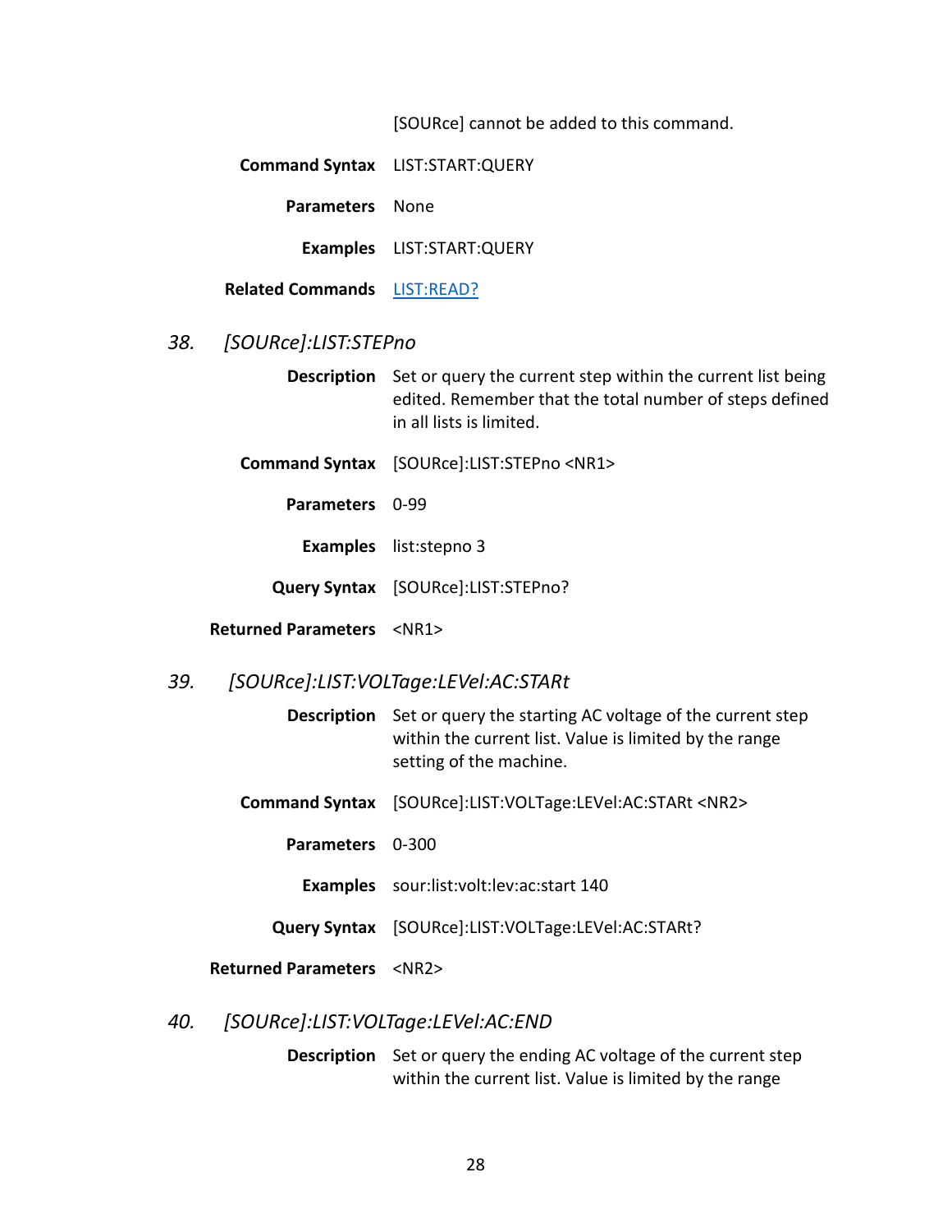[SOURce] cannot be added to this command.

**Command Syntax** LIST:START:QUERY

**Parameters** None

**Examples** LIST:START:QUERY

**Related Commands** [LIST:READ?](#page-31-2)

#### <span id="page-33-0"></span>*38. [SOURce]:LIST:STEPno*

**Description** Set or query the current step within the current list being edited. Remember that the total number of steps defined in all lists is limited.

**Command Syntax** [SOURce]:LIST:STEPno <NR1>

**Parameters** 0-99

**Examples** list:stepno 3

**Query Syntax** [SOURce]:LIST:STEPno?

<span id="page-33-1"></span>**Returned Parameters** <NR1>

### <span id="page-33-3"></span>*39. [SOURce]:LIST:VOLTage:LEVel:AC:STARt*

**Description** Set or query the starting AC voltage of the current step within the current list. Value is limited by the range setting of the machine.

- **Command Syntax** [SOURce]:LIST:VOLTage:LEVel:AC:STARt <NR2>
	- **Parameters** 0-300

**Examples** sour:list:volt:lev:ac:start 140

**Query Syntax** [SOURce]:LIST:VOLTage:LEVel:AC:STARt?

#### **Returned Parameters** <NR2>

#### <span id="page-33-2"></span>*40. [SOURce]:LIST:VOLTage:LEVel:AC:END*

**Description** Set or query the ending AC voltage of the current step within the current list. Value is limited by the range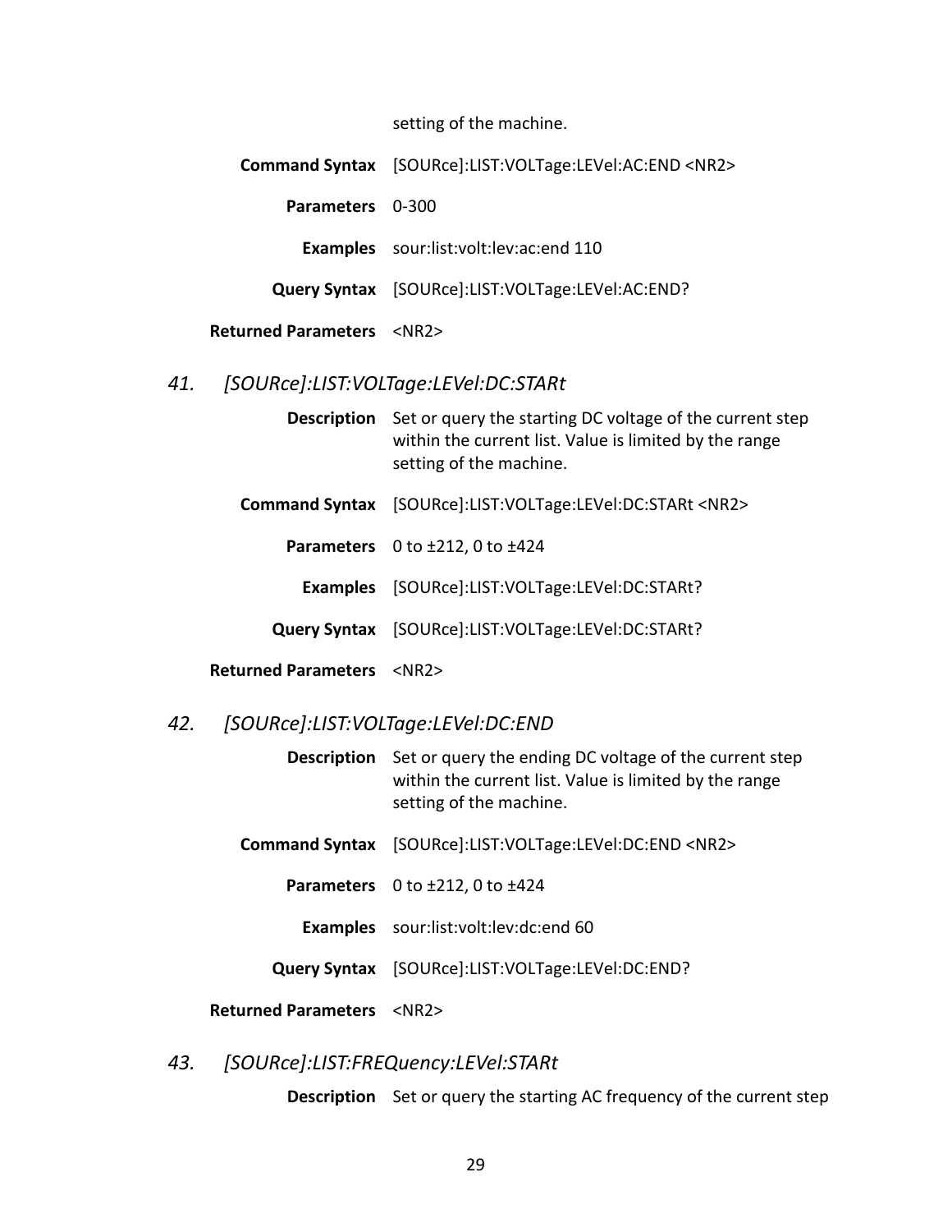setting of the machine.

|                                        | Command Syntax [SOURce]:LIST:VOLTage:LEVel:AC:END <nr2></nr2> |
|----------------------------------------|---------------------------------------------------------------|
| <b>Parameters</b> 0-300                |                                                               |
|                                        | <b>Examples</b> sour:list:volt:lev:ac:end 110                 |
|                                        | Query Syntax [SOURce]:LIST:VOLTage:LEVel:AC:END?              |
| <b>Returned Parameters <nr2></nr2></b> |                                                               |

## <span id="page-34-0"></span>*41. [SOURce]:LIST:VOLTage:LEVel:DC:STARt*

- **Description** Set or query the starting DC voltage of the current step within the current list. Value is limited by the range setting of the machine.
- **Command Syntax** [SOURce]:LIST:VOLTage:LEVel:DC:STARt <NR2>
	- **Parameters** 0 to ±212, 0 to ±424
	- **Examples** [SOURce]:LIST:VOLTage:LEVel:DC:STARt?
	- **Query Syntax** [SOURce]:LIST:VOLTage:LEVel:DC:STARt?
- **Returned Parameters** <NR2>

#### <span id="page-34-1"></span>*42. [SOURce]:LIST:VOLTage:LEVel:DC:END*

**Description** Set or query the ending DC voltage of the current step within the current list. Value is limited by the range setting of the machine.

- **Command Syntax** [SOURce]:LIST:VOLTage:LEVel:DC:END <NR2>
	- **Parameters** 0 to ±212, 0 to ±424
		- **Examples** sour:list:volt:lev:dc:end 60
	- **Query Syntax** [SOURce]:LIST:VOLTage:LEVel:DC:END?

#### **Returned Parameters** <NR2>

# <span id="page-34-2"></span>*43. [SOURce]:LIST:FREQuency:LEVel:STARt*

**Description** Set or query the starting AC frequency of the current step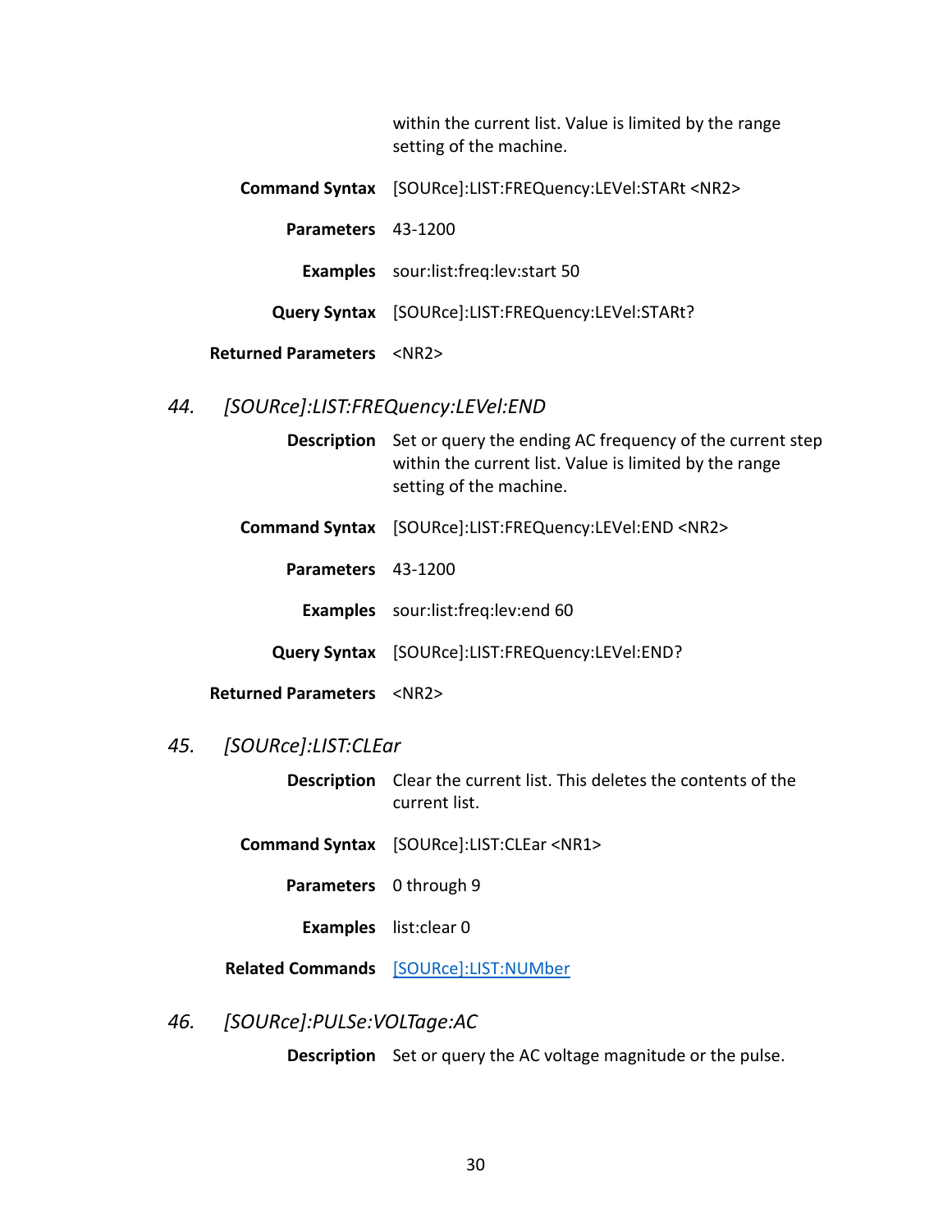within the current list. Value is limited by the range setting of the machine.

**Command Syntax** [SOURce]:LIST:FREQuency:LEVel:STARt <NR2> **Parameters** 43-1200 **Examples** sour:list:freq:lev:start 50 **Query Syntax** [SOURce]:LIST:FREQuency:LEVel:STARt?

#### **Returned Parameters** <NR2>

# <span id="page-35-0"></span>*44. [SOURce]:LIST:FREQuency:LEVel:END*

**Description** Set or query the ending AC frequency of the current step within the current list. Value is limited by the range setting of the machine.

- **Command Syntax** [SOURce]:LIST:FREQuency:LEVel:END <NR2>
	- **Parameters** 43-1200
		- **Examples** sour:list:freq:lev:end 60
	- **Query Syntax** [SOURce]:LIST:FREQuency:LEVel:END?
- **Returned Parameters** <NR2>

# <span id="page-35-1"></span>*45. [SOURce]:LIST:CLEar*

**Description** Clear the current list. This deletes the contents of the current list.

**Command Syntax** [SOURce]:LIST:CLEar <NR1>

- **Parameters** 0 through 9
	- **Examples** list:clear 0

**Related Commands** [\[SOURce\]:LIST:NUMber](#page-26-2)

# <span id="page-35-2"></span>*46. [SOURce]:PULSe:VOLTage:AC*

**Description** Set or query the AC voltage magnitude or the pulse.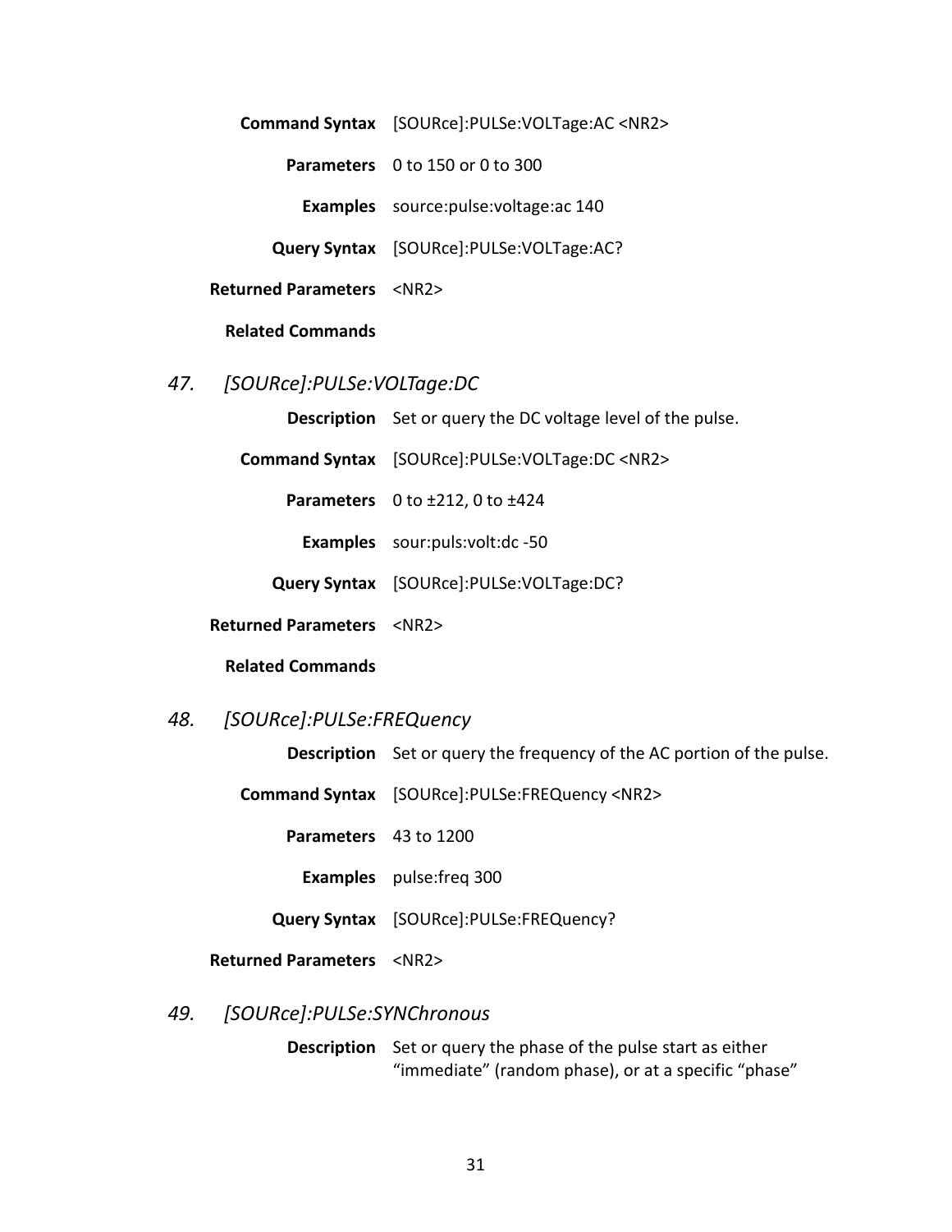**Command Syntax** [SOURce]:PULSe:VOLTage:AC <NR2> **Parameters** 0 to 150 or 0 to 300 **Examples** source:pulse:voltage:ac 140 **Query Syntax** [SOURce]:PULSe:VOLTage:AC? **Returned Parameters** <NR2>

#### **Related Commands**

<span id="page-36-0"></span>*47. [SOURce]:PULSe:VOLTage:DC*

**Description** Set or query the DC voltage level of the pulse.

**Command Syntax** [SOURce]:PULSe:VOLTage:DC <NR2>

**Parameters** 0 to ±212, 0 to ±424

**Examples** sour:puls:volt:dc -50

**Query Syntax** [SOURce]:PULSe:VOLTage:DC?

**Returned Parameters** <NR2>

#### **Related Commands**

# <span id="page-36-1"></span>*48. [SOURce]:PULSe:FREQuency*

**Description** Set or query the frequency of the AC portion of the pulse.

**Command Syntax** [SOURce]:PULSe:FREQuency <NR2>

**Parameters** 43 to 1200

**Examples** pulse:freq 300

**Query Syntax** [SOURce]:PULSe:FREQuency?

**Returned Parameters** <NR2>

# <span id="page-36-2"></span>*49. [SOURce]:PULSe:SYNChronous*

**Description** Set or query the phase of the pulse start as either "immediate" (random phase), or at a specific "phase"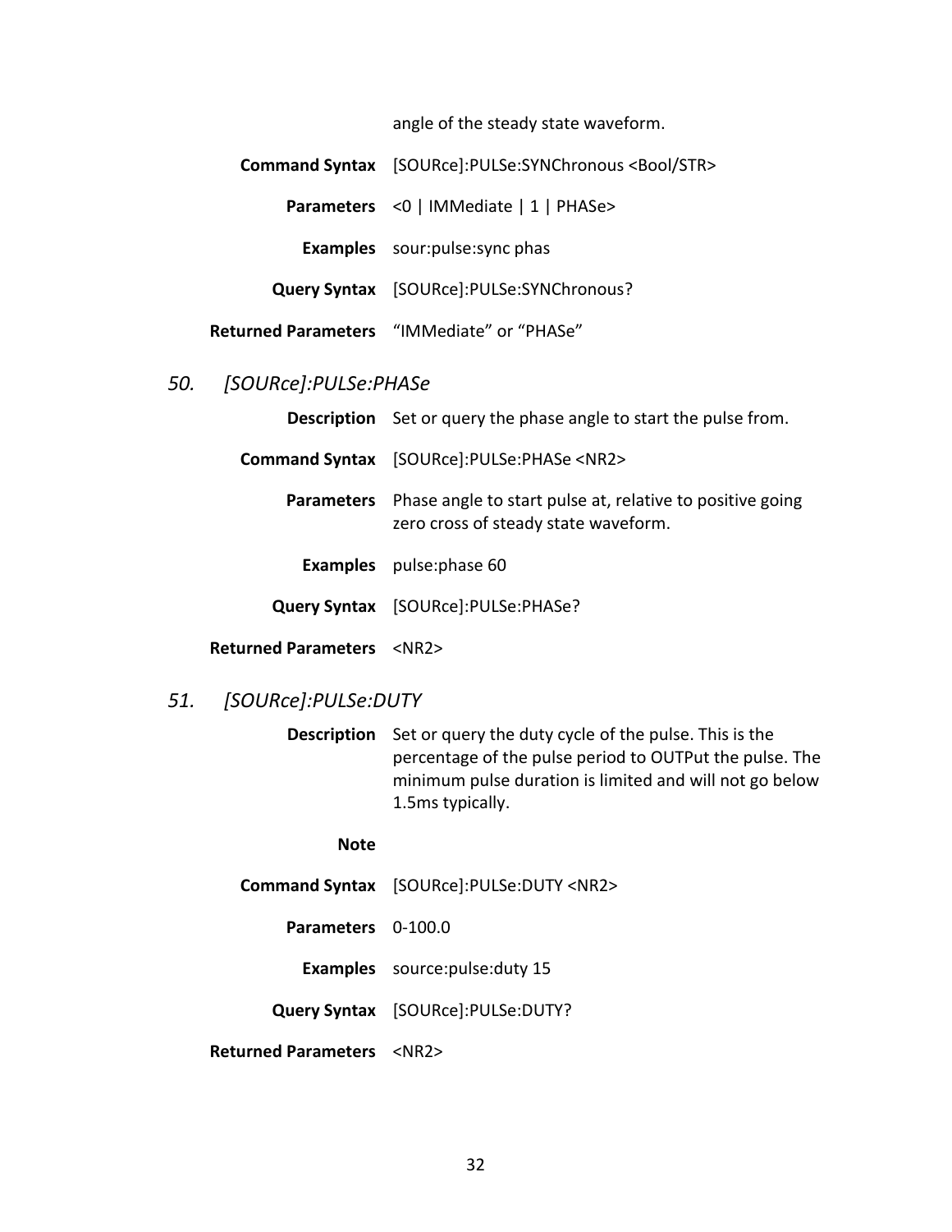angle of the steady state waveform.

| Command Syntax [SOURce]:PULSe:SYNChronous <bool str=""></bool> |
|----------------------------------------------------------------|
| Parameters <0   IMMediate   1   PHASe>                         |
| <b>Examples</b> sour: pulse: sync phas                         |
| Query Syntax [SOURce]:PULSe:SYNChronous?                       |
| Returned Parameters "IMMediate" or "PHASe"                     |

## <span id="page-37-0"></span>*50. [SOURce]:PULSe:PHASe*

|                                        | <b>Description</b> Set or query the phase angle to start the pulse from.                          |
|----------------------------------------|---------------------------------------------------------------------------------------------------|
|                                        | Command Syntax [SOURce]:PULSe:PHASe <nr2></nr2>                                                   |
| <b>Parameters</b>                      | Phase angle to start pulse at, relative to positive going<br>zero cross of steady state waveform. |
|                                        | <b>Examples</b> pulse: phase 60                                                                   |
|                                        | Query Syntax [SOURce]:PULSe:PHASe?                                                                |
| <b>Returned Parameters <nr2></nr2></b> |                                                                                                   |

# <span id="page-37-1"></span>*51. [SOURce]:PULSe:DUTY*

**Description** Set or query the duty cycle of the pulse. This is the percentage of the pulse period to OUTPut the pulse. The minimum pulse duration is limited and will not go below 1.5ms typically.

#### **Note**

- **Command Syntax** [SOURce]:PULSe:DUTY <NR2>
	- **Parameters** 0-100.0

**Examples** source:pulse:duty 15

**Query Syntax** [SOURce]:PULSe:DUTY?

**Returned Parameters** <NR2>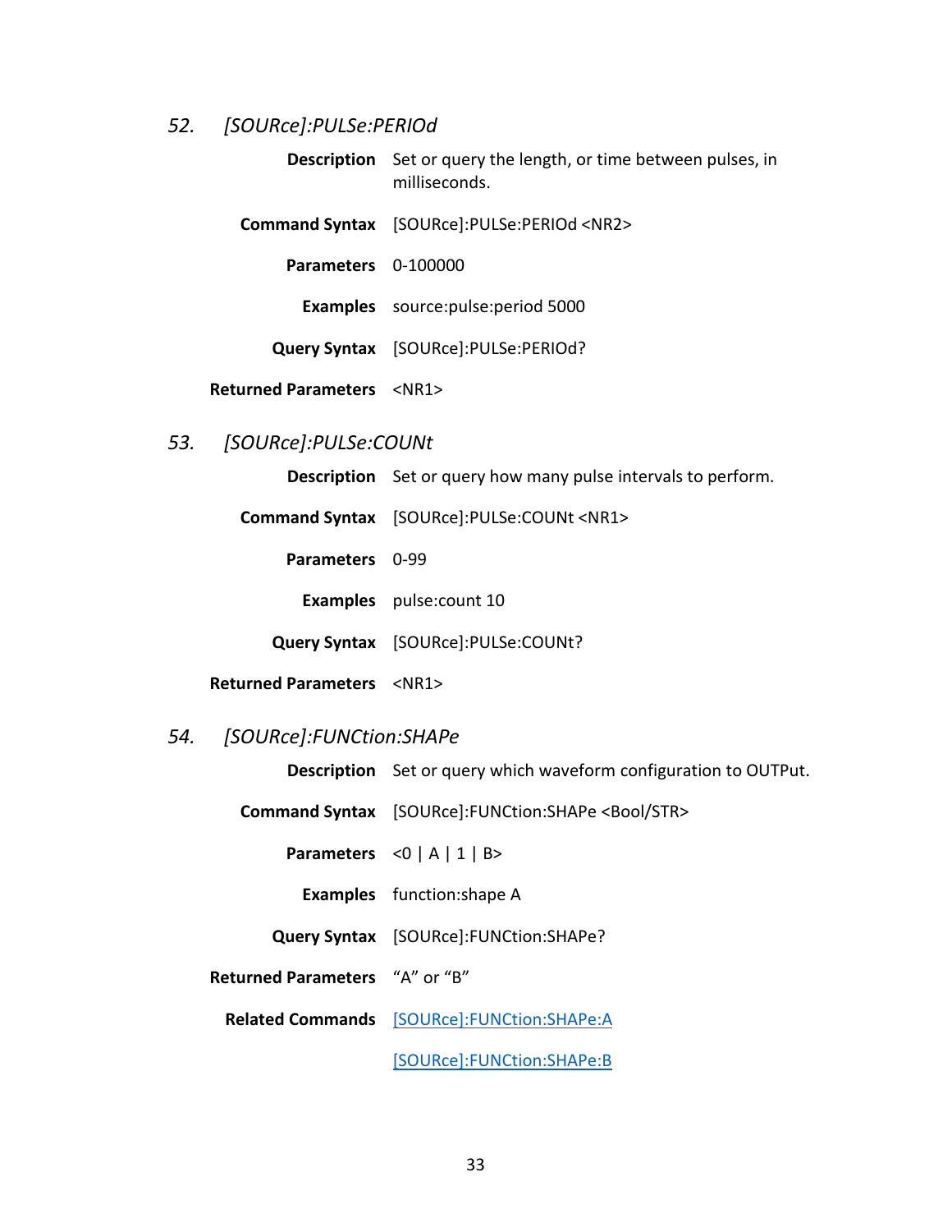## <span id="page-38-0"></span>*52. [SOURce]:PULSe:PERIOd*

**Description** Set or query the length, or time between pulses, in milliseconds.

**Command Syntax** [SOURce]:PULSe:PERIOd <NR2>

**Parameters** 0-100000

**Examples** source:pulse:period 5000

**Query Syntax** [SOURce]:PULSe:PERIOd?

**Returned Parameters** <NR1>

# <span id="page-38-1"></span>*53. [SOURce]:PULSe:COUNt*

**Description** Set or query how many pulse intervals to perform.

**Command Syntax** [SOURce]:PULSe:COUNt <NR1> **Parameters** 0-99 **Examples** pulse:count 10 **Query Syntax** [SOURce]:PULSe:COUNt?

**Returned Parameters** <NR1>

#### <span id="page-38-2"></span>*54. [SOURce]:FUNCtion:SHAPe*

**Description** Set or query which waveform configuration to OUTPut.

**Command Syntax** [SOURce]:FUNCtion:SHAPe <Bool/STR>

**Parameters**  $\langle 0 | A | 1 | B \rangle$ 

**Examples** function:shape A

**Query Syntax** [SOURce]:FUNCtion:SHAPe?

**Returned Parameters** "A" or "B"

**Related Commands** [\[SOURce\]:FUNCtion:SHAPe:A](#page-39-0)

[\[SOURce\]:FUNCtion:SHAPe:B](#page-39-1)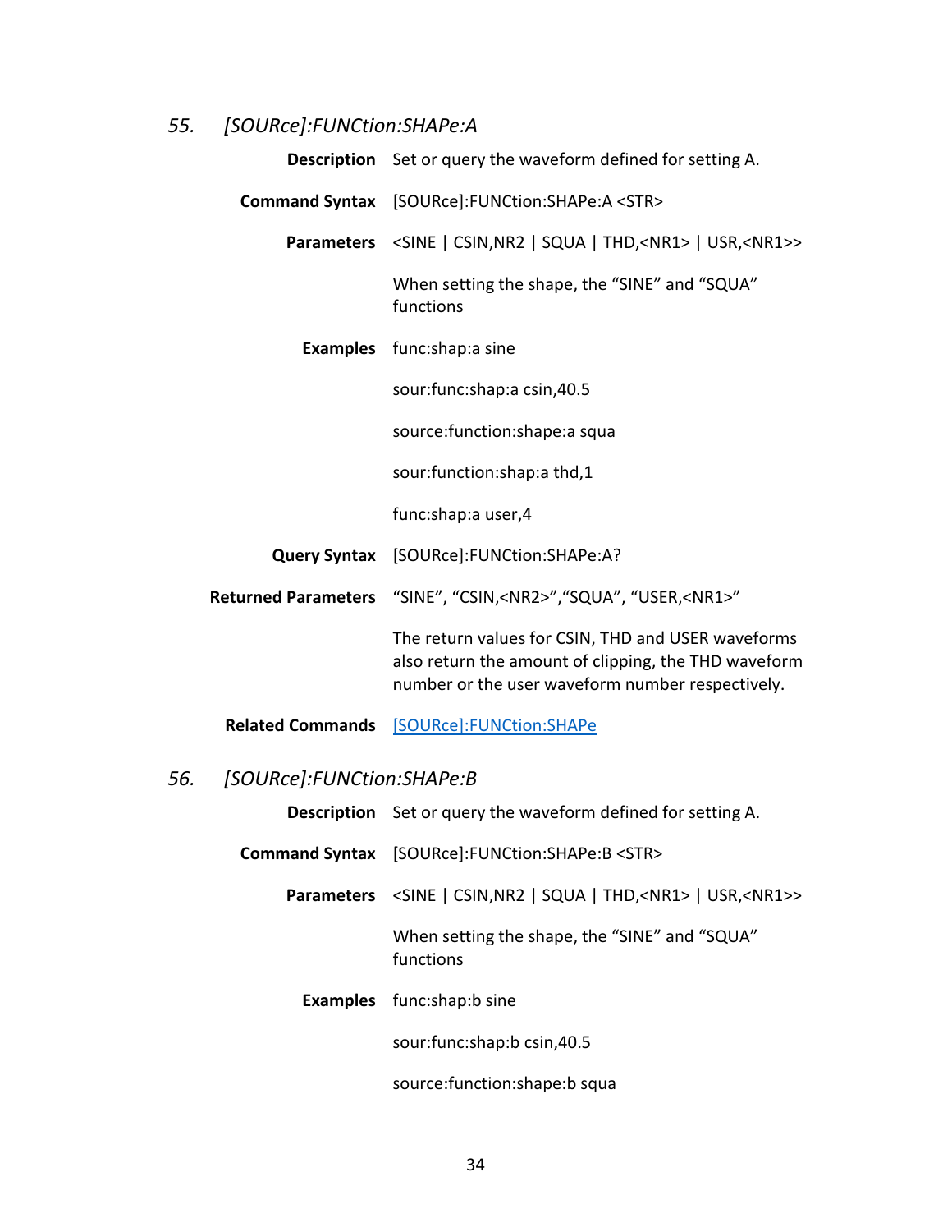# <span id="page-39-0"></span>*55. [SOURce]:FUNCtion:SHAPe:A*

| Description Set or query the waveform defined for setting A.                                                                                                   |
|----------------------------------------------------------------------------------------------------------------------------------------------------------------|
| Command Syntax [SOURce]:FUNCtion:SHAPe:A <str></str>                                                                                                           |
| Parameters <sine <nr1="" csin,="" nr2="" squa="" thd,=""  ="">   USR, <nr1>&gt;</nr1></sine>                                                                   |
| When setting the shape, the "SINE" and "SQUA"<br>functions                                                                                                     |
| <b>Examples</b> func:shap:a sine                                                                                                                               |
| sour: func: shap: a csin, 40.5                                                                                                                                 |
| source: function: shape: a squa                                                                                                                                |
| sour:function:shap:a thd,1                                                                                                                                     |
| func:shap:a user,4                                                                                                                                             |
| Query Syntax [SOURce]: FUNCtion: SHAPe: A?                                                                                                                     |
| Returned Parameters "SINE", "CSIN, <nr2>", "SQUA", "USER,<nr1>"</nr1></nr2>                                                                                    |
| The return values for CSIN, THD and USER waveforms<br>also return the amount of clipping, the THD waveform<br>number or the user waveform number respectively. |
| Related Commands [SOURce]:FUNCtion:SHAPe                                                                                                                       |

# <span id="page-39-1"></span>*56. [SOURce]:FUNCtion:SHAPe:B*

**Description** Set or query the waveform defined for setting A.

- **Command Syntax** [SOURce]:FUNCtion:SHAPe:B <STR>
	- Parameters <SINE | CSIN,NR2 | SQUA | THD,<NR1> | USR,<NR1>>

When setting the shape, the "SINE" and "SQUA" functions

**Examples** func:shap:b sine

sour:func:shap:b csin,40.5

source:function:shape:b squa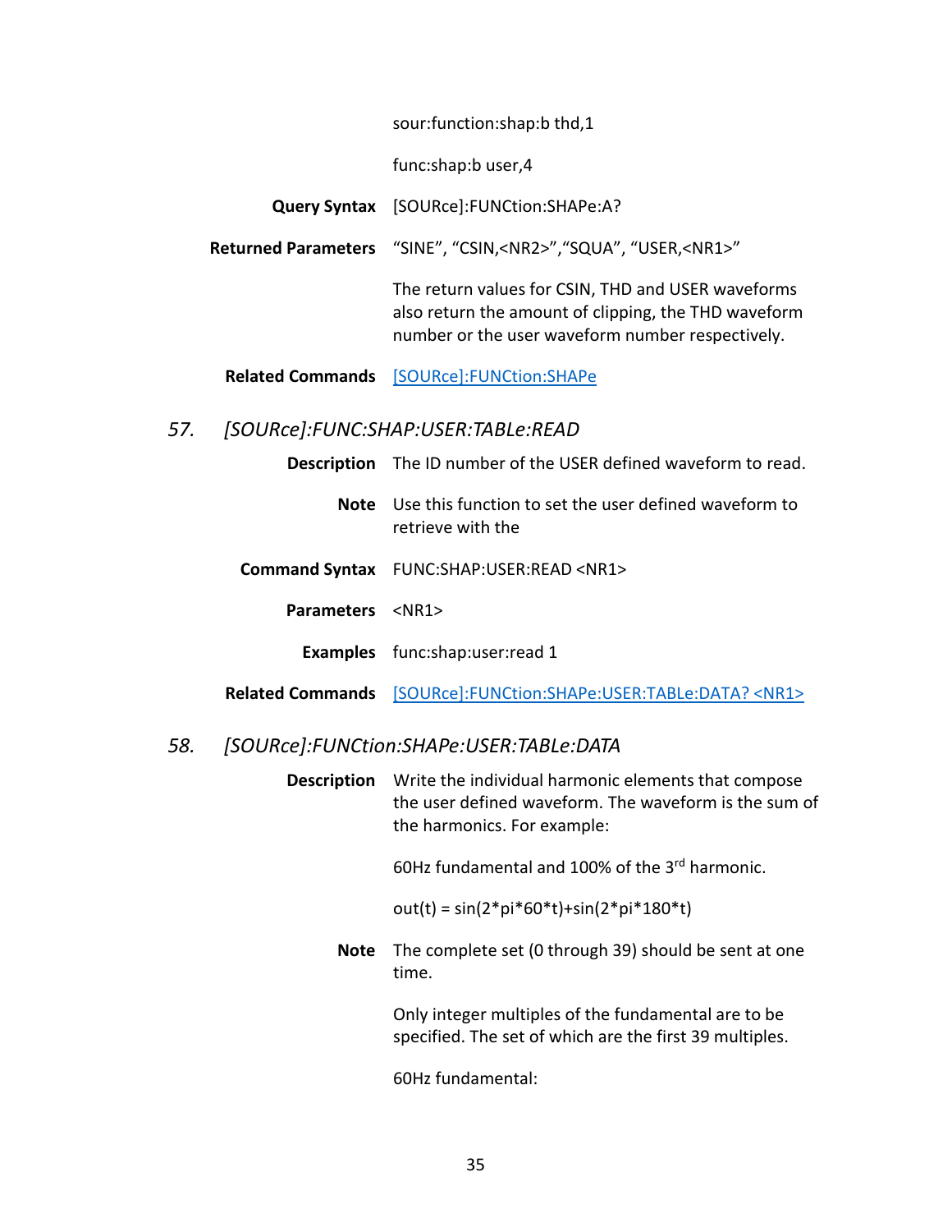sour:function:shap:b thd,1

func:shap:b user,4

**Query Syntax** [SOURce]:FUNCtion:SHAPe:A?

**Returned Parameters** "SINE", "CSIN,<NR2>","SQUA", "USER,<NR1>"

The return values for CSIN, THD and USER waveforms also return the amount of clipping, the THD waveform number or the user waveform number respectively.

**Related Commands** [\[SOURce\]:FUNCtion:SHAPe](#page-38-2)

# <span id="page-40-0"></span>*57. [SOURce]:FUNC:SHAP:USER:TABLe:READ*

|                        | <b>Description</b> The ID number of the USER defined waveform to read.                 |
|------------------------|----------------------------------------------------------------------------------------|
|                        | <b>Note</b> Use this function to set the user defined waveform to<br>retrieve with the |
|                        | Command Syntax FUNC:SHAP:USER:READ <nr1></nr1>                                         |
| Parameters <nr1></nr1> |                                                                                        |
|                        | <b>Examples</b> func:shap:user:read 1                                                  |
|                        | Related Commands [SOURce]:FUNCtion:SHAPe:USER:TABLe:DATA? <nr1></nr1>                  |

## <span id="page-40-1"></span>*58. [SOURce]:FUNCtion:SHAPe:USER:TABLe:DATA*

**Description** Write the individual harmonic elements that compose the user defined waveform. The waveform is the sum of the harmonics. For example:

60Hz fundamental and 100% of the 3rd harmonic.

out(t) = sin(2\*pi\*60\*t)+sin(2\*pi\*180\*t)

**Note** The complete set (0 through 39) should be sent at one time.

> Only integer multiples of the fundamental are to be specified. The set of which are the first 39 multiples.

60Hz fundamental: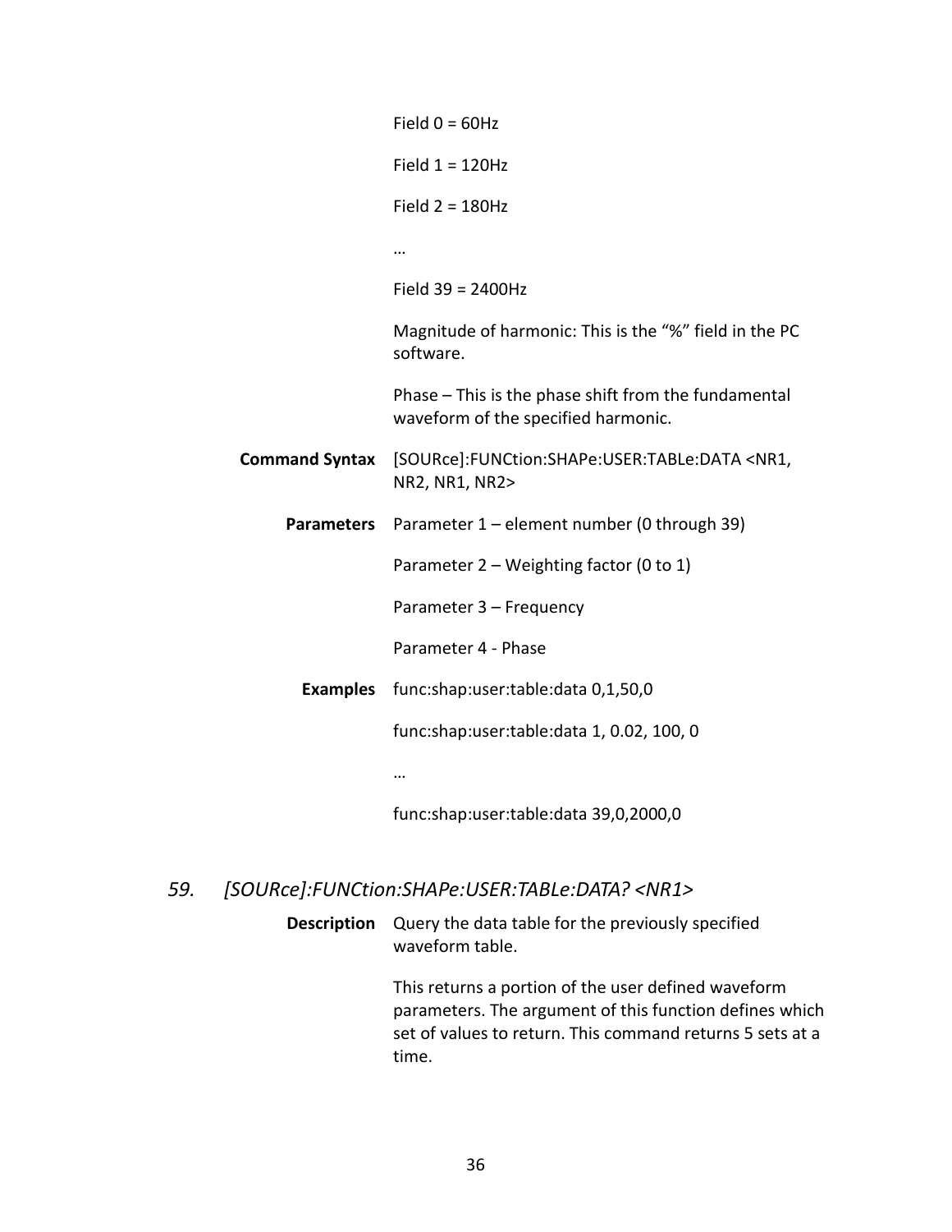|                       | Field $0 = 60$ Hz                                                                           |
|-----------------------|---------------------------------------------------------------------------------------------|
|                       | Field $1 = 120$ Hz                                                                          |
|                       | Field $2 = 180$ Hz                                                                          |
|                       |                                                                                             |
|                       | Field $39 = 2400$ Hz                                                                        |
|                       | Magnitude of harmonic: This is the "%" field in the PC<br>software.                         |
|                       | Phase - This is the phase shift from the fundamental<br>waveform of the specified harmonic. |
| <b>Command Syntax</b> | [SOURce]:FUNCtion:SHAPe:USER:TABLe:DATA <nr1,<br>NR2, NR1, NR2&gt;</nr1,<br>                |
| <b>Parameters</b>     | Parameter 1 - element number (0 through 39)                                                 |
|                       | Parameter 2 - Weighting factor (0 to 1)                                                     |
|                       | Parameter 3 - Frequency                                                                     |
|                       | Parameter 4 - Phase                                                                         |
| <b>Examples</b>       | func:shap:user:table:data 0,1,50,0                                                          |
|                       | func:shap:user:table:data 1, 0.02, 100, 0                                                   |
|                       |                                                                                             |
|                       | func:shap:user:table:data 39,0,2000,0                                                       |

# <span id="page-41-0"></span>*59. [SOURce]:FUNCtion:SHAPe:USER:TABLe:DATA? <NR1>*

**Description** Query the data table for the previously specified waveform table.

> This returns a portion of the user defined waveform parameters. The argument of this function defines which set of values to return. This command returns 5 sets at a time.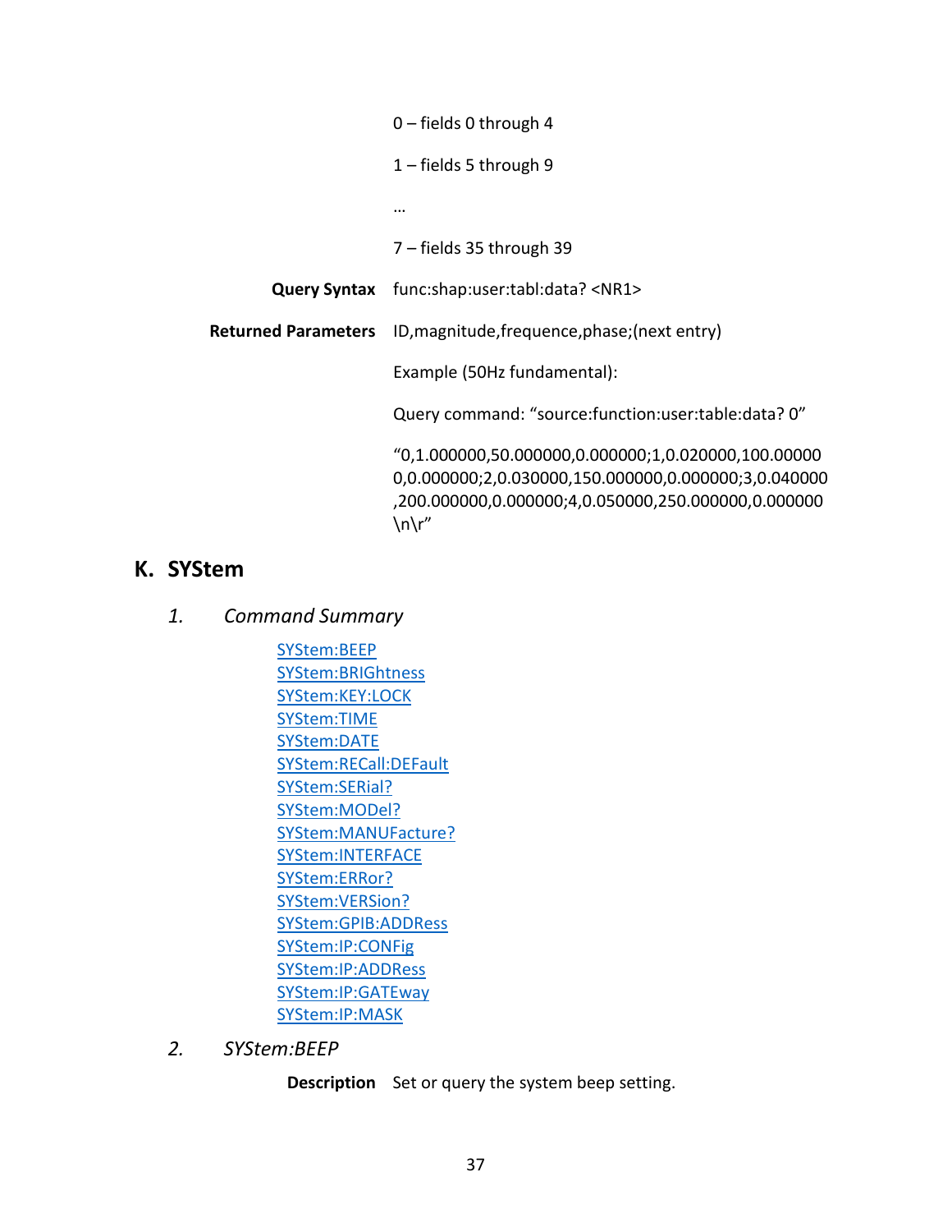| $0$ – fields 0 through 4                                                                                                                                                      |
|-------------------------------------------------------------------------------------------------------------------------------------------------------------------------------|
| $1$ – fields 5 through 9                                                                                                                                                      |
|                                                                                                                                                                               |
| $7$ – fields 35 through 39                                                                                                                                                    |
| <b>Query Syntax</b> func:shap:user:tabl:data? <nr1></nr1>                                                                                                                     |
| <b>Returned Parameters</b> ID, magnitude, frequence, phase; (next entry)                                                                                                      |
| Example (50Hz fundamental):                                                                                                                                                   |
| Query command: "source: function: user: table: data? 0"                                                                                                                       |
| $"0,1.000000,50.000000,0.000000;1,0.020000,100.00000$<br>0,0.000000;2,0.030000,150.000000,0.000000;3,0.040000<br>,200.000000,0.000000;4,0.050000,250.000000,0.000000<br>\n\r" |

# <span id="page-42-1"></span><span id="page-42-0"></span>**K. SYStem**

- *1. Command Summary*
	- [SYStem:BEEP](#page-42-2) [SYStem:BRIGhtness](#page-43-0) [SYStem:KEY:LOCK](#page-43-1) [SYStem:TIME](#page-43-2) [SYStem:DATE](#page-44-0) [SYStem:RECall:DEFault](#page-44-1) [SYStem:SERial?](#page-44-2) [SYStem:MODel?](#page-44-3) [SYStem:MANUFacture?](#page-45-0) [SYStem:INTERFACE](#page-45-1) [SYStem:ERRor?](#page-45-2) [SYStem:VERSion?](#page-45-3) [SYStem:GPIB:ADDRess](#page-46-0) [SYStem:IP:CONFig](#page-46-1) [SYStem:IP:ADDRess](#page-46-2) [SYStem:IP:GATEway](#page-46-3) [SYStem:IP:MASK](#page-47-0)
- <span id="page-42-2"></span>*2. SYStem:BEEP*

**Description** Set or query the system beep setting.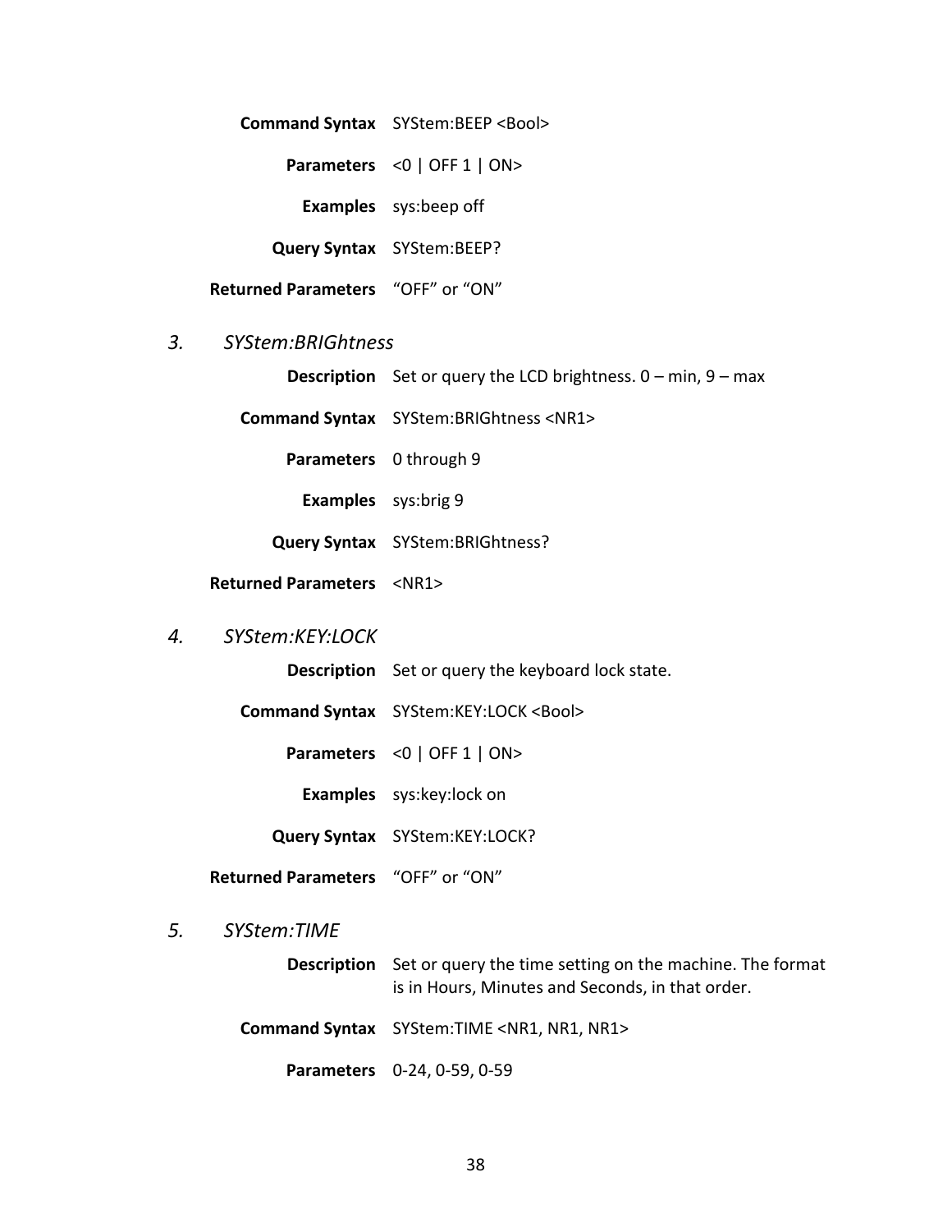**Command Syntax** SYStem:BEEP <Bool>

**Parameters** <0 | OFF 1 | ON>

**Examples** sys:beep off

**Query Syntax** SYStem:BEEP?

**Returned Parameters** "OFF" or "ON"

#### <span id="page-43-0"></span>*3. SYStem:BRIGhtness*

**Description** Set or query the LCD brightness. 0 – min, 9 – max

**Command Syntax** SYStem:BRIGhtness <NR1>

**Parameters** 0 through 9

**Examples** sys:brig 9

**Query Syntax** SYStem:BRIGhtness?

**Returned Parameters** <NR1>

#### <span id="page-43-1"></span>*4. SYStem:KEY:LOCK*

**Description** Set or query the keyboard lock state.

**Command Syntax** SYStem:KEY:LOCK <Bool>

**Parameters** <0 | OFF 1 | ON>

**Examples** sys:key:lock on

**Query Syntax** SYStem:KEY:LOCK?

**Returned Parameters** "OFF" or "ON"

#### <span id="page-43-2"></span>*5. SYStem:TIME*

**Description** Set or query the time setting on the machine. The format is in Hours, Minutes and Seconds, in that order.

**Command Syntax** SYStem:TIME <NR1, NR1, NR1>

**Parameters** 0-24, 0-59, 0-59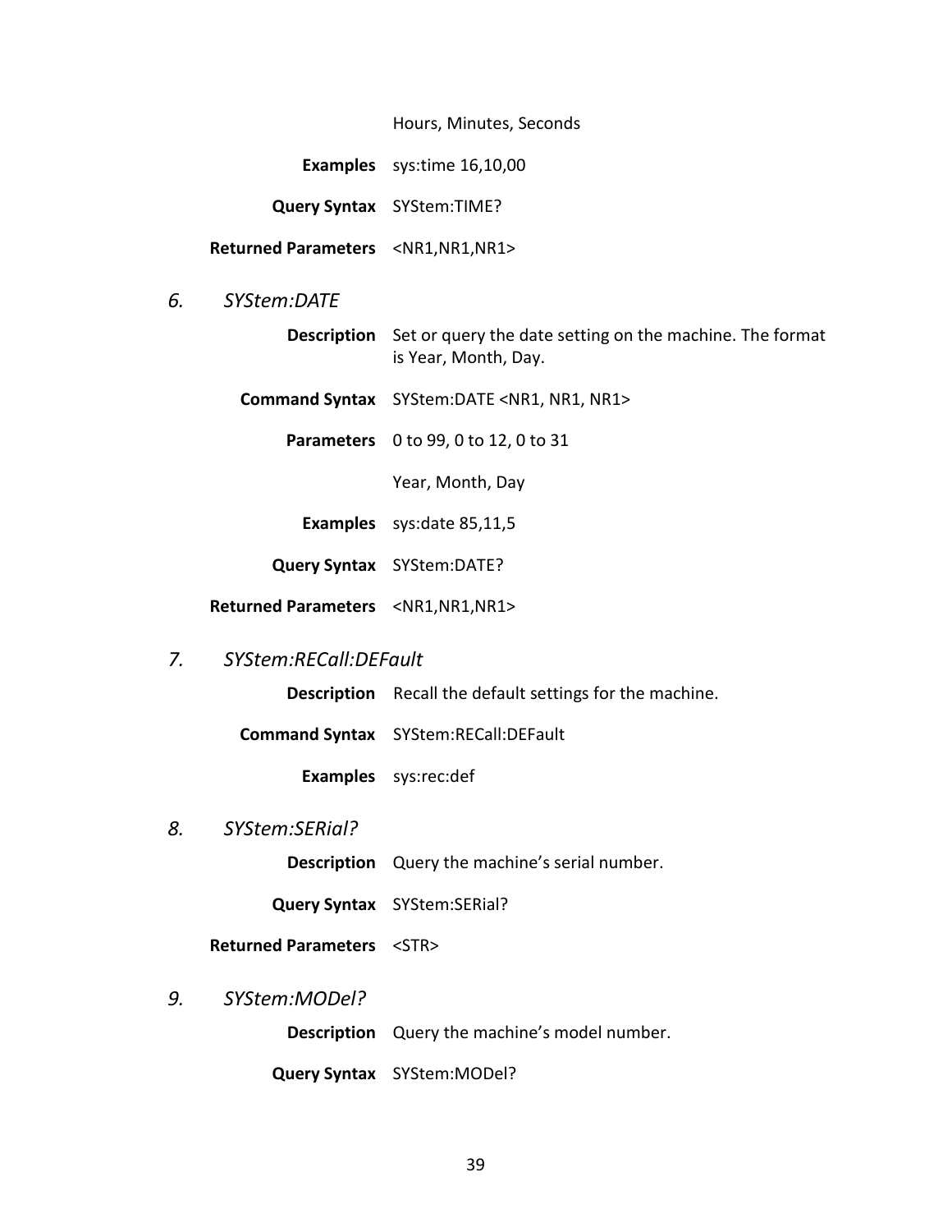Hours, Minutes, Seconds

**Examples** sys:time 16,10,00

**Query Syntax** SYStem:TIME?

**Returned Parameters** <NR1,NR1,NR1>

- <span id="page-44-0"></span>*6. SYStem:DATE*
	- **Description** Set or query the date setting on the machine. The format is Year, Month, Day.

**Command Syntax** SYStem:DATE <NR1, NR1, NR1>

**Parameters** 0 to 99, 0 to 12, 0 to 31

Year, Month, Day

**Examples** sys:date 85,11,5

**Query Syntax** SYStem:DATE?

**Returned Parameters** <NR1,NR1,NR1>

<span id="page-44-1"></span>*7. SYStem:RECall:DEFault*

**Description** Recall the default settings for the machine.

**Command Syntax** SYStem:RECall:DEFault

**Examples** sys:rec:def

<span id="page-44-2"></span>*8. SYStem:SERial?*

**Description** Query the machine's serial number.

**Query Syntax** SYStem:SERial?

**Returned Parameters** <STR>

<span id="page-44-3"></span>*9. SYStem:MODel?*

**Description** Query the machine's model number.

**Query Syntax** SYStem:MODel?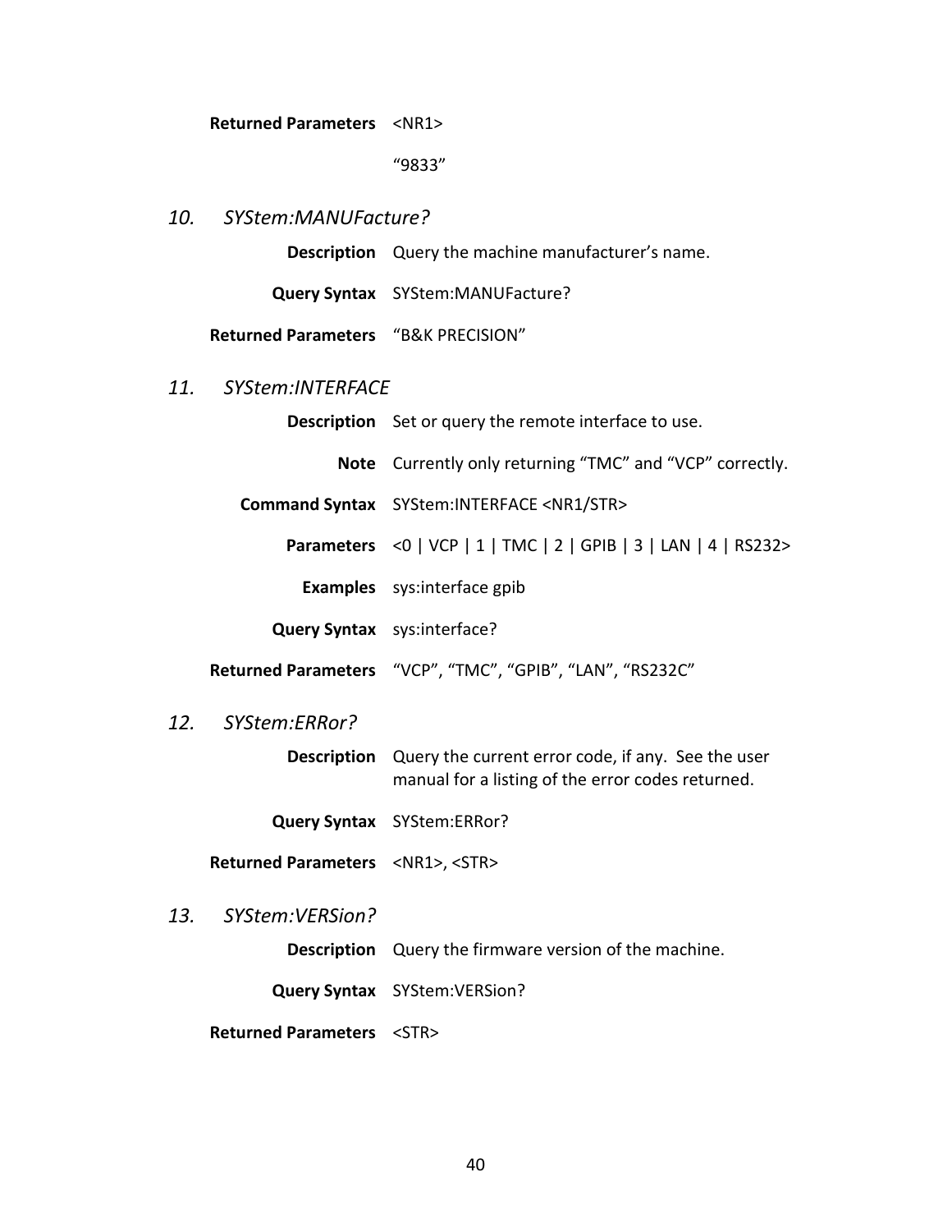**Returned Parameters** <NR1>

#### "9833"

# <span id="page-45-0"></span>*10. SYStem:MANUFacture?*

**Description** Query the machine manufacturer's name.

**Query Syntax** SYStem:MANUFacture?

**Returned Parameters** "B&K PRECISION"

#### <span id="page-45-1"></span>*11. SYStem:INTERFACE*

| <b>Description</b> Set or query the remote interface to use.    |
|-----------------------------------------------------------------|
| <b>Note</b> Currently only returning "TMC" and "VCP" correctly. |
| Command Syntax SYStem: INTERFACE <nr1 str=""></nr1>             |
| Parameters <0   VCP   1   TMC   2   GPIB   3   LAN   4   RS232> |
| <b>Examples</b> sys: interface gpib                             |
| Query Syntax sys: interface?                                    |
| Returned Parameters "VCP", "TMC", "GPIB", "LAN", "RS232C"       |

#### <span id="page-45-2"></span>*12. SYStem:ERRor?*

**Description** Query the current error code, if any. See the user manual for a listing of the error codes returned.

**Query Syntax** SYStem:ERRor?

**Returned Parameters** <NR1>, <STR>

<span id="page-45-3"></span>*13. SYStem:VERSion?*

**Description** Query the firmware version of the machine.

**Query Syntax** SYStem:VERSion?

**Returned Parameters** <STR>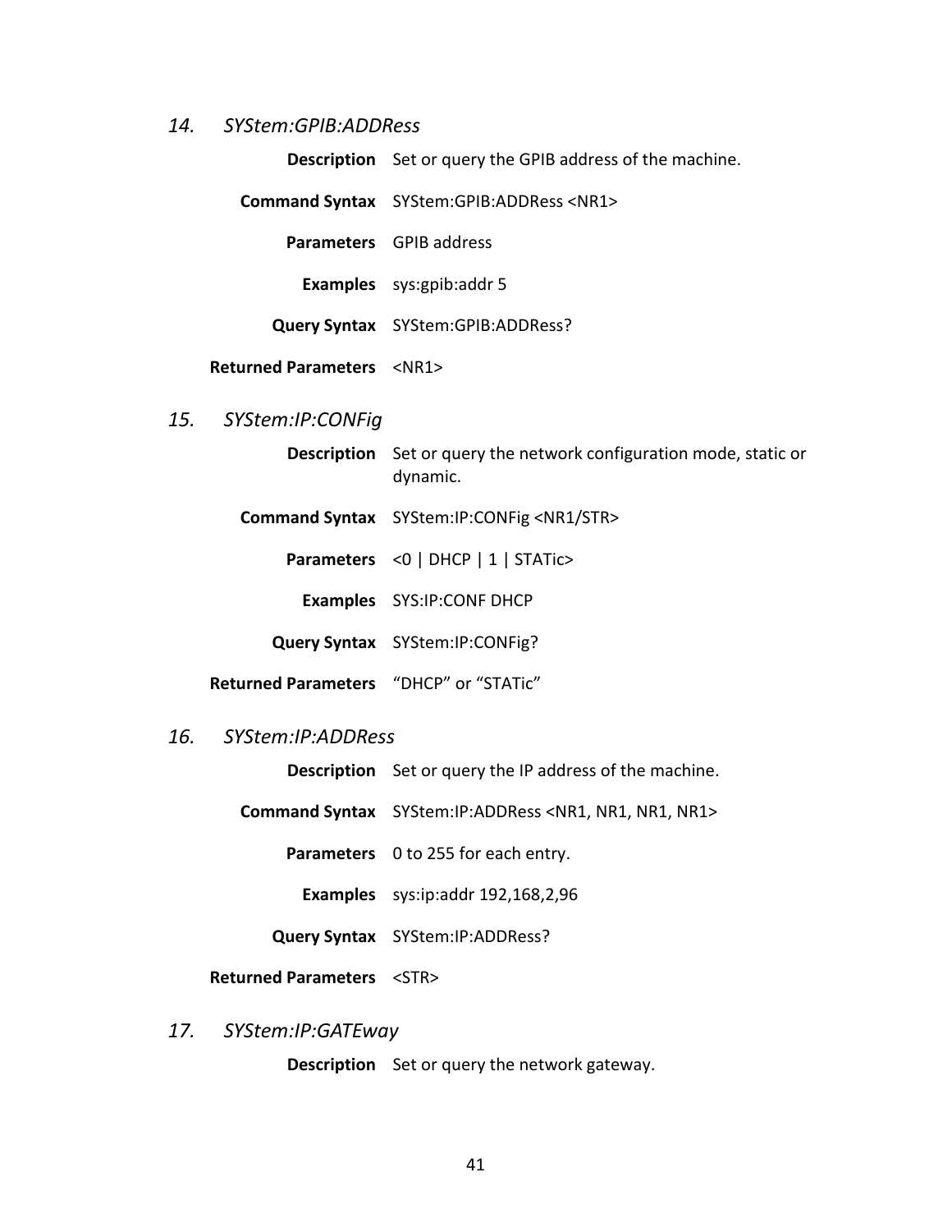#### <span id="page-46-0"></span>*14. SYStem:GPIB:ADDRess*

**Description** Set or query the GPIB address of the machine.

**Command Syntax** SYStem:GPIB:ADDRess <NR1>

**Parameters** GPIB address

**Examples** sys:gpib:addr 5

**Query Syntax** SYStem:GPIB:ADDRess?

**Returned Parameters** <NR1>

## <span id="page-46-1"></span>*15. SYStem:IP:CONFig*

- **Description** Set or query the network configuration mode, static or dynamic.
- **Command Syntax** SYStem:IP:CONFig <NR1/STR>

**Parameters** <0 | DHCP | 1 | STATic>

**Examples** SYS:IP:CONF DHCP

**Query Syntax** SYStem:IP:CONFig?

**Returned Parameters** "DHCP" or "STATic"

#### <span id="page-46-2"></span>*16. SYStem:IP:ADDRess*

**Description** Set or query the IP address of the machine.

**Command Syntax** SYStem:IP:ADDRess <NR1, NR1, NR1, NR1>

**Parameters** 0 to 255 for each entry.

**Examples** sys:ip:addr 192,168,2,96

**Query Syntax** SYStem:IP:ADDRess?

**Returned Parameters** <STR>

#### <span id="page-46-3"></span>*17. SYStem:IP:GATEway*

**Description** Set or query the network gateway.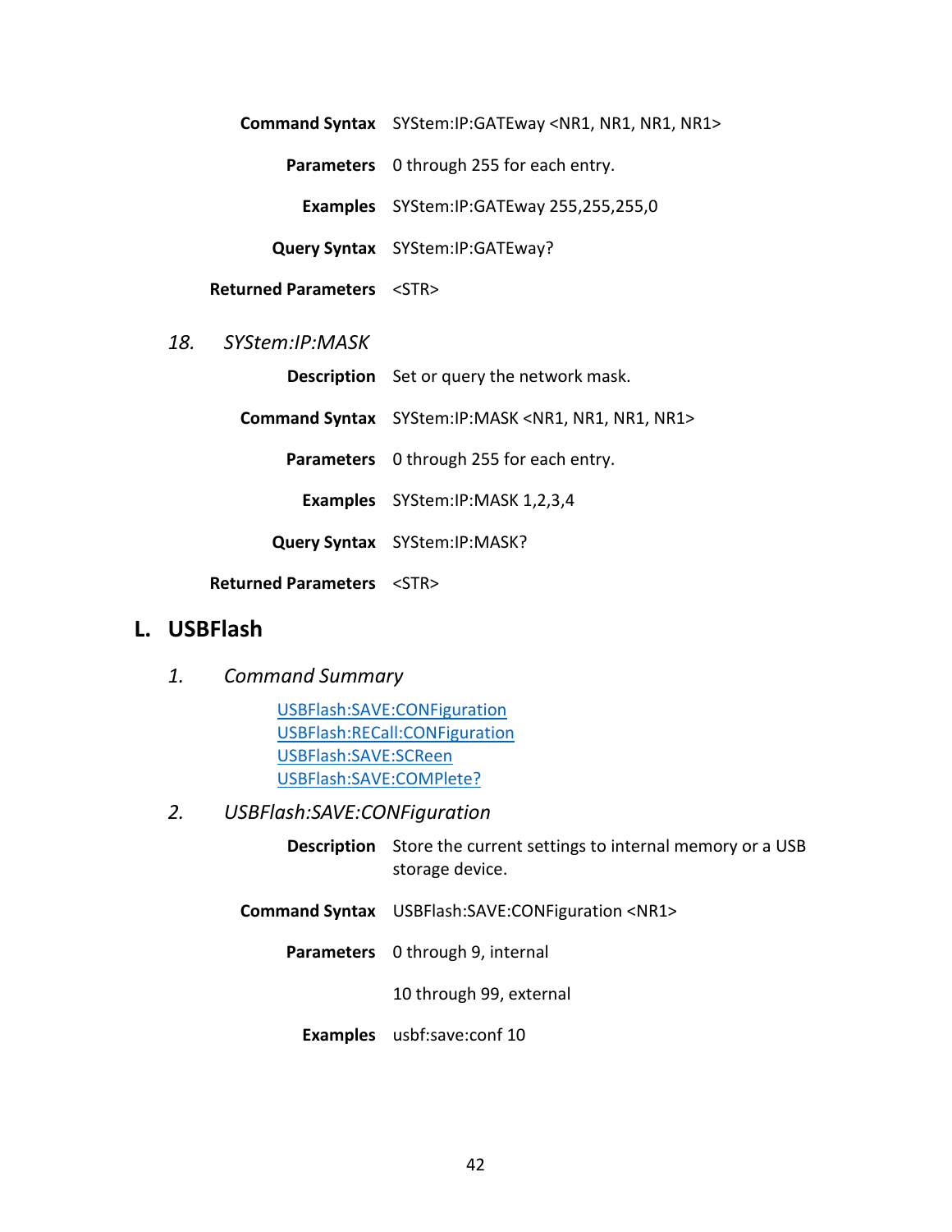**Command Syntax** SYStem:IP:GATEway <NR1, NR1, NR1, NR1>

**Parameters** 0 through 255 for each entry.

**Examples** SYStem:IP:GATEway 255,255,255,0

**Query Syntax** SYStem:IP:GATEway?

**Returned Parameters** <STR>

#### <span id="page-47-0"></span>*18. SYStem:IP:MASK*

**Description** Set or query the network mask.

**Command Syntax** SYStem:IP:MASK <NR1, NR1, NR1, NR1>

**Parameters** 0 through 255 for each entry.

**Examples** SYStem:IP:MASK 1,2,3,4

**Query Syntax** SYStem:IP:MASK?

**Returned Parameters** <STR>

# <span id="page-47-2"></span><span id="page-47-1"></span>**L. USBFlash**

*1. Command Summary*

[USBFlash:SAVE:CONFiguration](#page-47-3) [USBFlash:RECall:CONFiguration](#page-48-0) [USBFlash:SAVE:SCReen](#page-48-1) [USBFlash:SAVE:COMPlete?](#page-48-2)

- <span id="page-47-3"></span>*2. USBFlash:SAVE:CONFiguration*
	- **Description** Store the current settings to internal memory or a USB storage device.
	- **Command Syntax** USBFlash:SAVE:CONFiguration <NR1>
		- **Parameters** 0 through 9, internal

10 through 99, external

**Examples** usbf:save:conf 10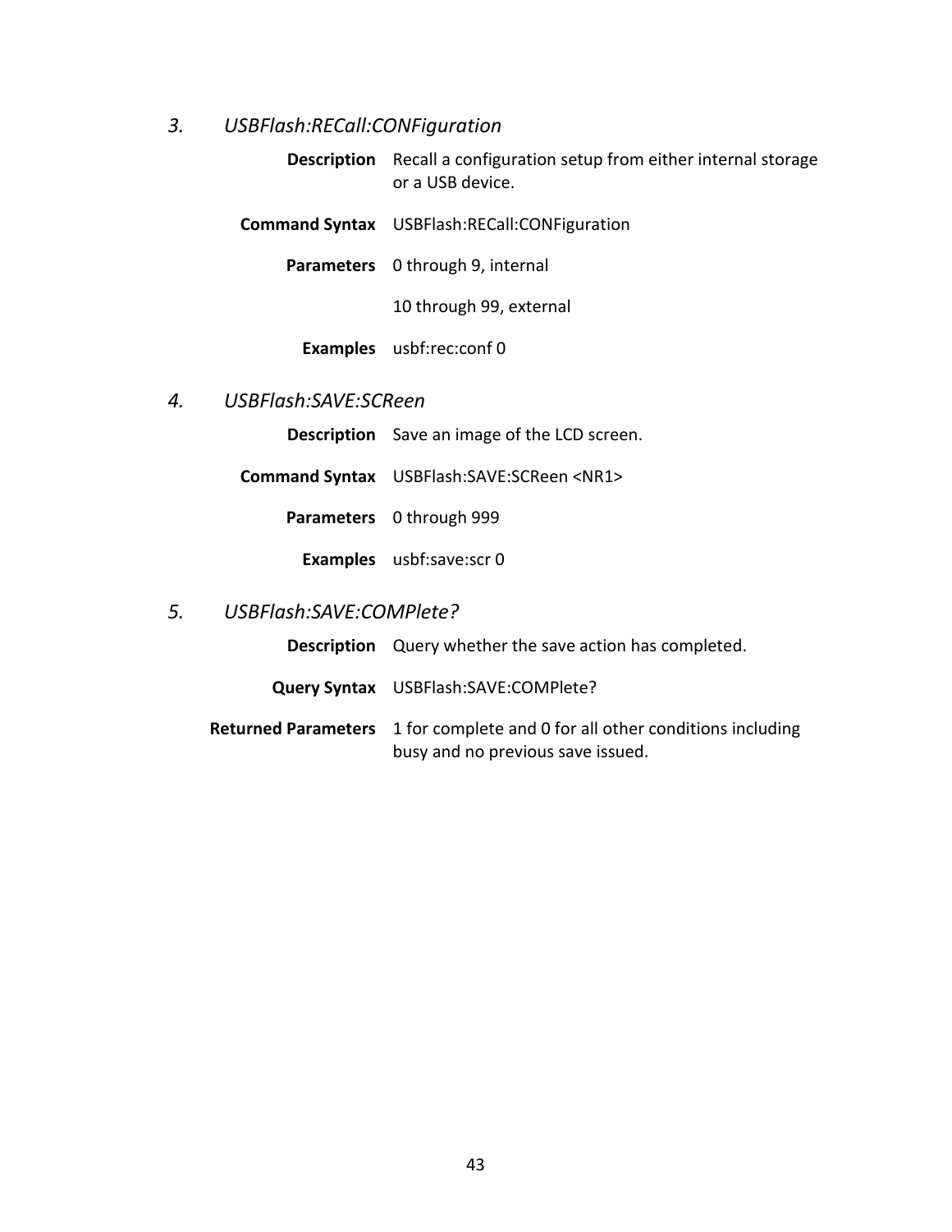# <span id="page-48-0"></span>*3. USBFlash:RECall:CONFiguration*

**Description** Recall a configuration setup from either internal storage or a USB device.

**Command Syntax** USBFlash:RECall:CONFiguration

**Parameters** 0 through 9, internal

10 through 99, external

**Examples** usbf:rec:conf 0

#### <span id="page-48-1"></span>*4. USBFlash:SAVE:SCReen*

**Description** Save an image of the LCD screen.

**Command Syntax** USBFlash:SAVE:SCReen <NR1>

**Parameters** 0 through 999

**Examples** usbf:save:scr 0

#### <span id="page-48-2"></span>*5. USBFlash:SAVE:COMPlete?*

**Description** Query whether the save action has completed.

- **Query Syntax** USBFlash:SAVE:COMPlete?
- **Returned Parameters** 1 for complete and 0 for all other conditions including busy and no previous save issued.